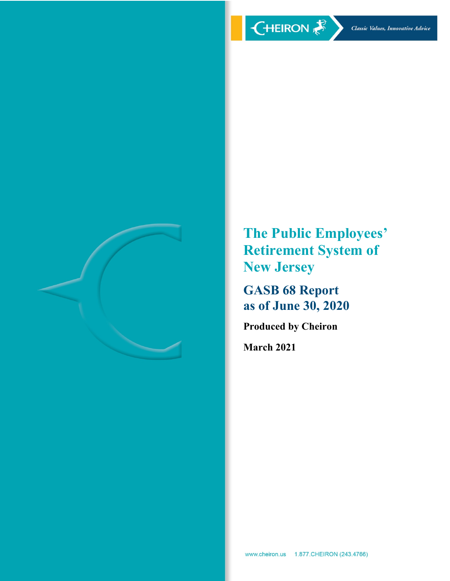

**The Public Employees' Retirement System of New Jersey** 

**GASB 68 Report as of June 30, 2020** 

**Produced by Cheiron** 

**March 2021**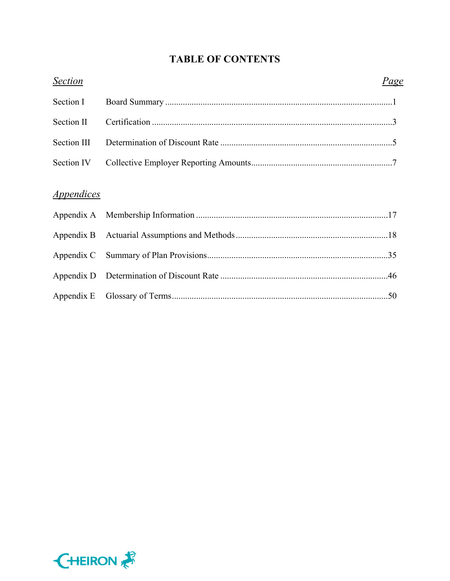# **TABLE OF CONTENTS**

| <b>Section</b>                  | Page |  |
|---------------------------------|------|--|
| Section I                       |      |  |
| Section II                      |      |  |
| Section III                     |      |  |
| Section IV                      |      |  |
| <i><u><b>Appendices</b></u></i> |      |  |
|                                 |      |  |
|                                 |      |  |
|                                 |      |  |
|                                 |      |  |
|                                 |      |  |
|                                 |      |  |

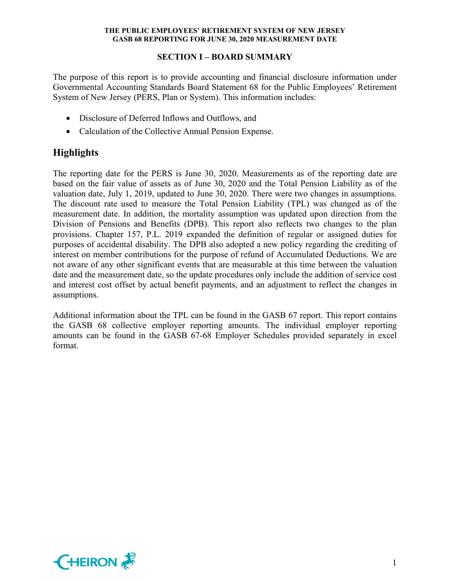## **SECTION I – BOARD SUMMARY**

The purpose of this report is to provide accounting and financial disclosure information under Governmental Accounting Standards Board Statement 68 for the Public Employees' Retirement System of New Jersey (PERS, Plan or System). This information includes:

- Disclosure of Deferred Inflows and Outflows, and
- Calculation of the Collective Annual Pension Expense.

# **Highlights**

The reporting date for the PERS is June 30, 2020. Measurements as of the reporting date are based on the fair value of assets as of June 30, 2020 and the Total Pension Liability as of the valuation date, July 1, 2019, updated to June 30, 2020. There were two changes in assumptions. The discount rate used to measure the Total Pension Liability (TPL) was changed as of the measurement date. In addition, the mortality assumption was updated upon direction from the Division of Pensions and Benefits (DPB). This report also reflects two changes to the plan provisions. Chapter 157, P.L. 2019 expanded the definition of regular or assigned duties for purposes of accidental disability. The DPB also adopted a new policy regarding the crediting of interest on member contributions for the purpose of refund of Accumulated Deductions. We are not aware of any other significant events that are measurable at this time between the valuation date and the measurement date, so the update procedures only include the addition of service cost and interest cost offset by actual benefit payments, and an adjustment to reflect the changes in assumptions.

Additional information about the TPL can be found in the GASB 67 report. This report contains the GASB 68 collective employer reporting amounts. The individual employer reporting amounts can be found in the GASB 67-68 Employer Schedules provided separately in excel format.

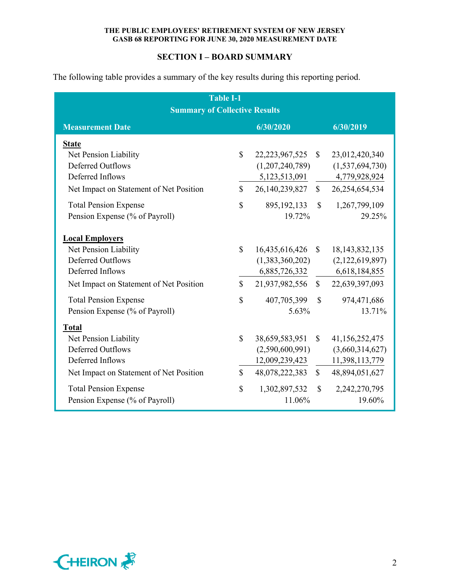## **SECTION I – BOARD SUMMARY**

The following table provides a summary of the key results during this reporting period.

| <b>Table I-1</b><br><b>Summary of Collective Results</b>                                                                                                                                                                             |                                             |                                                                                                           |                                              |                                                                                                            |  |  |  |  |
|--------------------------------------------------------------------------------------------------------------------------------------------------------------------------------------------------------------------------------------|---------------------------------------------|-----------------------------------------------------------------------------------------------------------|----------------------------------------------|------------------------------------------------------------------------------------------------------------|--|--|--|--|
| <b>Measurement Date</b>                                                                                                                                                                                                              |                                             | 6/30/2020                                                                                                 |                                              | 6/30/2019                                                                                                  |  |  |  |  |
| <b>State</b><br>Net Pension Liability<br><b>Deferred Outflows</b><br>Deferred Inflows<br>Net Impact on Statement of Net Position<br><b>Total Pension Expense</b><br>Pension Expense (% of Payroll)                                   | $\mathbb{S}$<br>$\mathbb{S}$<br>$\mathbf S$ | 22, 23, 967, 525<br>(1,207,240,789)<br>5, 123, 513, 091<br>26,140,239,827<br>895, 192, 133<br>19.72%      | $\mathbb{S}$<br>$\mathbb{S}$<br>$\mathbb{S}$ | 23,012,420,340<br>(1,537,694,730)<br>4,779,928,924<br>26,254,654,534<br>1,267,799,109<br>29.25%            |  |  |  |  |
| <b>Local Employers</b><br>Net Pension Liability<br><b>Deferred Outflows</b><br>Deferred Inflows<br>Net Impact on Statement of Net Position<br><b>Total Pension Expense</b>                                                           | $\mathbf S$<br>$\mathbb{S}$<br>$\mathbf S$  | 16,435,616,426<br>(1,383,360,202)<br>6,885,726,332<br>21,937,982,556<br>407,705,399                       | $\mathbb{S}$<br>$\mathbb{S}$<br>$\mathbb{S}$ | 18, 143, 832, 135<br>(2,122,619,897)<br>6,618,184,855<br>22,639,397,093<br>974,471,686                     |  |  |  |  |
| Pension Expense (% of Payroll)<br><b>Total</b><br>Net Pension Liability<br><b>Deferred Outflows</b><br>Deferred Inflows<br>Net Impact on Statement of Net Position<br><b>Total Pension Expense</b><br>Pension Expense (% of Payroll) | \$<br>$\mathbb{S}$<br>\$                    | 5.63%<br>38,659,583,951<br>(2,590,600,991)<br>12,009,239,423<br>48,078,222,383<br>1,302,897,532<br>11.06% | $\mathbb{S}$<br>$\mathbb{S}$<br>$\mathbb{S}$ | 13.71%<br>41,156,252,475<br>(3,660,314,627)<br>11,398,113,779<br>48,894,051,627<br>2,242,270,795<br>19.60% |  |  |  |  |

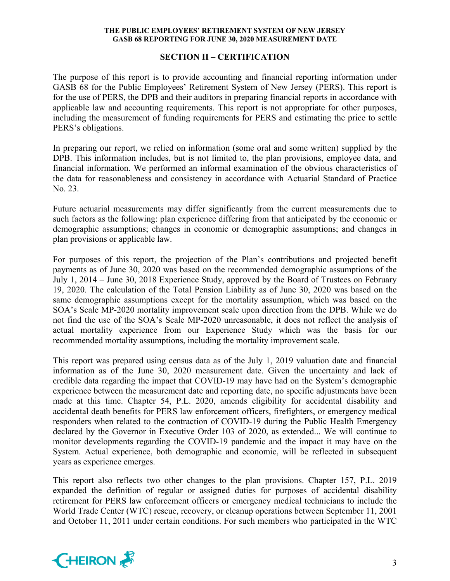## **SECTION II – CERTIFICATION**

The purpose of this report is to provide accounting and financial reporting information under GASB 68 for the Public Employees' Retirement System of New Jersey (PERS). This report is for the use of PERS, the DPB and their auditors in preparing financial reports in accordance with applicable law and accounting requirements. This report is not appropriate for other purposes, including the measurement of funding requirements for PERS and estimating the price to settle PERS's obligations.

In preparing our report, we relied on information (some oral and some written) supplied by the DPB. This information includes, but is not limited to, the plan provisions, employee data, and financial information. We performed an informal examination of the obvious characteristics of the data for reasonableness and consistency in accordance with Actuarial Standard of Practice No. 23.

Future actuarial measurements may differ significantly from the current measurements due to such factors as the following: plan experience differing from that anticipated by the economic or demographic assumptions; changes in economic or demographic assumptions; and changes in plan provisions or applicable law.

For purposes of this report, the projection of the Plan's contributions and projected benefit payments as of June 30, 2020 was based on the recommended demographic assumptions of the July 1, 2014 – June 30, 2018 Experience Study, approved by the Board of Trustees on February 19, 2020. The calculation of the Total Pension Liability as of June 30, 2020 was based on the same demographic assumptions except for the mortality assumption, which was based on the SOA's Scale MP-2020 mortality improvement scale upon direction from the DPB. While we do not find the use of the SOA's Scale MP-2020 unreasonable, it does not reflect the analysis of actual mortality experience from our Experience Study which was the basis for our recommended mortality assumptions, including the mortality improvement scale.

This report was prepared using census data as of the July 1, 2019 valuation date and financial information as of the June 30, 2020 measurement date. Given the uncertainty and lack of credible data regarding the impact that COVID-19 may have had on the System's demographic experience between the measurement date and reporting date, no specific adjustments have been made at this time. Chapter 54, P.L. 2020, amends eligibility for accidental disability and accidental death benefits for PERS law enforcement officers, firefighters, or emergency medical responders when related to the contraction of COVID-19 during the Public Health Emergency declared by the Governor in Executive Order 103 of 2020, as extended... We will continue to monitor developments regarding the COVID-19 pandemic and the impact it may have on the System. Actual experience, both demographic and economic, will be reflected in subsequent years as experience emerges.

This report also reflects two other changes to the plan provisions. Chapter 157, P.L. 2019 expanded the definition of regular or assigned duties for purposes of accidental disability retirement for PERS law enforcement officers or emergency medical technicians to include the World Trade Center (WTC) rescue, recovery, or cleanup operations between September 11, 2001 and October 11, 2011 under certain conditions. For such members who participated in the WTC

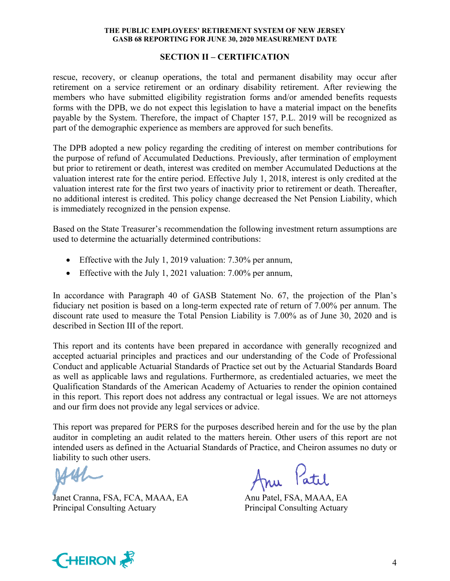## **SECTION II – CERTIFICATION**

rescue, recovery, or cleanup operations, the total and permanent disability may occur after retirement on a service retirement or an ordinary disability retirement. After reviewing the members who have submitted eligibility registration forms and/or amended benefits requests forms with the DPB, we do not expect this legislation to have a material impact on the benefits payable by the System. Therefore, the impact of Chapter 157, P.L. 2019 will be recognized as part of the demographic experience as members are approved for such benefits.

The DPB adopted a new policy regarding the crediting of interest on member contributions for the purpose of refund of Accumulated Deductions. Previously, after termination of employment but prior to retirement or death, interest was credited on member Accumulated Deductions at the valuation interest rate for the entire period. Effective July 1, 2018, interest is only credited at the valuation interest rate for the first two years of inactivity prior to retirement or death. Thereafter, no additional interest is credited. This policy change decreased the Net Pension Liability, which is immediately recognized in the pension expense.

Based on the State Treasurer's recommendation the following investment return assumptions are used to determine the actuarially determined contributions:

- Effective with the July 1, 2019 valuation: 7.30% per annum,
- Effective with the July 1, 2021 valuation: 7.00% per annum,

In accordance with Paragraph 40 of GASB Statement No. 67, the projection of the Plan's fiduciary net position is based on a long-term expected rate of return of 7.00% per annum. The discount rate used to measure the Total Pension Liability is 7.00% as of June 30, 2020 and is described in Section III of the report.

This report and its contents have been prepared in accordance with generally recognized and accepted actuarial principles and practices and our understanding of the Code of Professional Conduct and applicable Actuarial Standards of Practice set out by the Actuarial Standards Board as well as applicable laws and regulations. Furthermore, as credentialed actuaries, we meet the Qualification Standards of the American Academy of Actuaries to render the opinion contained in this report. This report does not address any contractual or legal issues. We are not attorneys and our firm does not provide any legal services or advice.

This report was prepared for PERS for the purposes described herein and for the use by the plan auditor in completing an audit related to the matters herein. Other users of this report are not intended users as defined in the Actuarial Standards of Practice, and Cheiron assumes no duty or liability to such other users.

Janet Cranna, FSA, FCA, MAAA, EA Anu Patel, FSA, MAAA, EA Principal Consulting Actuary Principal Consulting Actuary

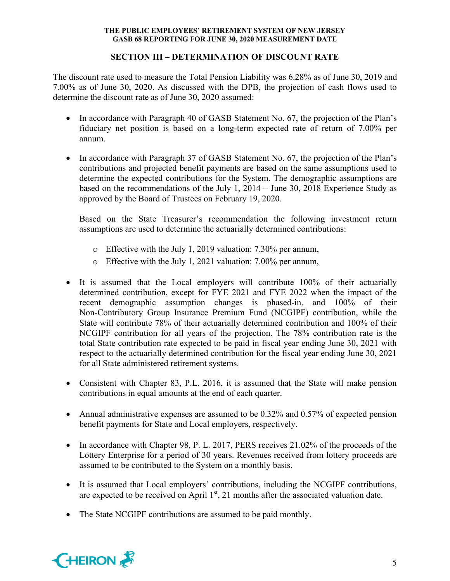## **SECTION III – DETERMINATION OF DISCOUNT RATE**

The discount rate used to measure the Total Pension Liability was 6.28% as of June 30, 2019 and 7.00% as of June 30, 2020. As discussed with the DPB, the projection of cash flows used to determine the discount rate as of June 30, 2020 assumed:

- In accordance with Paragraph 40 of GASB Statement No. 67, the projection of the Plan's fiduciary net position is based on a long-term expected rate of return of 7.00% per annum.
- In accordance with Paragraph 37 of GASB Statement No. 67, the projection of the Plan's contributions and projected benefit payments are based on the same assumptions used to determine the expected contributions for the System. The demographic assumptions are based on the recommendations of the July 1, 2014 – June 30, 2018 Experience Study as approved by the Board of Trustees on February 19, 2020.

Based on the State Treasurer's recommendation the following investment return assumptions are used to determine the actuarially determined contributions:

- o Effective with the July 1, 2019 valuation: 7.30% per annum,
- o Effective with the July 1, 2021 valuation: 7.00% per annum,
- It is assumed that the Local employers will contribute 100% of their actuarially determined contribution, except for FYE 2021 and FYE 2022 when the impact of the recent demographic assumption changes is phased-in, and 100% of their Non-Contributory Group Insurance Premium Fund (NCGIPF) contribution, while the State will contribute 78% of their actuarially determined contribution and 100% of their NCGIPF contribution for all years of the projection. The 78% contribution rate is the total State contribution rate expected to be paid in fiscal year ending June 30, 2021 with respect to the actuarially determined contribution for the fiscal year ending June 30, 2021 for all State administered retirement systems.
- Consistent with Chapter 83, P.L. 2016, it is assumed that the State will make pension contributions in equal amounts at the end of each quarter.
- Annual administrative expenses are assumed to be 0.32% and 0.57% of expected pension benefit payments for State and Local employers, respectively.
- In accordance with Chapter 98, P. L. 2017, PERS receives 21.02% of the proceeds of the Lottery Enterprise for a period of 30 years. Revenues received from lottery proceeds are assumed to be contributed to the System on a monthly basis.
- It is assumed that Local employers' contributions, including the NCGIPF contributions, are expected to be received on April  $1<sup>st</sup>$ , 21 months after the associated valuation date.
- The State NCGIPF contributions are assumed to be paid monthly.

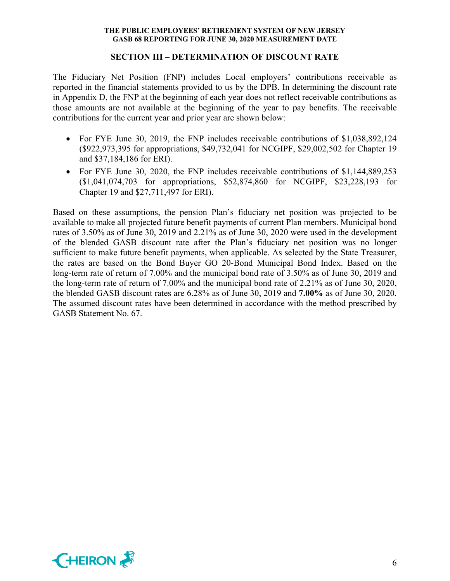#### **SECTION III – DETERMINATION OF DISCOUNT RATE**

The Fiduciary Net Position (FNP) includes Local employers' contributions receivable as reported in the financial statements provided to us by the DPB. In determining the discount rate in Appendix D, the FNP at the beginning of each year does not reflect receivable contributions as those amounts are not available at the beginning of the year to pay benefits. The receivable contributions for the current year and prior year are shown below:

- For FYE June 30, 2019, the FNP includes receivable contributions of \$1,038,892,124 (\$922,973,395 for appropriations, \$49,732,041 for NCGIPF, \$29,002,502 for Chapter 19 and \$37,184,186 for ERI).
- For FYE June 30, 2020, the FNP includes receivable contributions of \$1,144,889,253 (\$1,041,074,703 for appropriations, \$52,874,860 for NCGIPF, \$23,228,193 for Chapter 19 and \$27,711,497 for ERI).

Based on these assumptions, the pension Plan's fiduciary net position was projected to be available to make all projected future benefit payments of current Plan members. Municipal bond rates of 3.50% as of June 30, 2019 and 2.21% as of June 30, 2020 were used in the development of the blended GASB discount rate after the Plan's fiduciary net position was no longer sufficient to make future benefit payments, when applicable. As selected by the State Treasurer, the rates are based on the Bond Buyer GO 20-Bond Municipal Bond Index. Based on the long-term rate of return of 7.00% and the municipal bond rate of 3.50% as of June 30, 2019 and the long-term rate of return of 7.00% and the municipal bond rate of 2.21% as of June 30, 2020, the blended GASB discount rates are 6.28% as of June 30, 2019 and **7.00%** as of June 30, 2020. The assumed discount rates have been determined in accordance with the method prescribed by GASB Statement No. 67.

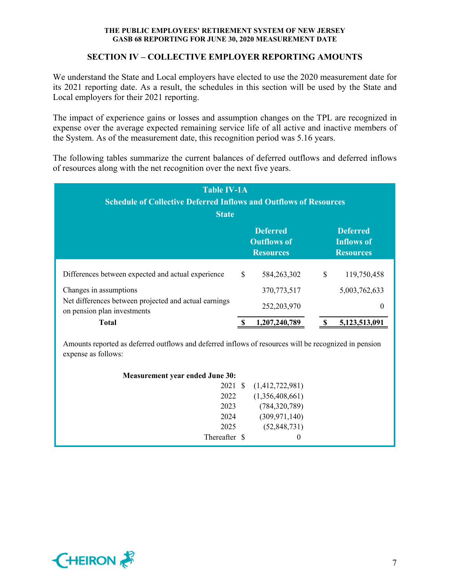## **SECTION IV – COLLECTIVE EMPLOYER REPORTING AMOUNTS**

We understand the State and Local employers have elected to use the 2020 measurement date for its 2021 reporting date. As a result, the schedules in this section will be used by the State and Local employers for their 2021 reporting.

The impact of experience gains or losses and assumption changes on the TPL are recognized in expense over the average expected remaining service life of all active and inactive members of the System. As of the measurement date, this recognition period was 5.16 years.

The following tables summarize the current balances of deferred outflows and deferred inflows of resources along with the net recognition over the next five years.

| <b>Table IV-1A</b><br><b>Schedule of Collective Deferred Inflows and Outflows of Resources</b><br><b>State</b> |    |                                                           |   |                                                          |  |  |  |  |  |
|----------------------------------------------------------------------------------------------------------------|----|-----------------------------------------------------------|---|----------------------------------------------------------|--|--|--|--|--|
|                                                                                                                |    | <b>Deferred</b><br><b>Outflows of</b><br><b>Resources</b> |   | <b>Deferred</b><br><b>Inflows of</b><br><b>Resources</b> |  |  |  |  |  |
| Differences between expected and actual experience                                                             | \$ | 584,263,302                                               | S | 119,750,458                                              |  |  |  |  |  |
| Changes in assumptions                                                                                         |    | 370,773,517                                               |   | 5,003,762,633                                            |  |  |  |  |  |
| Net differences between projected and actual earnings<br>on pension plan investments                           |    | 252, 203, 970                                             |   |                                                          |  |  |  |  |  |
| <b>Total</b>                                                                                                   |    | 1,207,240,789                                             |   | 5,123,513,091                                            |  |  |  |  |  |

Amounts reported as deferred outflows and deferred inflows of resources will be recognized in pension expense as follows:

| <b>Measurement year ended June 30:</b> |                 |  |
|----------------------------------------|-----------------|--|
| 2021 \$                                | (1,412,722,981) |  |
| 2022                                   | (1,356,408,661) |  |
| 2023                                   | (784, 320, 789) |  |
| 2024                                   | (309, 971, 140) |  |
| 2025                                   | (52,848,731)    |  |
| Thereafter \$                          | $\theta$        |  |

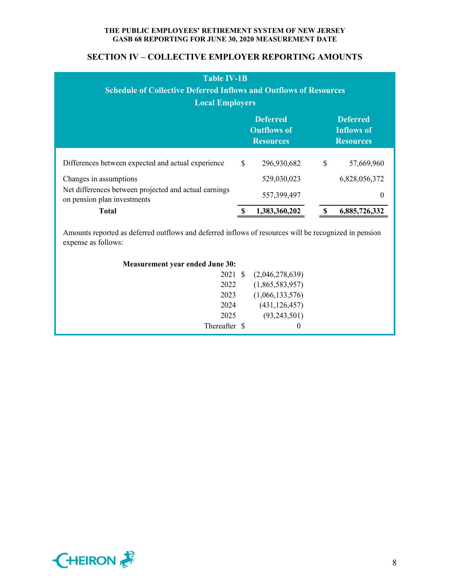## **SECTION IV – COLLECTIVE EMPLOYER REPORTING AMOUNTS**

| <b>Table IV-1B</b><br><b>Schedule of Collective Deferred Inflows and Outflows of Resources</b><br><b>Local Employers</b> |                                                                                                                       |               |   |               |  |  |  |  |
|--------------------------------------------------------------------------------------------------------------------------|-----------------------------------------------------------------------------------------------------------------------|---------------|---|---------------|--|--|--|--|
|                                                                                                                          | <b>Deferred</b><br><b>Deferred</b><br><b>Outflows of</b><br><b>Inflows of</b><br><b>Resources</b><br><b>Resources</b> |               |   |               |  |  |  |  |
| Differences between expected and actual experience                                                                       | $\mathbb{S}$                                                                                                          | 296,930,682   | S | 57,669,960    |  |  |  |  |
| Changes in assumptions                                                                                                   |                                                                                                                       | 529,030,023   |   | 6,828,056,372 |  |  |  |  |
| Net differences between projected and actual earnings<br>on pension plan investments                                     |                                                                                                                       | 557,399,497   |   | 0             |  |  |  |  |
| <b>Total</b>                                                                                                             |                                                                                                                       | 1,383,360,202 |   | 6,885,726,332 |  |  |  |  |

Amounts reported as deferred outflows and deferred inflows of resources will be recognized in pension expense as follows:

| <b>Measurement year ended June 30:</b> |  |
|----------------------------------------|--|
|----------------------------------------|--|

| 2021 \$       | (2,046,278,639) |
|---------------|-----------------|
| 2022          | (1,865,583,957) |
| 2023          | (1,066,133,576) |
| 2024          | (431, 126, 457) |
| 2025          | (93, 243, 501)  |
| Thereafter \$ | $\theta$        |
|               |                 |

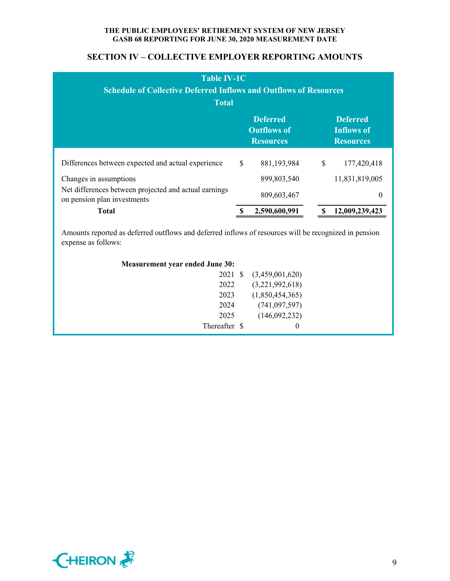## **SECTION IV – COLLECTIVE EMPLOYER REPORTING AMOUNTS**

| <b>Table IV-1C</b><br><b>Schedule of Collective Deferred Inflows and Outflows of Resources</b><br><b>Total</b> |                                                           |               |                                                          |                |  |  |  |  |
|----------------------------------------------------------------------------------------------------------------|-----------------------------------------------------------|---------------|----------------------------------------------------------|----------------|--|--|--|--|
|                                                                                                                | <b>Deferred</b><br><b>Outflows of</b><br><b>Resources</b> |               | <b>Deferred</b><br><b>Inflows of</b><br><b>Resources</b> |                |  |  |  |  |
| Differences between expected and actual experience                                                             | \$                                                        | 881,193,984   | \$                                                       | 177,420,418    |  |  |  |  |
| Changes in assumptions                                                                                         |                                                           | 899, 803, 540 |                                                          | 11,831,819,005 |  |  |  |  |
| Net differences between projected and actual earnings<br>on pension plan investments                           |                                                           | 809,603,467   |                                                          | 0              |  |  |  |  |
| <b>Total</b>                                                                                                   |                                                           | 2,590,600,991 |                                                          | 12,009,239,423 |  |  |  |  |

Amounts reported as deferred outflows and deferred inflows of resources will be recognized in pension expense as follows:

| <b>Measurement year ended June 30:</b> |  |
|----------------------------------------|--|
|----------------------------------------|--|

| 2022<br>2023<br>2024<br>2025 | 2021 \$ | (3,459,001,620)<br>(3,221,992,618)<br>(1,850,454,365)<br>(741, 097, 597)<br>(146,092,232) |
|------------------------------|---------|-------------------------------------------------------------------------------------------|
| Thereafter \$                |         | 0                                                                                         |

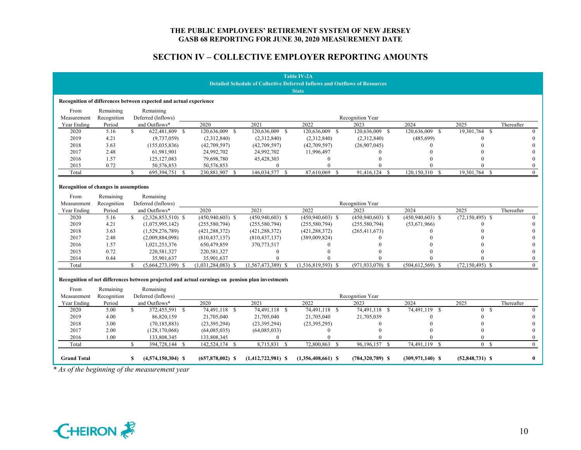## **SECTION IV – COLLECTIVE EMPLOYER REPORTING AMOUNTS**

|                                                                                   |             |                                               |  |                                                                                                  |                             | <b>Table IV-2A</b>   |                      |                              |                     |                |
|-----------------------------------------------------------------------------------|-------------|-----------------------------------------------|--|--------------------------------------------------------------------------------------------------|-----------------------------|----------------------|----------------------|------------------------------|---------------------|----------------|
| <b>Detailed Schedule of Collective Deferred Inflows and Outflows of Resources</b> |             |                                               |  |                                                                                                  |                             |                      |                      |                              |                     |                |
| <b>State</b>                                                                      |             |                                               |  |                                                                                                  |                             |                      |                      |                              |                     |                |
| Recognition of differences between expected and actual experience                 |             |                                               |  |                                                                                                  |                             |                      |                      |                              |                     |                |
| From                                                                              | Remaining   | Remaining                                     |  |                                                                                                  |                             |                      |                      |                              |                     |                |
| Measurement                                                                       | Recognition | Deferred (Inflows)                            |  |                                                                                                  |                             |                      | Recognition Year     |                              |                     |                |
| Year Ending                                                                       | Period      | and Outflows*                                 |  | 2020                                                                                             | 2021                        | 2022                 | 2023                 | 2024                         | 2025                | Thereafter     |
| 2020                                                                              | 5.16        | $\mathcal{S}$<br>622,481,809 \$               |  | 120,636,009 \$                                                                                   | 120,636,009 \$              | 120,636,009 \$       | 120,636,009 \$       | 120,636,009<br><sup>\$</sup> | 19,301,764 \$       | $\theta$       |
| 2019                                                                              | 4.21        | (9,737,059)                                   |  | (2,312,840)                                                                                      | (2,312,840)                 | (2,312,840)          | (2,312,840)          | (485, 699)                   | $\Omega$            |                |
| 2018                                                                              | 3.63        | (155, 035, 836)                               |  | (42,709,597)                                                                                     | (42,709,597)                | (42,709,597)         | (26,907,045)         |                              |                     |                |
| 2017                                                                              | 2.48        | 61,981,901                                    |  | 24,992,702                                                                                       | 24,992,702                  | 11,996,497           |                      |                              |                     |                |
| 2016                                                                              | 1.57        | 125, 127, 083                                 |  | 79,698,780                                                                                       | 45,428,303                  | $\mathbf{0}$         | 0                    |                              |                     | $\theta$       |
| 2015                                                                              | 0.72        | 50,576,853                                    |  | 50,576,853                                                                                       | $\mathbf{0}$                | $\theta$             |                      |                              |                     | $\theta$       |
| Total                                                                             |             | \$.<br>695,394,751 \$                         |  | 230,881,907 \$                                                                                   | 146,034,577<br>$\mathbb{S}$ | 87,610,069 \$        | 91,416,124 \$        | 120,150,310 \$               | 19,301,764 \$       | $\Omega$       |
| Recognition of changes in assumptions                                             |             |                                               |  |                                                                                                  |                             |                      |                      |                              |                     |                |
| From                                                                              | Remaining   | Remaining                                     |  |                                                                                                  |                             |                      |                      |                              |                     |                |
| Measurement                                                                       | Recognition | Deferred (Inflows)                            |  |                                                                                                  |                             |                      | Recognition Year     |                              |                     |                |
| Year Ending                                                                       | Period      | and Outflows*                                 |  | 2020                                                                                             | 2021                        | 2022                 | 2023                 | 2024                         | 2025                | Thereafter     |
| 2020                                                                              | 5.16        | <sup>S</sup><br>$(2,326,853,510)$ \$          |  | $(450,940,603)$ \$                                                                               | $(450,940,603)$ \$          | $(450, 940, 603)$ \$ | $(450,940,603)$ \$   | $(450,940,603)$ \$           | $(72, 150, 495)$ \$ | $\Omega$       |
| 2019                                                                              | 4.21        | (1,075,995,142)                               |  | (255, 580, 794)                                                                                  | (255,580,794)               | (255, 580, 794)      | (255, 580, 794)      | (53,671,966)                 | $\Omega$            |                |
| 2018                                                                              | 3.63        | (1,529,276,789)                               |  | (421, 288, 372)                                                                                  | (421, 288, 372)             | (421, 288, 372)      | (265, 411, 673)      |                              |                     |                |
| 2017                                                                              | 2.48        | (2,009,884,098)                               |  | (810, 437, 137)                                                                                  | (810, 437, 137)             | (389,009,824)        |                      |                              |                     |                |
| 2016                                                                              | 1.57        | 1,021,253,376                                 |  | 650,479,859                                                                                      | 370,773,517                 | $\Omega$             |                      |                              |                     |                |
| 2015                                                                              | 0.72        | 220,581,327                                   |  | 220,581,327                                                                                      | $\Omega$                    |                      |                      |                              |                     |                |
| 2014                                                                              | 0.44        | 35,901,637                                    |  | 35,901,637                                                                                       | $\Omega$                    |                      |                      |                              |                     | $\theta$       |
| Total                                                                             |             | $(5,664,273,199)$ \$                          |  | $(1,031,284,083)$ \$                                                                             | $(1,567,473,389)$ \$        | $(1,516,819,593)$ \$ | $(971, 933, 070)$ \$ | $(504, 612, 569)$ \$         | $(72, 150, 495)$ \$ | $\theta$       |
| From                                                                              | Remaining   | Remaining                                     |  | Recognition of net differences between projected and actual earnings on pension plan investments |                             |                      |                      |                              |                     |                |
| Measurement                                                                       | Recognition | Deferred (Inflows)                            |  |                                                                                                  |                             |                      | Recognition Year     |                              |                     |                |
| Year Ending                                                                       | Period      | and Outflows*                                 |  | 2020                                                                                             | 2021                        | 2022                 | 2023                 | 2024                         | 2025                | Thereafter     |
| 2020                                                                              | 5.00        | 372,455,591 \$<br>S.                          |  | 74,491,118 \$                                                                                    | 74,491,118 \$               | 74,491,118 \$        | 74,491,118 \$        | 74,491,119 \$                | 0 S                 | $\theta$       |
| 2019                                                                              | 4.00        | 86,820,159                                    |  | 21,705,040                                                                                       | 21,705,040                  | 21,705,040           | 21,705,039           |                              |                     |                |
| 2018                                                                              | 3.00        | (70, 185, 883)                                |  | (23, 395, 294)                                                                                   | (23, 395, 294)              | (23, 395, 295)       | 0                    |                              |                     | $\Omega$       |
| 2017                                                                              | 2.00        | (128, 170, 068)                               |  | (64,085,035)                                                                                     | (64,085,033)                | $\mathbf{0}$         |                      |                              | $\Omega$            | $\Omega$       |
| 2016                                                                              | 1.00        | 133,808,345                                   |  | 133,808,345                                                                                      | $\Omega$                    |                      |                      |                              | $\Omega$            | $\theta$       |
| Total                                                                             |             | $\mathbb{S}$<br>394,728,144 \$                |  | 142,524,174 \$                                                                                   | 8,715,831 \$                | 72,800,863<br>- S    | 96,196,157<br>- S    | 74,491,119<br><sup>\$</sup>  | 0 S                 | $\overline{0}$ |
| <b>Grand Total</b>                                                                |             | $(4,574,150,304)$ \$<br>\$                    |  | $(657,878,002)$ \$                                                                               | $(1,412,722,981)$ \$        | $(1,356,408,661)$ \$ | $(784,320,789)$ \$   | $(309.971, 140)$ \$          | $(52,848,731)$ \$   | $\bf{0}$       |
|                                                                                   |             | * As of the beginning of the measurement year |  |                                                                                                  |                             |                      |                      |                              |                     |                |

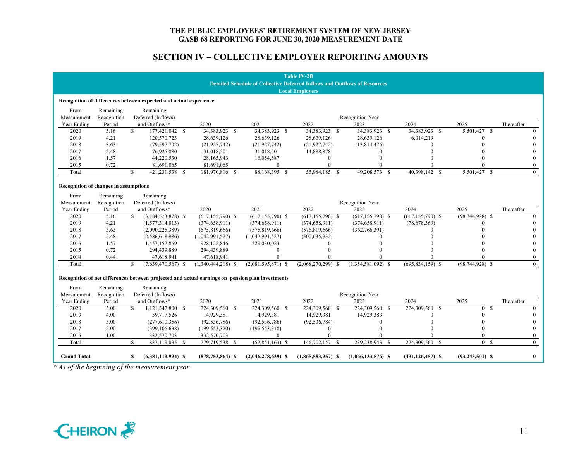## **SECTION IV – COLLECTIVE EMPLOYER REPORTING AMOUNTS**

|                                                                                   |                       |              |                                                                   |                                                                                                  |                      | <b>Table IV-2B</b>   |                      |                              |                     |              |
|-----------------------------------------------------------------------------------|-----------------------|--------------|-------------------------------------------------------------------|--------------------------------------------------------------------------------------------------|----------------------|----------------------|----------------------|------------------------------|---------------------|--------------|
| <b>Detailed Schedule of Collective Deferred Inflows and Outflows of Resources</b> |                       |              |                                                                   |                                                                                                  |                      |                      |                      |                              |                     |              |
| <b>Local Employers</b>                                                            |                       |              |                                                                   |                                                                                                  |                      |                      |                      |                              |                     |              |
|                                                                                   |                       |              | Recognition of differences between expected and actual experience |                                                                                                  |                      |                      |                      |                              |                     |              |
|                                                                                   |                       |              |                                                                   |                                                                                                  |                      |                      |                      |                              |                     |              |
| From<br>Measurement                                                               | Remaining             |              | Remaining<br>Deferred (Inflows)                                   |                                                                                                  |                      |                      | Recognition Year     |                              |                     |              |
| Year Ending                                                                       | Recognition<br>Period |              | and Outflows*                                                     | 2020                                                                                             | 2021                 | 2022                 | 2023                 | 2024                         | 2025                | Thereafter   |
| 2020                                                                              | 5.16                  | $\mathbf{s}$ | 177,421,042 \$                                                    | 34,383,923 \$                                                                                    | 34,383,923 \$        | 34,383,923 \$        | 34,383,923 \$        | 34,383,923<br><sup>\$</sup>  | 5,501,427 \$        | $\theta$     |
| 2019                                                                              | 4.21                  |              | 120,570,723                                                       | 28,639,126                                                                                       | 28,639,126           | 28,639,126           | 28,639,126           | 6,014,219                    | $\Omega$            | $\Omega$     |
| 2018                                                                              | 3.63                  |              | (79, 597, 702)                                                    | (21, 927, 742)                                                                                   | (21, 927, 742)       | (21, 927, 742)       | (13,814,476)         | $\Omega$                     |                     | $\Omega$     |
| 2017                                                                              | 2.48                  |              | 76,925,880                                                        | 31,018,501                                                                                       | 31,018,501           | 14,888,878           | 0                    |                              |                     | $\theta$     |
| 2016                                                                              | 1.57                  |              | 44,220,530                                                        | 28,165,943                                                                                       | 16,054,587           | $\mathbf{0}$         | $\Omega$             |                              |                     | $\Omega$     |
| 2015                                                                              | 0.72                  |              | 81,691,065                                                        | 81,691,065                                                                                       | $\mathbf{0}$         | $\theta$             |                      |                              |                     | $\mathbf{0}$ |
| Total                                                                             |                       | S            | 421,231,538 \$                                                    | 181,970,816 \$                                                                                   | 88,168,395 \$        | 55,984,185 \$        | 49,208,573 \$        | 40,398,142 \$                | 5,501,427 \$        | $\theta$     |
|                                                                                   |                       |              |                                                                   |                                                                                                  |                      |                      |                      |                              |                     |              |
| <b>Recognition of changes in assumptions</b>                                      |                       |              |                                                                   |                                                                                                  |                      |                      |                      |                              |                     |              |
| From                                                                              | Remaining             |              | Remaining                                                         |                                                                                                  |                      |                      |                      |                              |                     |              |
| Measurement                                                                       | Recognition           |              | Deferred (Inflows)                                                |                                                                                                  |                      |                      | Recognition Year     |                              |                     |              |
| Year Ending                                                                       | Period                |              | and Outflows*                                                     | 2020                                                                                             | 2021                 | 2022                 | 2023                 | 2024                         | 2025                | Thereafter   |
| 2020                                                                              | 5.16                  | S.           | $(3,184,523,878)$ \$                                              | $(617, 155, 790)$ \$                                                                             | $(617, 155, 790)$ \$ | $(617, 155, 790)$ \$ | $(617, 155, 790)$ \$ | $(617, 155, 790)$ \$         | $(98,744,928)$ \$   | $\theta$     |
| 2019                                                                              | 4.21                  |              | (1,577,314,013)                                                   | (374, 658, 911)                                                                                  | (374, 658, 911)      | (374, 658, 911)      | (374, 658, 911)      | (78,678,369)                 | $\Omega$            | $\theta$     |
| 2018                                                                              | 3.63                  |              | (2,090,225,389)                                                   | (575, 819, 666)                                                                                  | (575, 819, 666)      | (575, 819, 666)      | (362, 766, 391)      |                              |                     |              |
| 2017                                                                              | 2.48                  |              | (2,586,618,986)                                                   | (1,042,991,527)                                                                                  | (1,042,991,527)      | (500, 635, 932)      |                      |                              |                     | $\theta$     |
| 2016                                                                              | 1.57                  |              | 1,457,152,869                                                     | 928,122,846                                                                                      | 529,030,023          | $\Omega$             |                      |                              |                     | $\theta$     |
| 2015                                                                              | 0.72                  |              | 294,439,889                                                       | 294,439,889                                                                                      | $\mathbf{0}$         |                      |                      |                              |                     | $\Omega$     |
| 2014                                                                              | 0.44                  |              | 47,618,941                                                        | 47,618,941                                                                                       | $\Omega$             |                      |                      |                              |                     | $\theta$     |
| Total                                                                             |                       | ¢            | $(7,639,470,567)$ \$                                              | (1,340,444,218)                                                                                  | $(2,081,595,871)$ \$ | $(2,068,270,299)$ \$ | $(1,354,581,092)$ \$ | $(695, 834, 159)$ \$         | $(98,744,928)$ \$   | $\theta$     |
|                                                                                   |                       |              |                                                                   | Recognition of net differences between projected and actual earnings on pension plan investments |                      |                      |                      |                              |                     |              |
| From                                                                              | Remaining             |              | Remaining                                                         |                                                                                                  |                      |                      |                      |                              |                     |              |
| Measurement                                                                       | Recognition           |              | Deferred (Inflows)                                                |                                                                                                  |                      |                      | Recognition Year     |                              |                     |              |
| Year Ending                                                                       | Period                |              | and Outflows*                                                     | 2020                                                                                             | 2021                 | 2022                 | 2023                 | 2024                         | 2025                | Thereafter   |
| 2020                                                                              | 5.00                  | \$.          | 1,121,547,800 \$                                                  | 224,309,560 \$                                                                                   | 224,309,560 \$       | 224,309,560 \$       | 224,309,560 \$       | 224,309,560<br><sup>\$</sup> | 0 S                 | $\theta$     |
| 2019                                                                              | 4.00                  |              | 59,717,526                                                        | 14,929,381                                                                                       | 14,929,381           | 14,929,381           | 14,929,383           |                              | $\Omega$            | $\theta$     |
| 2018                                                                              | 3.00                  |              | (277,610,356)                                                     | (92, 536, 786)                                                                                   | (92, 536, 786)       | (92, 536, 784)       | $\theta$             |                              | $\Omega$            | $\theta$     |
| 2017                                                                              | 2.00                  |              | (399, 106, 638)                                                   | (199, 553, 320)                                                                                  | (199, 553, 318)      | $\theta$             | $\Omega$             |                              | $\Omega$            | $\Omega$     |
| 2016                                                                              | 1.00                  |              | 332,570,703                                                       | 332,570,703                                                                                      | $\mathbf{0}$         | $\theta$             |                      |                              | $\Omega$            | $\mathbf{0}$ |
| Total                                                                             |                       | \$.          | 837,119,035 \$                                                    | 279,719,538 \$                                                                                   | $(52.851.163)$ \$    | 146,702,157 \$       | 239,238,943 \$       | 224,309,560 \$               | 0 S                 | $\theta$     |
|                                                                                   |                       |              |                                                                   |                                                                                                  |                      |                      |                      |                              |                     |              |
| <b>Grand Total</b>                                                                |                       | S.           | $(6,381,119,994)$ \$                                              | $(878, 753, 864)$ \$                                                                             | $(2,046,278,639)$ \$ | $(1,865,583,957)$ \$ | $(1,066,133,576)$ \$ | $(431, 126, 457)$ \$         | $(93, 243, 501)$ \$ | $\bf{0}$     |
|                                                                                   |                       |              | * As of the beginning of the measurement year                     |                                                                                                  |                      |                      |                      |                              |                     |              |

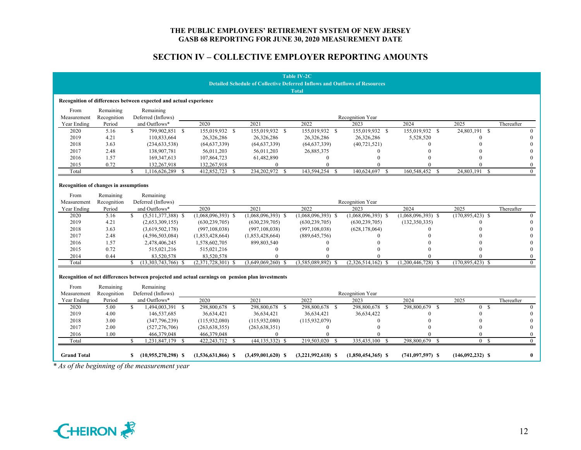## **SECTION IV – COLLECTIVE EMPLOYER REPORTING AMOUNTS**

|                                              |                |                                                                   |                                                                                                  |                                                                                   | <b>Table IV-2C</b>   |                      |                             |                                  |              |
|----------------------------------------------|----------------|-------------------------------------------------------------------|--------------------------------------------------------------------------------------------------|-----------------------------------------------------------------------------------|----------------------|----------------------|-----------------------------|----------------------------------|--------------|
|                                              |                |                                                                   |                                                                                                  | <b>Detailed Schedule of Collective Deferred Inflows and Outflows of Resources</b> |                      |                      |                             |                                  |              |
|                                              |                |                                                                   |                                                                                                  |                                                                                   | <b>Total</b>         |                      |                             |                                  |              |
|                                              |                | Recognition of differences between expected and actual experience |                                                                                                  |                                                                                   |                      |                      |                             |                                  |              |
| From                                         | Remaining      | Remaining                                                         |                                                                                                  |                                                                                   |                      |                      |                             |                                  |              |
| Measurement                                  | Recognition    | Deferred (Inflows)                                                |                                                                                                  |                                                                                   |                      | Recognition Year     |                             |                                  |              |
|                                              |                | and Outflows*                                                     | 2020                                                                                             | 2021                                                                              | 2022                 | 2023                 | 2024                        | 2025                             | Thereafter   |
| Year Ending<br>2020                          | Period<br>5.16 | $\mathbf{s}$<br>799.902.851 \$                                    | 155,019,932 \$                                                                                   | 155,019,932 \$                                                                    | 155,019,932 \$       | 155,019,932 \$       | 155,019,932<br>$\mathbf{s}$ | 24,803,191<br>$\mathbf{\hat{s}}$ | $\Omega$     |
| 2019                                         | 4.21           | 110,833,664                                                       | 26,326,286                                                                                       | 26,326,286                                                                        | 26,326,286           | 26,326,286           |                             |                                  |              |
|                                              |                |                                                                   |                                                                                                  |                                                                                   |                      |                      | 5,528,520                   |                                  |              |
| 2018                                         | 3.63           | (234, 633, 538)                                                   | (64, 637, 339)                                                                                   | (64, 637, 339)                                                                    | (64, 637, 339)       | (40, 721, 521)       | 0                           |                                  |              |
| 2017                                         | 2.48           | 138,907,781                                                       | 56,011,203                                                                                       | 56,011,203                                                                        | 26,885,375           | $\Omega$             |                             |                                  | $\Omega$     |
| 2016                                         | 1.57           | 169, 347, 613                                                     | 107,864,723                                                                                      | 61,482,890                                                                        | $\mathbf{0}$         | $\Omega$             |                             |                                  |              |
| 2015                                         | 0.72           | 132,267,918                                                       | 132,267,918                                                                                      | $\mathbf{0}$                                                                      | $\theta$             | $\Omega$             |                             |                                  | $\mathbf{0}$ |
| Total                                        |                | 1,116,626,289<br>S.                                               | 412,852,723<br>-8<br>-S                                                                          | 234,202,972<br>- \$                                                               | 143,594,254<br>- \$  | 140,624,697<br>-8    | 160,548,452<br>-\$          | 24,803,191<br>$\mathcal{S}$      | $\Omega$     |
| <b>Recognition of changes in assumptions</b> |                |                                                                   |                                                                                                  |                                                                                   |                      |                      |                             |                                  |              |
| From                                         | Remaining      | Remaining                                                         |                                                                                                  |                                                                                   |                      |                      |                             |                                  |              |
| Measurement                                  | Recognition    | Deferred (Inflows)                                                |                                                                                                  |                                                                                   |                      | Recognition Year     |                             |                                  |              |
| Year Ending                                  | Period         | and Outflows*                                                     | 2020                                                                                             | 2021                                                                              | 2022                 | 2023                 | 2024                        | 2025                             | Thereafter   |
| 2020                                         | 5.16           | \$.<br>$(5,511,377,388)$ \$                                       | $(1,068,096,393)$ \$                                                                             | $(1,068,096,393)$ \$                                                              | $(1,068,096,393)$ \$ | $(1,068,096,393)$ \$ | $(1,068,096,393)$ \$        | $(170,895,423)$ \$               |              |
| 2019                                         | 4.21           | (2,653,309,155)                                                   | (630, 239, 705)                                                                                  | (630, 239, 705)                                                                   | (630, 239, 705)      | (630, 239, 705)      | (132,350,335)               | 0                                | 0            |
| 2018                                         | 3.63           | (3,619,502,178)                                                   | (997, 108, 038)                                                                                  | (997, 108, 038)                                                                   | (997, 108, 038)      | (628, 178, 064)      |                             |                                  |              |
| 2017                                         | 2.48           | (4,596,503,084)                                                   | (1,853,428,664)                                                                                  | (1,853,428,664)                                                                   | (889, 645, 756)      |                      |                             |                                  | $\Omega$     |
| 2016                                         | 1.57           | 2,478,406,245                                                     | 1,578,602,705                                                                                    | 899,803,540                                                                       | $\Omega$             |                      |                             |                                  | $\Omega$     |
| 2015                                         | 0.72           | 515,021,216                                                       | 515,021,216                                                                                      | $\theta$                                                                          |                      |                      |                             |                                  | $\theta$     |
| 2014                                         | 0.44           | 83,520,578                                                        | 83,520,578                                                                                       |                                                                                   |                      |                      |                             |                                  | $\theta$     |
| Total                                        |                | $(13,303,743,766)$ \$                                             | $(2,371,728,301)$ \$                                                                             | $(3,649,069,260)$ \$                                                              | $(3,585,089,892)$ \$ | $(2,326,514,162)$ \$ | $(1,200,446,728)$ \$        | $(170,895,423)$ \$               | $\theta$     |
| From                                         | Remaining      | Remaining                                                         | Recognition of net differences between projected and actual earnings on pension plan investments |                                                                                   |                      |                      |                             |                                  |              |
| Measurement                                  | Recognition    | Deferred (Inflows)                                                |                                                                                                  |                                                                                   |                      | Recognition Year     |                             |                                  |              |
| Year Ending                                  | Period         | and Outflows*                                                     | 2020                                                                                             | 2021                                                                              | 2022                 | 2023                 | 2024                        | 2025                             | Thereafter   |
| 2020                                         | 5.00           | \$<br>1,494,003,391 \$                                            | 298,800,678 \$                                                                                   | 298,800,678 \$                                                                    | 298,800,678 \$       | 298,800,678 \$       | 298,800,679 \$              | $\overline{0}$<br><sup>S</sup>   | $\Omega$     |
| 2019                                         | 4.00           | 146,537,685                                                       | 36,634,421                                                                                       | 36,634,421                                                                        | 36,634,421           | 36,634,422           |                             | 0                                | $\theta$     |
| 2018                                         | 3.00           | (347,796,239)                                                     | (115,932,080)                                                                                    | (115,932,080)                                                                     | (115, 932, 079)      | $\theta$             |                             |                                  | $\theta$     |
| 2017                                         | 2.00           | (527, 276, 706)                                                   | (263, 638, 355)                                                                                  | (263, 638, 351)                                                                   | 0                    |                      |                             | $\Omega$                         | $\Omega$     |
| 2016                                         | 1.00           | 466,379,048                                                       | 466,379,048                                                                                      | $\Omega$                                                                          |                      |                      |                             |                                  | $\Omega$     |
| Total                                        |                | 1,231,847,179 \$<br><sup>\$</sup>                                 | 422,243,712 \$                                                                                   | $(44, 135, 332)$ \$                                                               | 219,503,020 \$       | 335,435,100 \$       | 298,800,679<br>- \$         | 0 <sup>5</sup>                   | $\theta$     |
|                                              |                |                                                                   |                                                                                                  |                                                                                   |                      |                      |                             |                                  |              |
| <b>Grand Total</b>                           |                | $(10,955,270,298)$ \$<br>S.                                       | $(1,536,631,866)$ \$                                                                             | $(3,459,001,620)$ \$                                                              | $(3,221,992,618)$ \$ | $(1,850,454,365)$ \$ | $(741, 097, 597)$ \$        | $(146,092,232)$ \$               | $\bf{0}$     |
|                                              |                | * As of the beginning of the measurement year                     |                                                                                                  |                                                                                   |                      |                      |                             |                                  |              |

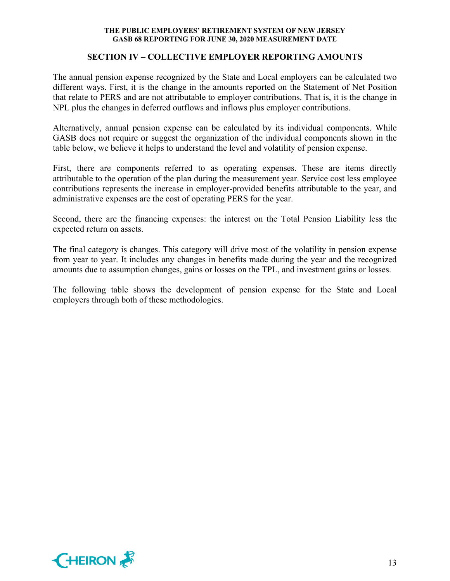## **SECTION IV – COLLECTIVE EMPLOYER REPORTING AMOUNTS**

The annual pension expense recognized by the State and Local employers can be calculated two different ways. First, it is the change in the amounts reported on the Statement of Net Position that relate to PERS and are not attributable to employer contributions. That is, it is the change in NPL plus the changes in deferred outflows and inflows plus employer contributions.

Alternatively, annual pension expense can be calculated by its individual components. While GASB does not require or suggest the organization of the individual components shown in the table below, we believe it helps to understand the level and volatility of pension expense.

First, there are components referred to as operating expenses. These are items directly attributable to the operation of the plan during the measurement year. Service cost less employee contributions represents the increase in employer-provided benefits attributable to the year, and administrative expenses are the cost of operating PERS for the year.

Second, there are the financing expenses: the interest on the Total Pension Liability less the expected return on assets.

The final category is changes. This category will drive most of the volatility in pension expense from year to year. It includes any changes in benefits made during the year and the recognized amounts due to assumption changes, gains or losses on the TPL, and investment gains or losses.

The following table shows the development of pension expense for the State and Local employers through both of these methodologies.

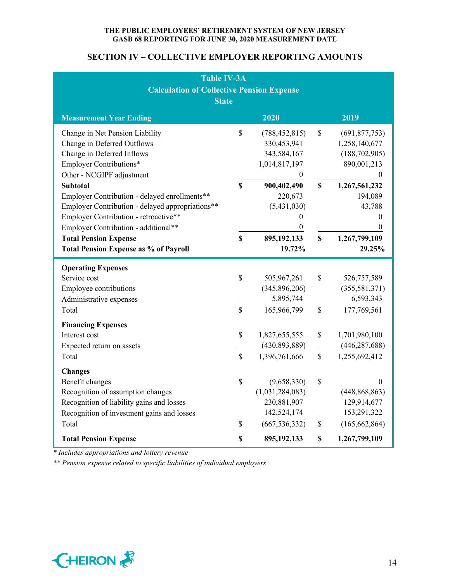## **SECTION IV – COLLECTIVE EMPLOYER REPORTING AMOUNTS**

| <b>Table IV-3A</b><br><b>Calculation of Collective Pension Expense</b><br><b>State</b>                                                                                                                                                                                                                                |                    |                                                                                                                                |                    |                                                                                                                                  |  |  |  |
|-----------------------------------------------------------------------------------------------------------------------------------------------------------------------------------------------------------------------------------------------------------------------------------------------------------------------|--------------------|--------------------------------------------------------------------------------------------------------------------------------|--------------------|----------------------------------------------------------------------------------------------------------------------------------|--|--|--|
| <b>Measurement Year Ending</b>                                                                                                                                                                                                                                                                                        |                    | 2020                                                                                                                           |                    | 2019                                                                                                                             |  |  |  |
| Change in Net Pension Liability<br>Change in Deferred Outflows<br>Change in Deferred Inflows<br>Employer Contributions*<br>Other - NCGIPF adjustment<br><b>Subtotal</b><br>Employer Contribution - delayed enrollments**<br>Employer Contribution - delayed appropriations**<br>Employer Contribution - retroactive** | \$<br>$\mathbf S$  | (788, 452, 815)<br>330,453,941<br>343,584,167<br>1,014,817,197<br>$\overline{0}$<br>900,402,490<br>220,673<br>(5,431,030)<br>0 | \$<br>$\mathbf S$  | (691, 877, 753)<br>1,258,140,677<br>(188, 702, 905)<br>890,001,213<br>$\theta$<br>1,267,561,232<br>194,089<br>43,788<br>$\theta$ |  |  |  |
| Employer Contribution - additional**<br><b>Total Pension Expense</b><br><b>Total Pension Expense as % of Payroll</b>                                                                                                                                                                                                  | $\mathbf S$        | $\boldsymbol{0}$<br>895,192,133<br>19.72%                                                                                      | \$                 | $\overline{0}$<br>1,267,799,109<br>29.25%                                                                                        |  |  |  |
| <b>Operating Expenses</b><br>Service cost<br><b>Employee contributions</b><br>Administrative expenses<br>Total                                                                                                                                                                                                        | \$<br>$\hat{S}$    | 505,967,261<br>(345,896,206)<br>5,895,744<br>165,966,799                                                                       | \$<br>$\mathbb{S}$ | 526,757,589<br>(355, 581, 371)<br>6,593,343<br>177,769,561                                                                       |  |  |  |
| <b>Financing Expenses</b><br>Interest cost<br>Expected return on assets<br>Total                                                                                                                                                                                                                                      | \$<br>$\mathbb{S}$ | 1,827,655,555<br>(430, 893, 889)<br>1,396,761,666                                                                              | \$<br>$\mathbb{S}$ | 1,701,980,100<br>(446, 287, 688)<br>1,255,692,412                                                                                |  |  |  |
| <b>Changes</b><br>Benefit changes<br>Recognition of assumption changes<br>Recognition of liability gains and losses<br>Recognition of investment gains and losses<br>Total<br><b>Total Pension Expense</b>                                                                                                            | \$<br>\$<br>\$     | (9,658,330)<br>(1,031,284,083)<br>230,881,907<br>142,524,174<br>(667, 536, 332)<br>895,192,133                                 | \$<br>\$<br>\$     | $\Omega$<br>(448, 868, 863)<br>129,914,677<br>153,291,322<br>(165, 662, 864)<br>1,267,799,109                                    |  |  |  |

*\* Includes appropriations and lottery revenue* 

*\*\* Pension expense related to specific liabilities of individual employers* 

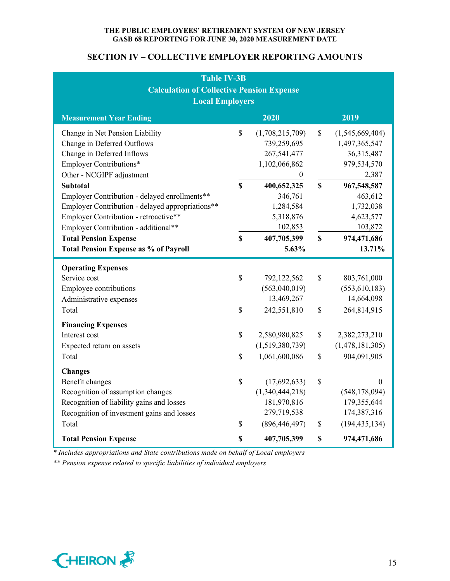## **SECTION IV – COLLECTIVE EMPLOYER REPORTING AMOUNTS**

| <b>Table IV-3B</b><br><b>Calculation of Collective Pension Expense</b>                                                                                                                                                                                                                                                                                                                                                                        |                                            |                                                                                                                                                                   |                              |                                                                                                                                                                |  |  |  |
|-----------------------------------------------------------------------------------------------------------------------------------------------------------------------------------------------------------------------------------------------------------------------------------------------------------------------------------------------------------------------------------------------------------------------------------------------|--------------------------------------------|-------------------------------------------------------------------------------------------------------------------------------------------------------------------|------------------------------|----------------------------------------------------------------------------------------------------------------------------------------------------------------|--|--|--|
| <b>Local Employers</b>                                                                                                                                                                                                                                                                                                                                                                                                                        |                                            |                                                                                                                                                                   |                              |                                                                                                                                                                |  |  |  |
| 2020<br>2019<br><b>Measurement Year Ending</b>                                                                                                                                                                                                                                                                                                                                                                                                |                                            |                                                                                                                                                                   |                              |                                                                                                                                                                |  |  |  |
| Change in Net Pension Liability<br>Change in Deferred Outflows<br>Change in Deferred Inflows<br>Employer Contributions*<br>Other - NCGIPF adjustment<br><b>Subtotal</b><br>Employer Contribution - delayed enrollments**<br>Employer Contribution - delayed appropriations**<br>Employer Contribution - retroactive**<br>Employer Contribution - additional**<br><b>Total Pension Expense</b><br><b>Total Pension Expense as % of Payroll</b> | $\mathbb{S}$<br>$\mathbf S$<br>$\mathbf S$ | (1,708,215,709)<br>739,259,695<br>267,541,477<br>1,102,066,862<br>$\theta$<br>400,652,325<br>346,761<br>1,284,584<br>5,318,876<br>102,853<br>407,705,399<br>5.63% | \$<br>$\mathbf S$<br>\$      | (1,545,669,404)<br>1,497,365,547<br>36,315,487<br>979,534,570<br>2,387<br>967,548,587<br>463,612<br>1,732,038<br>4,623,577<br>103,872<br>974,471,686<br>13.71% |  |  |  |
| <b>Operating Expenses</b><br>Service cost<br>Employee contributions<br>Administrative expenses<br>Total                                                                                                                                                                                                                                                                                                                                       | $\mathbb{S}$<br>$\mathbb{S}$               | 792,122,562<br>(563,040,019)<br>13,469,267<br>242,551,810                                                                                                         | \$<br>\$                     | 803,761,000<br>(553, 610, 183)<br>14,664,098<br>264,814,915                                                                                                    |  |  |  |
| <b>Financing Expenses</b><br>Interest cost<br>Expected return on assets<br>Total                                                                                                                                                                                                                                                                                                                                                              | $\mathbb{S}$<br>$\mathbb{S}$               | 2,580,980,825<br>(1,519,380,739)<br>1,061,600,086                                                                                                                 | $\mathbb{S}$<br>$\mathbb{S}$ | 2,382,273,210<br>(1,478,181,305)<br>904,091,905                                                                                                                |  |  |  |
| <b>Changes</b><br>Benefit changes<br>Recognition of assumption changes<br>Recognition of liability gains and losses<br>Recognition of investment gains and losses<br>Total                                                                                                                                                                                                                                                                    | \$<br>$\mathbb{S}$                         | (17,692,633)<br>(1,340,444,218)<br>181,970,816<br>279,719,538<br>(896, 446, 497)                                                                                  | \$<br>\$                     | $\theta$<br>(548, 178, 094)<br>179,355,644<br>174,387,316<br>(194, 435, 134)                                                                                   |  |  |  |
| <b>Total Pension Expense</b>                                                                                                                                                                                                                                                                                                                                                                                                                  | \$                                         | 407,705,399                                                                                                                                                       | \$                           | 974,471,686                                                                                                                                                    |  |  |  |

*\* Includes appropriations and State contributions made on behalf of Local employers* 

*\*\* Pension expense related to specific liabilities of individual employers* 

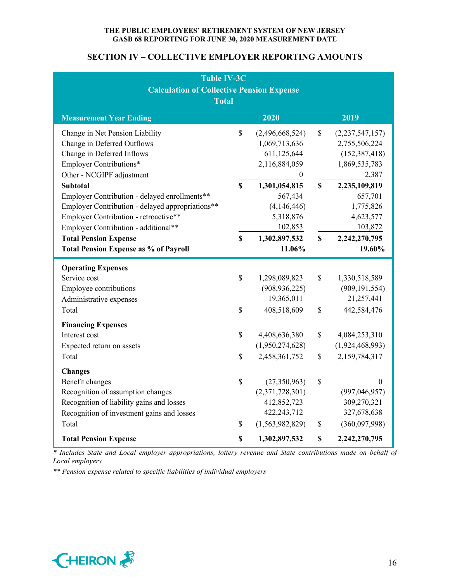## **SECTION IV – COLLECTIVE EMPLOYER REPORTING AMOUNTS**

| <b>Table IV-3C</b><br><b>Calculation of Collective Pension Expense</b><br><b>Total</b>                                                                                                                                                                                                                                                                                                                                                        |                                  |                                                                                                                                                                                    |                          |                                                                                                                                                                           |  |  |  |
|-----------------------------------------------------------------------------------------------------------------------------------------------------------------------------------------------------------------------------------------------------------------------------------------------------------------------------------------------------------------------------------------------------------------------------------------------|----------------------------------|------------------------------------------------------------------------------------------------------------------------------------------------------------------------------------|--------------------------|---------------------------------------------------------------------------------------------------------------------------------------------------------------------------|--|--|--|
| 2020<br>2019<br><b>Measurement Year Ending</b>                                                                                                                                                                                                                                                                                                                                                                                                |                                  |                                                                                                                                                                                    |                          |                                                                                                                                                                           |  |  |  |
| Change in Net Pension Liability<br>Change in Deferred Outflows<br>Change in Deferred Inflows<br>Employer Contributions*<br>Other - NCGIPF adjustment<br><b>Subtotal</b><br>Employer Contribution - delayed enrollments**<br>Employer Contribution - delayed appropriations**<br>Employer Contribution - retroactive**<br>Employer Contribution - additional**<br><b>Total Pension Expense</b><br><b>Total Pension Expense as % of Payroll</b> | \$<br>$\mathbf S$<br>$\mathbf S$ | (2,496,668,524)<br>1,069,713,636<br>611,125,644<br>2,116,884,059<br>$\boldsymbol{0}$<br>1,301,054,815<br>567,434<br>(4,146,446)<br>5,318,876<br>102,853<br>1,302,897,532<br>11.06% | \$<br>\$<br>\$           | (2,237,547,157)<br>2,755,506,224<br>(152, 387, 418)<br>1,869,535,783<br>2,387<br>2,235,109,819<br>657,701<br>1,775,826<br>4,623,577<br>103,872<br>2,242,270,795<br>19.60% |  |  |  |
| <b>Operating Expenses</b><br>Service cost<br><b>Employee contributions</b><br>Administrative expenses<br>Total                                                                                                                                                                                                                                                                                                                                | \$<br>$\mathsf{\$}$              | 1,298,089,823<br>(908, 936, 225)<br>19,365,011<br>408,518,609                                                                                                                      | \$<br>\$                 | 1,330,518,589<br>(909, 191, 554)<br>21,257,441<br>442,584,476                                                                                                             |  |  |  |
| <b>Financing Expenses</b><br>Interest cost<br>Expected return on assets<br>Total                                                                                                                                                                                                                                                                                                                                                              | \$<br>$\mathbb{S}$               | 4,408,636,380<br>(1,950,274,628)<br>2,458,361,752                                                                                                                                  | \$<br>$\mathbb{S}$       | 4,084,253,310<br>(1,924,468,993)<br>2,159,784,317                                                                                                                         |  |  |  |
| <b>Changes</b><br>Benefit changes<br>Recognition of assumption changes<br>Recognition of liability gains and losses<br>Recognition of investment gains and losses<br>Total<br><b>Total Pension Expense</b>                                                                                                                                                                                                                                    | \$<br>\$<br>\$                   | (27,350,963)<br>(2,371,728,301)<br>412,852,723<br>422,243,712<br>(1,563,982,829)<br>1,302,897,532                                                                                  | $\mathbb{S}$<br>\$<br>\$ | $\theta$<br>(997, 046, 957)<br>309,270,321<br>327,678,638<br>(360,097,998)<br>2,242,270,795                                                                               |  |  |  |

*\* Includes State and Local employer appropriations, lottery revenue and State contributions made on behalf of Local employers*

*\*\* Pension expense related to specific liabilities of individual employers* 

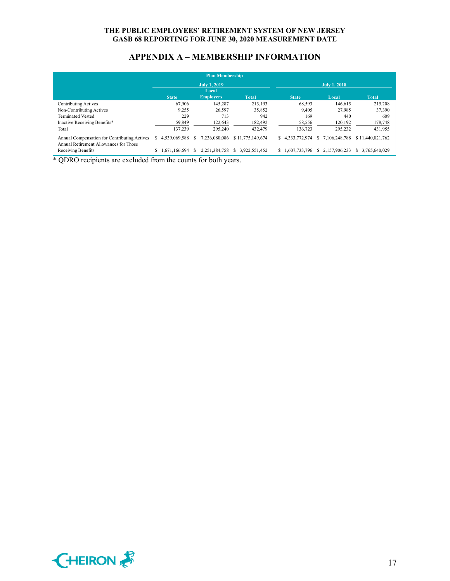## **APPENDIX A – MEMBERSHIP INFORMATION**

| <b>Plan Membership</b>                                                                 |                     |               |   |                           |                  |    |               |   |               |                     |
|----------------------------------------------------------------------------------------|---------------------|---------------|---|---------------------------|------------------|----|---------------|---|---------------|---------------------|
|                                                                                        | <b>July 1, 2019</b> |               |   |                           |                  |    | July 1, 2018  |   |               |                     |
|                                                                                        |                     | <b>State</b>  |   | Local<br><b>Employers</b> | <b>Total</b>     |    | <b>State</b>  |   | Local         | <b>Total</b>        |
| Contributing Actives                                                                   |                     | 67,906        |   | 145,287                   | 213,193          |    | 68,593        |   | 146,615       | 215,208             |
| Non-Contributing Actives                                                               |                     | 9.255         |   | 26,597                    | 35,852           |    | 9,405         |   | 27.985        | 37,390              |
| <b>Terminated Vested</b>                                                               |                     | 229           |   | 713                       | 942              |    | 169           |   | 440           | 609                 |
| Inactive Receiving Benefits*                                                           |                     | 59.849        |   | 122,643                   | 182,492          |    | 58,556        |   | 120,192       | 178,748             |
| Total                                                                                  |                     | 137,239       |   | 295,240                   | 432,479          |    | 136,723       |   | 295,232       | 431,955             |
| Annual Compensation for Contributing Actives<br>Annual Retirement Allowances for Those | S                   | 4.539.069.588 |   | 7.236.080.086             | \$11,775,149,674 | S. | 4,333,772,974 |   | 7.106.248.788 | \$11,440,021,762    |
| Receiving Benefits                                                                     | \$                  | 1,671,166,694 | S | 2.251.384.758             | 3.922.551.452    | S. | 1,607,733,796 | У | 2.157.906.233 | 3.765.640.029<br>S. |

\* QDRO recipients are excluded from the counts for both years.

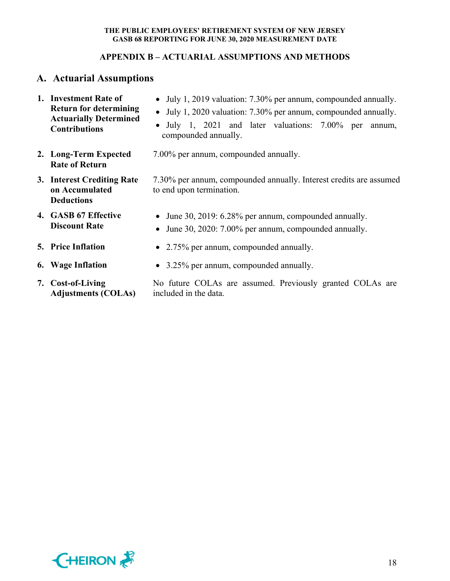## **APPENDIX B – ACTUARIAL ASSUMPTIONS AND METHODS**

# **A. Actuarial Assumptions**

- **1. Investment Rate of Return for determining Actuarially Determined Contributions**  July 1, 2019 valuation: 7.30% per annum, compounded annually. July 1, 2020 valuation: 7.30% per annum, compounded annually. • July 1, 2021 and later valuations: 7.00% per annum, compounded annually.
- **2. Long-Term Expected Rate of Return**
- **3. Interest Crediting Rate on Accumulated Deductions**
- **4. GASB 67 Effective Discount Rate**
- 
- 
- **7. Cost-of-Living Adjustments (COLAs)**
- 
- 7.00% per annum, compounded annually.
- 7.30% per annum, compounded annually. Interest credits are assumed to end upon termination.
	- June 30, 2019: 6.28% per annum, compounded annually.
	- June 30, 2020: 7.00% per annum, compounded annually.
- **5.** Price Inflation 2.75% per annum, compounded annually.
- **6. Wage Inflation •** 3.25% per annum, compounded annually.

No future COLAs are assumed. Previously granted COLAs are included in the data.

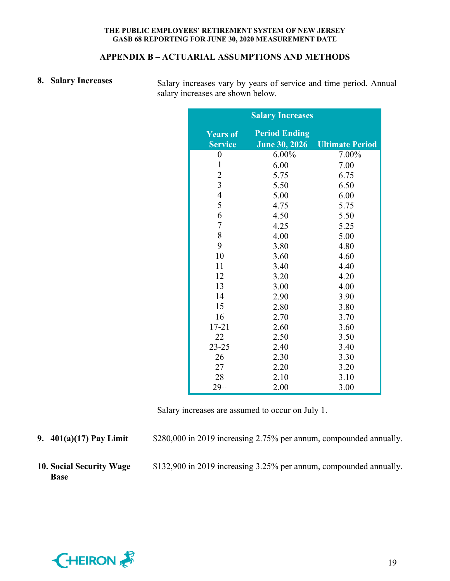### **APPENDIX B – ACTUARIAL ASSUMPTIONS AND METHODS**

8. Salary Increases Salary increases vary by years of service and time period. Annual salary increases are shown below.

|                                   | <b>Salary Increases</b>                      |                        |
|-----------------------------------|----------------------------------------------|------------------------|
| <b>Years of</b><br><b>Service</b> | <b>Period Ending</b><br><b>June 30, 2026</b> | <b>Ultimate Period</b> |
| $\boldsymbol{0}$                  | 6.00%                                        | 7.00%                  |
| $\mathbf{1}$                      | 6.00                                         | 7.00                   |
| $\overline{c}$                    | 5.75                                         | 6.75                   |
| $\overline{\mathbf{3}}$           | 5.50                                         | 6.50                   |
| $\overline{4}$                    | 5.00                                         | 6.00                   |
| 5                                 | 4.75                                         | 5.75                   |
| 6                                 | 4.50                                         | 5.50                   |
| $\overline{7}$                    | 4.25                                         | 5.25                   |
| 8                                 | 4.00                                         | 5.00                   |
| 9                                 | 3.80                                         | 4.80                   |
| 10                                | 3.60                                         | 4.60                   |
| 11                                | 3.40                                         | 4.40                   |
| 12                                | 3.20                                         | 4.20                   |
| 13                                | 3.00                                         | 4.00                   |
| 14                                | 2.90                                         | 3.90                   |
| 15                                | 2.80                                         | 3.80                   |
| 16                                | 2.70                                         | 3.70                   |
| $17 - 21$                         | 2.60                                         | 3.60                   |
| 22                                | 2.50                                         | 3.50                   |
| $23 - 25$                         | 2.40                                         | 3.40                   |
| 26                                | 2.30                                         | 3.30                   |
| 27                                | 2.20                                         | 3.20                   |
| 28                                | 2.10                                         | 3.10                   |
| $29+$                             | 2.00                                         | 3.00                   |

Salary increases are assumed to occur on July 1.

**9. 401(a)(17) Pay Limit** \$280,000 in 2019 increasing 2.75% per annum, compounded annually.

**10. Social Security Wage Base** 

\$132,900 in 2019 increasing 3.25% per annum, compounded annually.

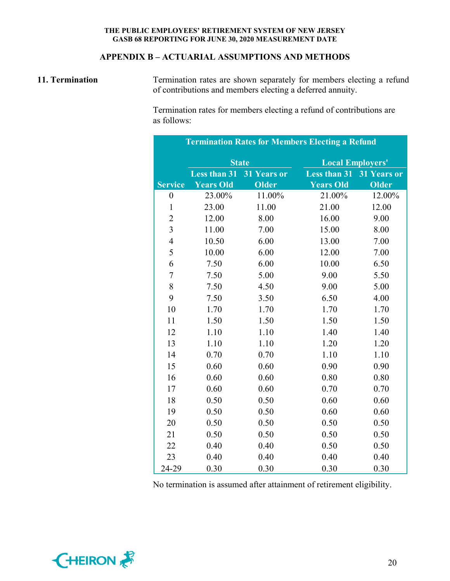## **APPENDIX B – ACTUARIAL ASSUMPTIONS AND METHODS**

**11. Termination Termination rates are shown separately for members electing a refund** of contributions and members electing a deferred annuity.

> Termination rates for members electing a refund of contributions are as follows:

| <b>Termination Rates for Members Electing a Refund</b> |                     |              |                         |              |  |  |
|--------------------------------------------------------|---------------------|--------------|-------------------------|--------------|--|--|
|                                                        | <b>State</b>        |              | <b>Local Employers'</b> |              |  |  |
|                                                        | <b>Less than 31</b> | 31 Years or  | <b>Less than 31</b>     | 31 Years or  |  |  |
| <b>Service</b>                                         | <b>Years Old</b>    | <b>Older</b> | <b>Years Old</b>        | <b>Older</b> |  |  |
| $\boldsymbol{0}$                                       | 23.00%              | 11.00%       | 21.00%                  | 12.00%       |  |  |
| $\mathbf{1}$                                           | 23.00               | 11.00        | 21.00                   | 12.00        |  |  |
| $\overline{c}$                                         | 12.00               | 8.00         | 16.00                   | 9.00         |  |  |
| $\overline{3}$                                         | 11.00               | 7.00         | 15.00                   | 8.00         |  |  |
| $\overline{4}$                                         | 10.50               | 6.00         | 13.00                   | 7.00         |  |  |
| 5                                                      | 10.00               | 6.00         | 12.00                   | 7.00         |  |  |
| 6                                                      | 7.50                | 6.00         | 10.00                   | 6.50         |  |  |
| $\tau$                                                 | 7.50                | 5.00         | 9.00                    | 5.50         |  |  |
| 8                                                      | 7.50                | 4.50         | 9.00                    | 5.00         |  |  |
| 9                                                      | 7.50                | 3.50         | 6.50                    | 4.00         |  |  |
| 10                                                     | 1.70                | 1.70         | 1.70                    | 1.70         |  |  |
| 11                                                     | 1.50                | 1.50         | 1.50                    | 1.50         |  |  |
| 12                                                     | 1.10                | 1.10         | 1.40                    | 1.40         |  |  |
| 13                                                     | 1.10                | 1.10         | 1.20                    | 1.20         |  |  |
| 14                                                     | 0.70                | 0.70         | 1.10                    | 1.10         |  |  |
| 15                                                     | 0.60                | 0.60         | 0.90                    | 0.90         |  |  |
| 16                                                     | 0.60                | 0.60         | 0.80                    | 0.80         |  |  |
| 17                                                     | 0.60                | 0.60         | 0.70                    | 0.70         |  |  |
| 18                                                     | 0.50                | 0.50         | 0.60                    | 0.60         |  |  |
| 19                                                     | 0.50                | 0.50         | 0.60                    | 0.60         |  |  |
| 20                                                     | 0.50                | 0.50         | 0.50                    | 0.50         |  |  |
| 21                                                     | 0.50                | 0.50         | 0.50                    | 0.50         |  |  |
| 22                                                     | 0.40                | 0.40         | 0.50                    | 0.50         |  |  |
| 23                                                     | 0.40                | 0.40         | 0.40                    | 0.40         |  |  |
| 24-29                                                  | 0.30                | 0.30         | 0.30                    | 0.30         |  |  |

No termination is assumed after attainment of retirement eligibility.

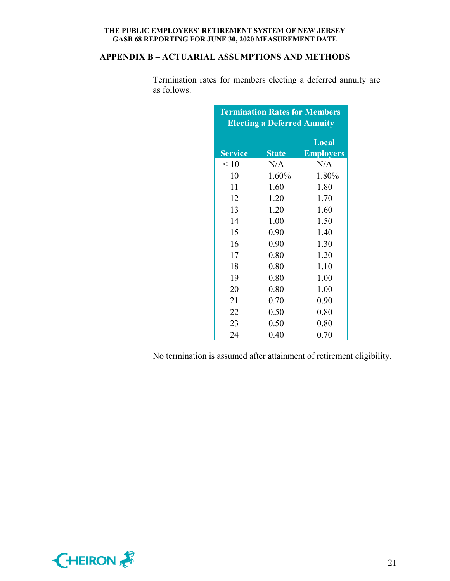## **APPENDIX B – ACTUARIAL ASSUMPTIONS AND METHODS**

| <b>Termination Rates for Members</b><br><b>Electing a Deferred Annuity</b> |              |                  |  |  |  |  |
|----------------------------------------------------------------------------|--------------|------------------|--|--|--|--|
|                                                                            |              | Local            |  |  |  |  |
| <b>Service</b>                                                             | <b>State</b> | <b>Employers</b> |  |  |  |  |
| < 10                                                                       | N/A          | N/A              |  |  |  |  |
| 10                                                                         | 1.60%        | 1.80%            |  |  |  |  |
| 11                                                                         | 1.60         | 1.80             |  |  |  |  |
| 12                                                                         | 1.20         | 1.70             |  |  |  |  |
| 13                                                                         | 1.20         | 1.60             |  |  |  |  |
| 14                                                                         | 1.00         | 1.50             |  |  |  |  |
| 15                                                                         | 0.90         | 1.40             |  |  |  |  |
| 16                                                                         | 0.90         | 1.30             |  |  |  |  |
| 17                                                                         | 0.80         | 1.20             |  |  |  |  |
| 18                                                                         | 0.80         | 1.10             |  |  |  |  |
| 19                                                                         | 0.80         | 1.00             |  |  |  |  |
| 20                                                                         | 0.80         | 1.00             |  |  |  |  |
| 21                                                                         | 0.70         | 0.90             |  |  |  |  |
| 22                                                                         | 0.50         | 0.80             |  |  |  |  |
| 23                                                                         | 0.50         | 0.80             |  |  |  |  |
| 24                                                                         | 0.40         | 0.70             |  |  |  |  |

Termination rates for members electing a deferred annuity are as follows:

No termination is assumed after attainment of retirement eligibility.

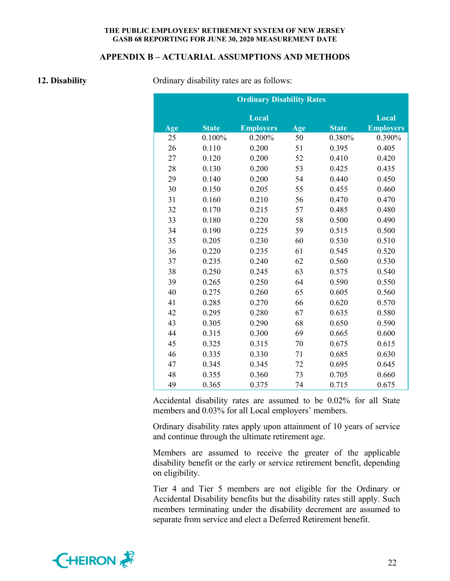#### **APPENDIX B – ACTUARIAL ASSUMPTIONS AND METHODS**

**12. Disability 12. Disability Ordinary disability rates are as follows:** 

|     | <b>Ordinary Disability Rates</b> |                  |     |              |                  |  |  |
|-----|----------------------------------|------------------|-----|--------------|------------------|--|--|
|     |                                  | Local            |     |              | Local            |  |  |
| Age | <b>State</b>                     | <b>Employers</b> | Age | <b>State</b> | <b>Employers</b> |  |  |
| 25  | 0.100%                           | 0.200%           | 50  | 0.380%       | 0.390%           |  |  |
| 26  | 0.110                            | 0.200            | 51  | 0.395        | 0.405            |  |  |
| 27  | 0.120                            | 0.200            | 52  | 0.410        | 0.420            |  |  |
| 28  | 0.130                            | 0.200            | 53  | 0.425        | 0.435            |  |  |
| 29  | 0.140                            | 0.200            | 54  | 0.440        | 0.450            |  |  |
| 30  | 0.150                            | 0.205            | 55  | 0.455        | 0.460            |  |  |
| 31  | 0.160                            | 0.210            | 56  | 0.470        | 0.470            |  |  |
| 32  | 0.170                            | 0.215            | 57  | 0.485        | 0.480            |  |  |
| 33  | 0.180                            | 0.220            | 58  | 0.500        | 0.490            |  |  |
| 34  | 0.190                            | 0.225            | 59  | 0.515        | 0.500            |  |  |
| 35  | 0.205                            | 0.230            | 60  | 0.530        | 0.510            |  |  |
| 36  | 0.220                            | 0.235            | 61  | 0.545        | 0.520            |  |  |
| 37  | 0.235                            | 0.240            | 62  | 0.560        | 0.530            |  |  |
| 38  | 0.250                            | 0.245            | 63  | 0.575        | 0.540            |  |  |
| 39  | 0.265                            | 0.250            | 64  | 0.590        | 0.550            |  |  |
| 40  | 0.275                            | 0.260            | 65  | 0.605        | 0.560            |  |  |
| 41  | 0.285                            | 0.270            | 66  | 0.620        | 0.570            |  |  |
| 42  | 0.295                            | 0.280            | 67  | 0.635        | 0.580            |  |  |
| 43  | 0.305                            | 0.290            | 68  | 0.650        | 0.590            |  |  |
| 44  | 0.315                            | 0.300            | 69  | 0.665        | 0.600            |  |  |
| 45  | 0.325                            | 0.315            | 70  | 0.675        | 0.615            |  |  |
| 46  | 0.335                            | 0.330            | 71  | 0.685        | 0.630            |  |  |
| 47  | 0.345                            | 0.345            | 72  | 0.695        | 0.645            |  |  |
| 48  | 0.355                            | 0.360            | 73  | 0.705        | 0.660            |  |  |
| 49  | 0.365                            | 0.375            | 74  | 0.715        | 0.675            |  |  |

Accidental disability rates are assumed to be 0.02% for all State members and 0.03% for all Local employers' members.

Ordinary disability rates apply upon attainment of 10 years of service and continue through the ultimate retirement age.

Members are assumed to receive the greater of the applicable disability benefit or the early or service retirement benefit, depending on eligibility.

Tier 4 and Tier 5 members are not eligible for the Ordinary or Accidental Disability benefits but the disability rates still apply. Such members terminating under the disability decrement are assumed to separate from service and elect a Deferred Retirement benefit.

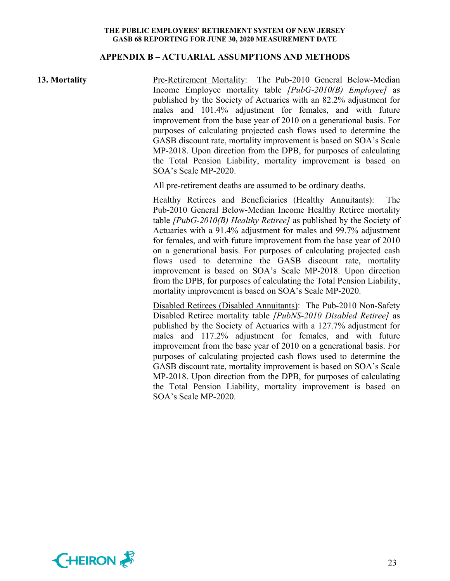#### **APPENDIX B – ACTUARIAL ASSUMPTIONS AND METHODS**

**13. Mortality** Pre-Retirement Mortality: The Pub-2010 General Below-Median Income Employee mortality table *[PubG-2010(B) Employee]* as published by the Society of Actuaries with an 82.2% adjustment for males and 101.4% adjustment for females, and with future improvement from the base year of 2010 on a generational basis. For purposes of calculating projected cash flows used to determine the GASB discount rate, mortality improvement is based on SOA's Scale MP-2018. Upon direction from the DPB, for purposes of calculating the Total Pension Liability, mortality improvement is based on SOA's Scale MP-2020.

All pre-retirement deaths are assumed to be ordinary deaths.

Healthy Retirees and Beneficiaries (Healthy Annuitants): The Pub-2010 General Below-Median Income Healthy Retiree mortality table *[PubG-2010(B) Healthy Retiree]* as published by the Society of Actuaries with a 91.4% adjustment for males and 99.7% adjustment for females, and with future improvement from the base year of 2010 on a generational basis. For purposes of calculating projected cash flows used to determine the GASB discount rate, mortality improvement is based on SOA's Scale MP-2018. Upon direction from the DPB, for purposes of calculating the Total Pension Liability, mortality improvement is based on SOA's Scale MP-2020.

Disabled Retirees (Disabled Annuitants): The Pub-2010 Non-Safety Disabled Retiree mortality table *[PubNS-2010 Disabled Retiree]* as published by the Society of Actuaries with a 127.7% adjustment for males and 117.2% adjustment for females, and with future improvement from the base year of 2010 on a generational basis. For purposes of calculating projected cash flows used to determine the GASB discount rate, mortality improvement is based on SOA's Scale MP-2018. Upon direction from the DPB, for purposes of calculating the Total Pension Liability, mortality improvement is based on SOA's Scale MP-2020.

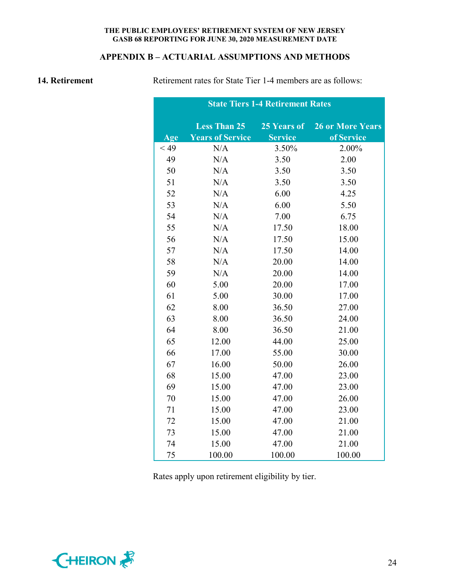## **APPENDIX B – ACTUARIAL ASSUMPTIONS AND METHODS**

**14. Retirement Retirement rates for State Tier 1-4 members are as follows:** 

| <b>State Tiers 1-4 Retirement Rates</b> |                         |                |                         |  |  |  |
|-----------------------------------------|-------------------------|----------------|-------------------------|--|--|--|
|                                         | <b>Less Than 25</b>     | 25 Years of    | <b>26 or More Years</b> |  |  |  |
| Age                                     | <b>Years of Service</b> | <b>Service</b> | of Service              |  |  |  |
| $<$ 49                                  | N/A                     | 3.50%          | 2.00%                   |  |  |  |
| 49                                      | N/A                     | 3.50           | 2.00                    |  |  |  |
| 50                                      | N/A                     | 3.50           | 3.50                    |  |  |  |
| 51                                      | N/A                     | 3.50           | 3.50                    |  |  |  |
| 52                                      | N/A                     | 6.00           | 4.25                    |  |  |  |
| 53                                      | N/A                     | 6.00           | 5.50                    |  |  |  |
| 54                                      | N/A                     | 7.00           | 6.75                    |  |  |  |
| 55                                      | N/A                     | 17.50          | 18.00                   |  |  |  |
| 56                                      | N/A                     | 17.50          | 15.00                   |  |  |  |
| 57                                      | N/A                     | 17.50          | 14.00                   |  |  |  |
| 58                                      | N/A                     | 20.00          | 14.00                   |  |  |  |
| 59                                      | N/A                     | 20.00          | 14.00                   |  |  |  |
| 60                                      | 5.00                    | 20.00          | 17.00                   |  |  |  |
| 61                                      | 5.00                    | 30.00          | 17.00                   |  |  |  |
| 62                                      | 8.00                    | 36.50          | 27.00                   |  |  |  |
| 63                                      | 8.00                    | 36.50          | 24.00                   |  |  |  |
| 64                                      | 8.00                    | 36.50          | 21.00                   |  |  |  |
| 65                                      | 12.00                   | 44.00          | 25.00                   |  |  |  |
| 66                                      | 17.00                   | 55.00          | 30.00                   |  |  |  |
| 67                                      | 16.00                   | 50.00          | 26.00                   |  |  |  |
| 68                                      | 15.00                   | 47.00          | 23.00                   |  |  |  |
| 69                                      | 15.00                   | 47.00          | 23.00                   |  |  |  |
| 70                                      | 15.00                   | 47.00          | 26.00                   |  |  |  |
| 71                                      | 15.00                   | 47.00          | 23.00                   |  |  |  |
| 72                                      | 15.00                   | 47.00          | 21.00                   |  |  |  |
| 73                                      | 15.00                   | 47.00          | 21.00                   |  |  |  |
| 74                                      | 15.00                   | 47.00          | 21.00                   |  |  |  |
| 75                                      | 100.00                  | 100.00         | 100.00                  |  |  |  |

Rates apply upon retirement eligibility by tier.

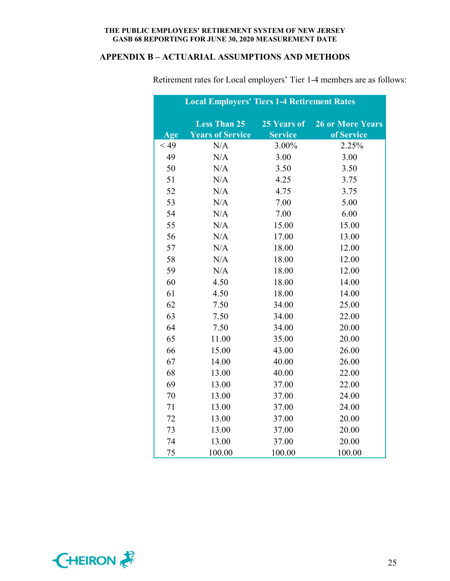## **APPENDIX B – ACTUARIAL ASSUMPTIONS AND METHODS**

|      | <b>Local Employers' Tiers 1-4 Retirement Rates</b> |                |                         |  |  |  |  |
|------|----------------------------------------------------|----------------|-------------------------|--|--|--|--|
|      | <b>Less Than 25</b>                                | 25 Years of    | <b>26 or More Years</b> |  |  |  |  |
| Age  | <b>Years of Service</b>                            | <b>Service</b> | of Service              |  |  |  |  |
| < 49 | N/A                                                | 3.00%          | 2.25%                   |  |  |  |  |
| 49   | N/A                                                | 3.00           | 3.00                    |  |  |  |  |
| 50   | N/A                                                | 3.50           | 3.50                    |  |  |  |  |
| 51   | N/A                                                | 4.25           | 3.75                    |  |  |  |  |
| 52   | N/A                                                | 4.75           | 3.75                    |  |  |  |  |
| 53   | N/A                                                | 7.00           | 5.00                    |  |  |  |  |
| 54   | N/A                                                | 7.00           | 6.00                    |  |  |  |  |
| 55   | N/A                                                | 15.00          | 15.00                   |  |  |  |  |
| 56   | N/A                                                | 17.00          | 13.00                   |  |  |  |  |
| 57   | N/A                                                | 18.00          | 12.00                   |  |  |  |  |
| 58   | N/A                                                | 18.00          | 12.00                   |  |  |  |  |
| 59   | N/A                                                | 18.00          | 12.00                   |  |  |  |  |
| 60   | 4.50                                               | 18.00          | 14.00                   |  |  |  |  |
| 61   | 4.50                                               | 18.00          | 14.00                   |  |  |  |  |
| 62   | 7.50                                               | 34.00          | 25.00                   |  |  |  |  |
| 63   | 7.50                                               | 34.00          | 22.00                   |  |  |  |  |
| 64   | 7.50                                               | 34.00          | 20.00                   |  |  |  |  |
| 65   | 11.00                                              | 35.00          | 20.00                   |  |  |  |  |
| 66   | 15.00                                              | 43.00          | 26.00                   |  |  |  |  |
| 67   | 14.00                                              | 40.00          | 26.00                   |  |  |  |  |
| 68   | 13.00                                              | 40.00          | 22.00                   |  |  |  |  |
| 69   | 13.00                                              | 37.00          | 22.00                   |  |  |  |  |
| 70   | 13.00                                              | 37.00          | 24.00                   |  |  |  |  |
| 71   | 13.00                                              | 37.00          | 24.00                   |  |  |  |  |
| 72   | 13.00                                              | 37.00          | 20.00                   |  |  |  |  |
| 73   | 13.00                                              | 37.00          | 20.00                   |  |  |  |  |
| 74   | 13.00                                              | 37.00          | 20.00                   |  |  |  |  |
| 75   | 100.00                                             | 100.00         | 100.00                  |  |  |  |  |

Retirement rates for Local employers' Tier 1-4 members are as follows:

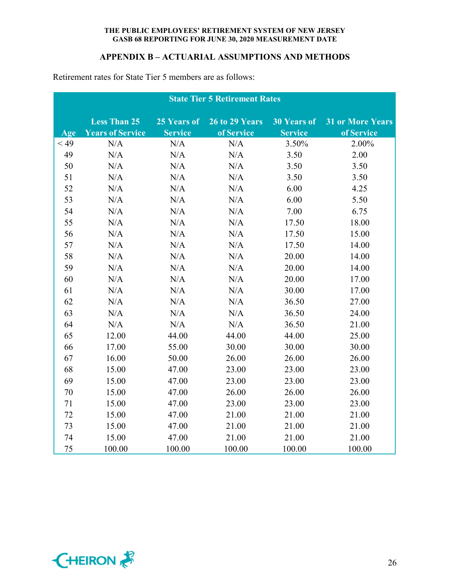## **APPENDIX B – ACTUARIAL ASSUMPTIONS AND METHODS**

|        | <b>State Tier 5 Retirement Rates</b> |                |                |                    |                         |  |  |
|--------|--------------------------------------|----------------|----------------|--------------------|-------------------------|--|--|
|        | <b>Less Than 25</b>                  | 25 Years of    | 26 to 29 Years | <b>30 Years of</b> | <b>31 or More Years</b> |  |  |
| Age    | <b>Years of Service</b>              | <b>Service</b> | of Service     | <b>Service</b>     | of Service              |  |  |
| $<$ 49 | N/A                                  | N/A            | N/A            | 3.50%              | 2.00%                   |  |  |
| 49     | N/A                                  | N/A            | N/A            | 3.50               | 2.00                    |  |  |
| 50     | N/A                                  | N/A            | N/A            | 3.50               | 3.50                    |  |  |
| 51     | N/A                                  | N/A            | N/A            | 3.50               | 3.50                    |  |  |
| 52     | N/A                                  | N/A            | N/A            | 6.00               | 4.25                    |  |  |
| 53     | N/A                                  | N/A            | N/A            | 6.00               | 5.50                    |  |  |
| 54     | N/A                                  | N/A            | N/A            | 7.00               | 6.75                    |  |  |
| 55     | N/A                                  | N/A            | N/A            | 17.50              | 18.00                   |  |  |
| 56     | N/A                                  | N/A            | N/A            | 17.50              | 15.00                   |  |  |
| 57     | N/A                                  | N/A            | N/A            | 17.50              | 14.00                   |  |  |
| 58     | N/A                                  | N/A            | N/A            | 20.00              | 14.00                   |  |  |
| 59     | N/A                                  | N/A            | N/A            | 20.00              | 14.00                   |  |  |
| 60     | N/A                                  | N/A            | N/A            | 20.00              | 17.00                   |  |  |
| 61     | N/A                                  | N/A            | N/A            | 30.00              | 17.00                   |  |  |
| 62     | N/A                                  | N/A            | N/A            | 36.50              | 27.00                   |  |  |
| 63     | N/A                                  | N/A            | N/A            | 36.50              | 24.00                   |  |  |
| 64     | N/A                                  | N/A            | N/A            | 36.50              | 21.00                   |  |  |
| 65     | 12.00                                | 44.00          | 44.00          | 44.00              | 25.00                   |  |  |
| 66     | 17.00                                | 55.00          | 30.00          | 30.00              | 30.00                   |  |  |
| 67     | 16.00                                | 50.00          | 26.00          | 26.00              | 26.00                   |  |  |
| 68     | 15.00                                | 47.00          | 23.00          | 23.00              | 23.00                   |  |  |
| 69     | 15.00                                | 47.00          | 23.00          | 23.00              | 23.00                   |  |  |
| 70     | 15.00                                | 47.00          | 26.00          | 26.00              | 26.00                   |  |  |
| 71     | 15.00                                | 47.00          | 23.00          | 23.00              | 23.00                   |  |  |
| 72     | 15.00                                | 47.00          | 21.00          | 21.00              | 21.00                   |  |  |
| 73     | 15.00                                | 47.00          | 21.00          | 21.00              | 21.00                   |  |  |
| 74     | 15.00                                | 47.00          | 21.00          | 21.00              | 21.00                   |  |  |
| 75     | 100.00                               | 100.00         | 100.00         | 100.00             | 100.00                  |  |  |

Retirement rates for State Tier 5 members are as follows:

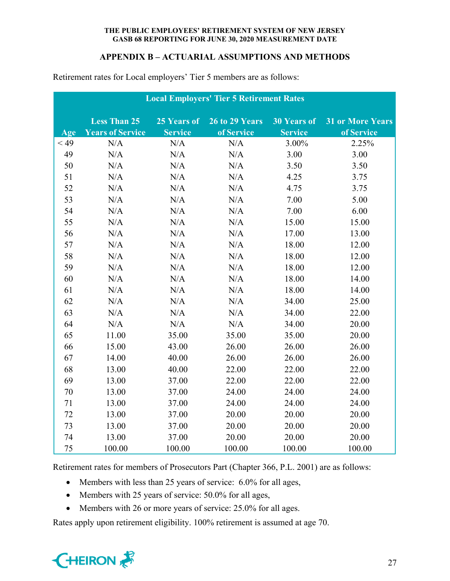## **APPENDIX B – ACTUARIAL ASSUMPTIONS AND METHODS**

| <b>Local Employers' Tier 5 Retirement Rates</b> |                         |                |                       |                    |                         |  |  |  |
|-------------------------------------------------|-------------------------|----------------|-----------------------|--------------------|-------------------------|--|--|--|
|                                                 | <b>Less Than 25</b>     | 25 Years of    | <b>26 to 29 Years</b> | <b>30 Years of</b> | <b>31 or More Years</b> |  |  |  |
| Age                                             | <b>Years of Service</b> | <b>Service</b> | of Service            | <b>Service</b>     | of Service              |  |  |  |
| < 49                                            | N/A                     | N/A            | N/A                   | 3.00%              | 2.25%                   |  |  |  |
| 49                                              | N/A                     | N/A            | N/A                   | 3.00               | 3.00                    |  |  |  |
| 50                                              | N/A                     | N/A            | N/A                   | 3.50               | 3.50                    |  |  |  |
| 51                                              | N/A                     | N/A            | N/A                   | 4.25               | 3.75                    |  |  |  |
| 52                                              | N/A                     | N/A            | N/A                   | 4.75               | 3.75                    |  |  |  |
| 53                                              | N/A                     | N/A            | N/A                   | 7.00               | 5.00                    |  |  |  |
| 54                                              | N/A                     | N/A            | N/A                   | 7.00               | 6.00                    |  |  |  |
| 55                                              | N/A                     | N/A            | N/A                   | 15.00              | 15.00                   |  |  |  |
| 56                                              | N/A                     | N/A            | N/A                   | 17.00              | 13.00                   |  |  |  |
| 57                                              | N/A                     | N/A            | N/A                   | 18.00              | 12.00                   |  |  |  |
| 58                                              | N/A                     | N/A            | N/A                   | 18.00              | 12.00                   |  |  |  |
| 59                                              | N/A                     | N/A            | N/A                   | 18.00              | 12.00                   |  |  |  |
| 60                                              | N/A                     | N/A            | N/A                   | 18.00              | 14.00                   |  |  |  |
| 61                                              | N/A                     | N/A            | N/A                   | 18.00              | 14.00                   |  |  |  |
| 62                                              | N/A                     | N/A            | N/A                   | 34.00              | 25.00                   |  |  |  |
| 63                                              | N/A                     | N/A            | N/A                   | 34.00              | 22.00                   |  |  |  |
| 64                                              | N/A                     | N/A            | N/A                   | 34.00              | 20.00                   |  |  |  |
| 65                                              | 11.00                   | 35.00          | 35.00                 | 35.00              | 20.00                   |  |  |  |
| 66                                              | 15.00                   | 43.00          | 26.00                 | 26.00              | 26.00                   |  |  |  |
| 67                                              | 14.00                   | 40.00          | 26.00                 | 26.00              | 26.00                   |  |  |  |
| 68                                              | 13.00                   | 40.00          | 22.00                 | 22.00              | 22.00                   |  |  |  |
| 69                                              | 13.00                   | 37.00          | 22.00                 | 22.00              | 22.00                   |  |  |  |
| 70                                              | 13.00                   | 37.00          | 24.00                 | 24.00              | 24.00                   |  |  |  |
| 71                                              | 13.00                   | 37.00          | 24.00                 | 24.00              | 24.00                   |  |  |  |
| 72                                              | 13.00                   | 37.00          | 20.00                 | 20.00              | 20.00                   |  |  |  |
| 73                                              | 13.00                   | 37.00          | 20.00                 | 20.00              | 20.00                   |  |  |  |
| 74                                              | 13.00                   | 37.00          | 20.00                 | 20.00              | 20.00                   |  |  |  |
| 75                                              | 100.00                  | 100.00         | 100.00                | 100.00             | 100.00                  |  |  |  |

Retirement rates for Local employers' Tier 5 members are as follows:

Retirement rates for members of Prosecutors Part (Chapter 366, P.L. 2001) are as follows:

- Members with less than 25 years of service: 6.0% for all ages,
- Members with 25 years of service: 50.0% for all ages,
- Members with 26 or more years of service: 25.0% for all ages.

Rates apply upon retirement eligibility. 100% retirement is assumed at age 70.

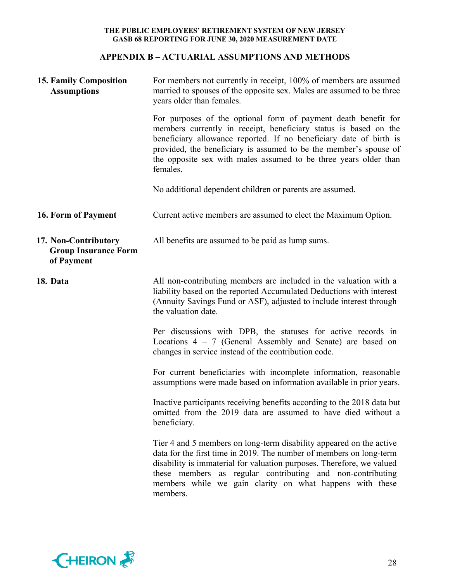## **APPENDIX B – ACTUARIAL ASSUMPTIONS AND METHODS**

| <b>15. Family Composition</b><br><b>Assumptions</b>               | For members not currently in receipt, 100% of members are assumed<br>married to spouses of the opposite sex. Males are assumed to be three<br>years older than females.                                                                                                                                                                                       |  |  |  |  |
|-------------------------------------------------------------------|---------------------------------------------------------------------------------------------------------------------------------------------------------------------------------------------------------------------------------------------------------------------------------------------------------------------------------------------------------------|--|--|--|--|
|                                                                   | For purposes of the optional form of payment death benefit for<br>members currently in receipt, beneficiary status is based on the<br>beneficiary allowance reported. If no beneficiary date of birth is<br>provided, the beneficiary is assumed to be the member's spouse of<br>the opposite sex with males assumed to be three years older than<br>females. |  |  |  |  |
|                                                                   | No additional dependent children or parents are assumed.                                                                                                                                                                                                                                                                                                      |  |  |  |  |
| 16. Form of Payment                                               | Current active members are assumed to elect the Maximum Option.                                                                                                                                                                                                                                                                                               |  |  |  |  |
| 17. Non-Contributory<br><b>Group Insurance Form</b><br>of Payment | All benefits are assumed to be paid as lump sums.                                                                                                                                                                                                                                                                                                             |  |  |  |  |
| 18. Data                                                          | All non-contributing members are included in the valuation with a<br>liability based on the reported Accumulated Deductions with interest<br>(Annuity Savings Fund or ASF), adjusted to include interest through<br>the valuation date.                                                                                                                       |  |  |  |  |
|                                                                   | Per discussions with DPB, the statuses for active records in<br>Locations $4 - 7$ (General Assembly and Senate) are based on<br>changes in service instead of the contribution code.                                                                                                                                                                          |  |  |  |  |
|                                                                   | For current beneficiaries with incomplete information, reasonable<br>assumptions were made based on information available in prior years.                                                                                                                                                                                                                     |  |  |  |  |
|                                                                   | Inactive participants receiving benefits according to the 2018 data but<br>omitted from the 2019 data are assumed to have died without a<br>beneficiary.                                                                                                                                                                                                      |  |  |  |  |
|                                                                   | Tier 4 and 5 members on long-term disability appeared on the active<br>data for the first time in 2019. The number of members on long-term<br>disability is immaterial for valuation purposes. Therefore, we valued<br>these members as regular contributing and non-contributing<br>members while we gain clarity on what happens with these<br>members.     |  |  |  |  |

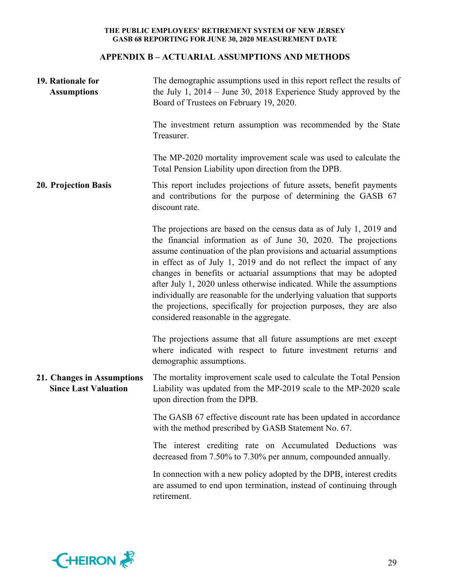## **APPENDIX B – ACTUARIAL ASSUMPTIONS AND METHODS**

| 19. Rationale for<br><b>Assumptions</b>                   | The demographic assumptions used in this report reflect the results of<br>the July 1, $2014 -$ June 30, 2018 Experience Study approved by the<br>Board of Trustees on February 19, 2020.                                                                                                                                                                                                                                                                                                                                                                                                                                    |  |  |  |  |
|-----------------------------------------------------------|-----------------------------------------------------------------------------------------------------------------------------------------------------------------------------------------------------------------------------------------------------------------------------------------------------------------------------------------------------------------------------------------------------------------------------------------------------------------------------------------------------------------------------------------------------------------------------------------------------------------------------|--|--|--|--|
|                                                           | The investment return assumption was recommended by the State<br>Treasurer.                                                                                                                                                                                                                                                                                                                                                                                                                                                                                                                                                 |  |  |  |  |
|                                                           | The MP-2020 mortality improvement scale was used to calculate the<br>Total Pension Liability upon direction from the DPB.                                                                                                                                                                                                                                                                                                                                                                                                                                                                                                   |  |  |  |  |
| <b>20. Projection Basis</b>                               | This report includes projections of future assets, benefit payments<br>and contributions for the purpose of determining the GASB 67<br>discount rate.                                                                                                                                                                                                                                                                                                                                                                                                                                                                       |  |  |  |  |
|                                                           | The projections are based on the census data as of July 1, 2019 and<br>the financial information as of June 30, 2020. The projections<br>assume continuation of the plan provisions and actuarial assumptions<br>in effect as of July 1, 2019 and do not reflect the impact of any<br>changes in benefits or actuarial assumptions that may be adopted<br>after July 1, 2020 unless otherwise indicated. While the assumptions<br>individually are reasonable for the underlying valuation that supports<br>the projections, specifically for projection purposes, they are also<br>considered reasonable in the aggregate. |  |  |  |  |
|                                                           | The projections assume that all future assumptions are met except<br>where indicated with respect to future investment returns and<br>demographic assumptions.                                                                                                                                                                                                                                                                                                                                                                                                                                                              |  |  |  |  |
| 21. Changes in Assumptions<br><b>Since Last Valuation</b> | The mortality improvement scale used to calculate the Total Pension<br>Liability was updated from the MP-2019 scale to the MP-2020 scale<br>upon direction from the DPB.                                                                                                                                                                                                                                                                                                                                                                                                                                                    |  |  |  |  |
|                                                           | The GASB 67 effective discount rate has been updated in accordance<br>with the method prescribed by GASB Statement No. 67.                                                                                                                                                                                                                                                                                                                                                                                                                                                                                                  |  |  |  |  |
|                                                           | The interest crediting rate on Accumulated Deductions was<br>decreased from 7.50% to 7.30% per annum, compounded annually.                                                                                                                                                                                                                                                                                                                                                                                                                                                                                                  |  |  |  |  |
|                                                           | In connection with a new policy adopted by the DPB, interest credits<br>are assumed to end upon termination, instead of continuing through<br>retirement.                                                                                                                                                                                                                                                                                                                                                                                                                                                                   |  |  |  |  |

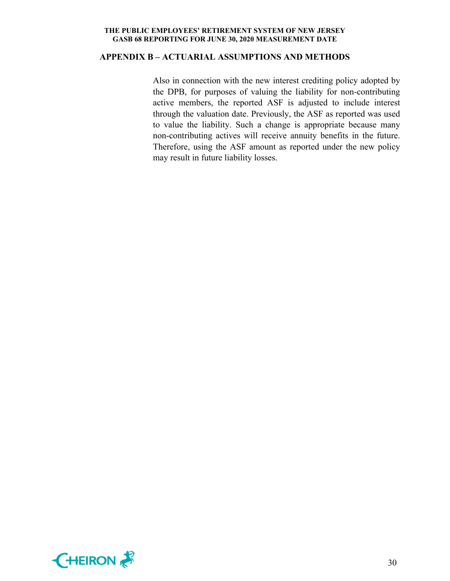#### **APPENDIX B – ACTUARIAL ASSUMPTIONS AND METHODS**

Also in connection with the new interest crediting policy adopted by the DPB, for purposes of valuing the liability for non-contributing active members, the reported ASF is adjusted to include interest through the valuation date. Previously, the ASF as reported was used to value the liability. Such a change is appropriate because many non-contributing actives will receive annuity benefits in the future. Therefore, using the ASF amount as reported under the new policy may result in future liability losses.

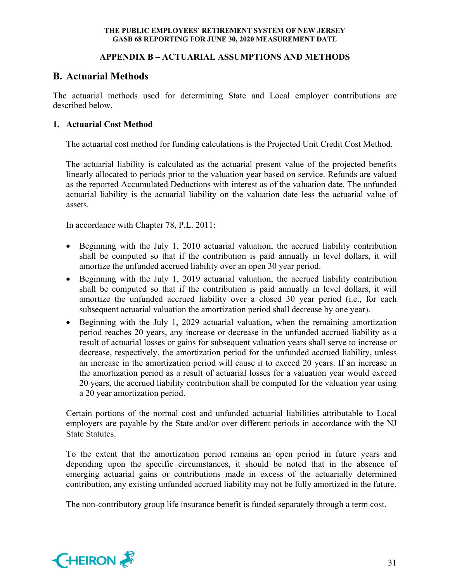## **APPENDIX B – ACTUARIAL ASSUMPTIONS AND METHODS**

# **B. Actuarial Methods**

The actuarial methods used for determining State and Local employer contributions are described below.

## **1. Actuarial Cost Method**

The actuarial cost method for funding calculations is the Projected Unit Credit Cost Method.

The actuarial liability is calculated as the actuarial present value of the projected benefits linearly allocated to periods prior to the valuation year based on service. Refunds are valued as the reported Accumulated Deductions with interest as of the valuation date. The unfunded actuarial liability is the actuarial liability on the valuation date less the actuarial value of assets.

In accordance with Chapter 78, P.L. 2011:

- Beginning with the July 1, 2010 actuarial valuation, the accrued liability contribution shall be computed so that if the contribution is paid annually in level dollars, it will amortize the unfunded accrued liability over an open 30 year period.
- Beginning with the July 1, 2019 actuarial valuation, the accrued liability contribution shall be computed so that if the contribution is paid annually in level dollars, it will amortize the unfunded accrued liability over a closed 30 year period (i.e., for each subsequent actuarial valuation the amortization period shall decrease by one year).
- Beginning with the July 1, 2029 actuarial valuation, when the remaining amortization period reaches 20 years, any increase or decrease in the unfunded accrued liability as a result of actuarial losses or gains for subsequent valuation years shall serve to increase or decrease, respectively, the amortization period for the unfunded accrued liability, unless an increase in the amortization period will cause it to exceed 20 years. If an increase in the amortization period as a result of actuarial losses for a valuation year would exceed 20 years, the accrued liability contribution shall be computed for the valuation year using a 20 year amortization period.

Certain portions of the normal cost and unfunded actuarial liabilities attributable to Local employers are payable by the State and/or over different periods in accordance with the NJ State Statutes.

To the extent that the amortization period remains an open period in future years and depending upon the specific circumstances, it should be noted that in the absence of emerging actuarial gains or contributions made in excess of the actuarially determined contribution, any existing unfunded accrued liability may not be fully amortized in the future.

The non-contributory group life insurance benefit is funded separately through a term cost.

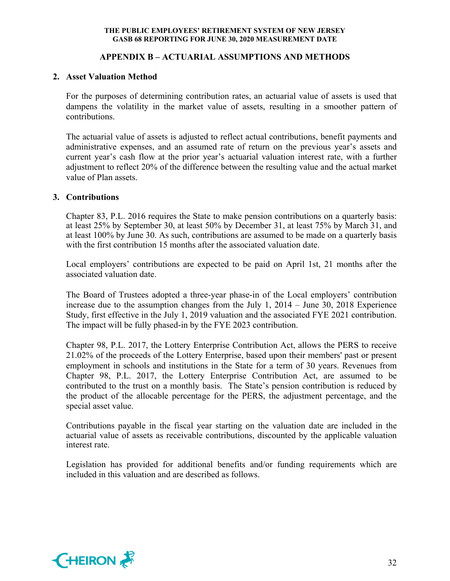## **APPENDIX B – ACTUARIAL ASSUMPTIONS AND METHODS**

#### **2. Asset Valuation Method**

For the purposes of determining contribution rates, an actuarial value of assets is used that dampens the volatility in the market value of assets, resulting in a smoother pattern of contributions.

The actuarial value of assets is adjusted to reflect actual contributions, benefit payments and administrative expenses, and an assumed rate of return on the previous year's assets and current year's cash flow at the prior year's actuarial valuation interest rate, with a further adjustment to reflect 20% of the difference between the resulting value and the actual market value of Plan assets.

#### **3. Contributions**

Chapter 83, P.L. 2016 requires the State to make pension contributions on a quarterly basis: at least 25% by September 30, at least 50% by December 31, at least 75% by March 31, and at least 100% by June 30. As such, contributions are assumed to be made on a quarterly basis with the first contribution 15 months after the associated valuation date.

Local employers' contributions are expected to be paid on April 1st, 21 months after the associated valuation date.

The Board of Trustees adopted a three-year phase-in of the Local employers' contribution increase due to the assumption changes from the July 1, 2014 – June 30, 2018 Experience Study, first effective in the July 1, 2019 valuation and the associated FYE 2021 contribution. The impact will be fully phased-in by the FYE 2023 contribution.

Chapter 98, P.L. 2017, the Lottery Enterprise Contribution Act, allows the PERS to receive 21.02% of the proceeds of the Lottery Enterprise, based upon their members' past or present employment in schools and institutions in the State for a term of 30 years. Revenues from Chapter 98, P.L. 2017, the Lottery Enterprise Contribution Act, are assumed to be contributed to the trust on a monthly basis. The State's pension contribution is reduced by the product of the allocable percentage for the PERS, the adjustment percentage, and the special asset value.

Contributions payable in the fiscal year starting on the valuation date are included in the actuarial value of assets as receivable contributions, discounted by the applicable valuation interest rate.

Legislation has provided for additional benefits and/or funding requirements which are included in this valuation and are described as follows.

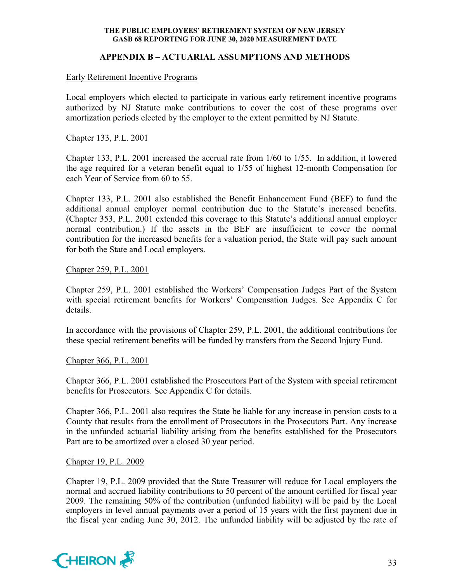## **APPENDIX B – ACTUARIAL ASSUMPTIONS AND METHODS**

#### Early Retirement Incentive Programs

Local employers which elected to participate in various early retirement incentive programs authorized by NJ Statute make contributions to cover the cost of these programs over amortization periods elected by the employer to the extent permitted by NJ Statute.

#### Chapter 133, P.L. 2001

Chapter 133, P.L. 2001 increased the accrual rate from 1/60 to 1/55. In addition, it lowered the age required for a veteran benefit equal to 1/55 of highest 12-month Compensation for each Year of Service from 60 to 55.

Chapter 133, P.L. 2001 also established the Benefit Enhancement Fund (BEF) to fund the additional annual employer normal contribution due to the Statute's increased benefits. (Chapter 353, P.L. 2001 extended this coverage to this Statute's additional annual employer normal contribution.) If the assets in the BEF are insufficient to cover the normal contribution for the increased benefits for a valuation period, the State will pay such amount for both the State and Local employers.

#### Chapter 259, P.L. 2001

Chapter 259, P.L. 2001 established the Workers' Compensation Judges Part of the System with special retirement benefits for Workers' Compensation Judges. See Appendix C for details.

In accordance with the provisions of Chapter 259, P.L. 2001, the additional contributions for these special retirement benefits will be funded by transfers from the Second Injury Fund.

## Chapter 366, P.L. 2001

Chapter 366, P.L. 2001 established the Prosecutors Part of the System with special retirement benefits for Prosecutors. See Appendix C for details.

Chapter 366, P.L. 2001 also requires the State be liable for any increase in pension costs to a County that results from the enrollment of Prosecutors in the Prosecutors Part. Any increase in the unfunded actuarial liability arising from the benefits established for the Prosecutors Part are to be amortized over a closed 30 year period.

#### Chapter 19, P.L. 2009

Chapter 19, P.L. 2009 provided that the State Treasurer will reduce for Local employers the normal and accrued liability contributions to 50 percent of the amount certified for fiscal year 2009. The remaining 50% of the contribution (unfunded liability) will be paid by the Local employers in level annual payments over a period of 15 years with the first payment due in the fiscal year ending June 30, 2012. The unfunded liability will be adjusted by the rate of

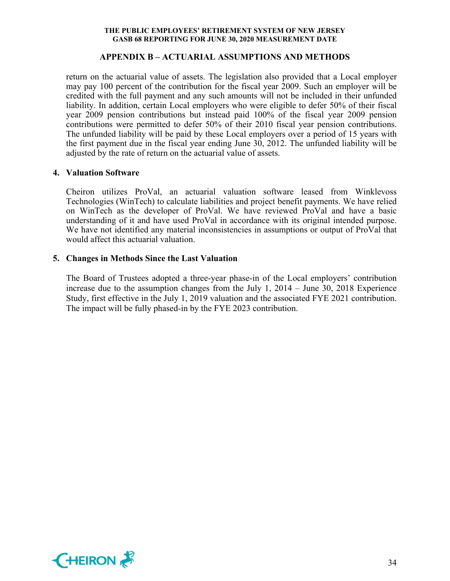### **APPENDIX B – ACTUARIAL ASSUMPTIONS AND METHODS**

return on the actuarial value of assets. The legislation also provided that a Local employer may pay 100 percent of the contribution for the fiscal year 2009. Such an employer will be credited with the full payment and any such amounts will not be included in their unfunded liability. In addition, certain Local employers who were eligible to defer 50% of their fiscal year 2009 pension contributions but instead paid 100% of the fiscal year 2009 pension contributions were permitted to defer 50% of their 2010 fiscal year pension contributions. The unfunded liability will be paid by these Local employers over a period of 15 years with the first payment due in the fiscal year ending June 30, 2012. The unfunded liability will be adjusted by the rate of return on the actuarial value of assets.

#### **4. Valuation Software**

Cheiron utilizes ProVal, an actuarial valuation software leased from Winklevoss Technologies (WinTech) to calculate liabilities and project benefit payments. We have relied on WinTech as the developer of ProVal. We have reviewed ProVal and have a basic understanding of it and have used ProVal in accordance with its original intended purpose. We have not identified any material inconsistencies in assumptions or output of ProVal that would affect this actuarial valuation.

## **5. Changes in Methods Since the Last Valuation**

The Board of Trustees adopted a three-year phase-in of the Local employers' contribution increase due to the assumption changes from the July 1, 2014 – June 30, 2018 Experience Study, first effective in the July 1, 2019 valuation and the associated FYE 2021 contribution. The impact will be fully phased-in by the FYE 2023 contribution.

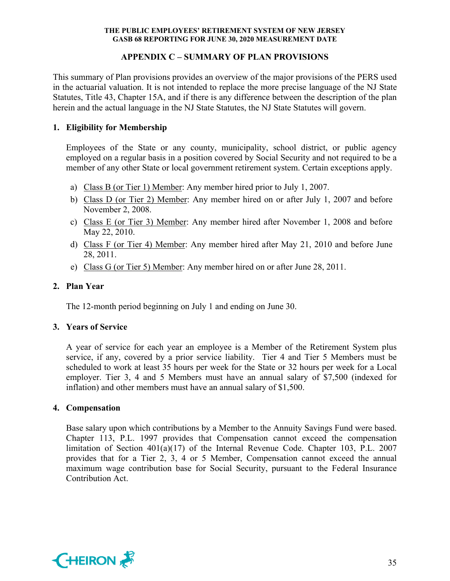## **APPENDIX C – SUMMARY OF PLAN PROVISIONS**

This summary of Plan provisions provides an overview of the major provisions of the PERS used in the actuarial valuation. It is not intended to replace the more precise language of the NJ State Statutes, Title 43, Chapter 15A, and if there is any difference between the description of the plan herein and the actual language in the NJ State Statutes, the NJ State Statutes will govern.

## **1. Eligibility for Membership**

Employees of the State or any county, municipality, school district, or public agency employed on a regular basis in a position covered by Social Security and not required to be a member of any other State or local government retirement system. Certain exceptions apply.

- a) Class B (or Tier 1) Member: Any member hired prior to July 1, 2007.
- b) Class D (or Tier 2) Member: Any member hired on or after July 1, 2007 and before November 2, 2008.
- c) Class E (or Tier 3) Member: Any member hired after November 1, 2008 and before May 22, 2010.
- d) Class F (or Tier 4) Member: Any member hired after May 21, 2010 and before June 28, 2011.
- e) Class G (or Tier 5) Member: Any member hired on or after June 28, 2011.

## **2. Plan Year**

The 12-month period beginning on July 1 and ending on June 30.

## **3. Years of Service**

A year of service for each year an employee is a Member of the Retirement System plus service, if any, covered by a prior service liability. Tier 4 and Tier 5 Members must be scheduled to work at least 35 hours per week for the State or 32 hours per week for a Local employer. Tier 3, 4 and 5 Members must have an annual salary of \$7,500 (indexed for inflation) and other members must have an annual salary of \$1,500.

## **4. Compensation**

Base salary upon which contributions by a Member to the Annuity Savings Fund were based. Chapter 113, P.L. 1997 provides that Compensation cannot exceed the compensation limitation of Section 401(a)(17) of the Internal Revenue Code. Chapter 103, P.L. 2007 provides that for a Tier 2, 3, 4 or 5 Member, Compensation cannot exceed the annual maximum wage contribution base for Social Security, pursuant to the Federal Insurance Contribution Act.

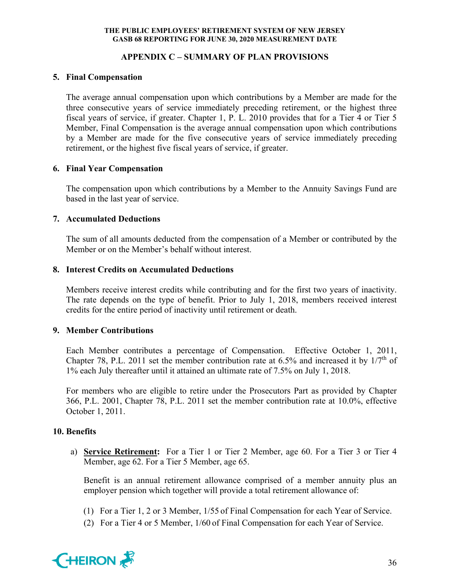## **APPENDIX C – SUMMARY OF PLAN PROVISIONS**

## **5. Final Compensation**

The average annual compensation upon which contributions by a Member are made for the three consecutive years of service immediately preceding retirement, or the highest three fiscal years of service, if greater. Chapter 1, P. L. 2010 provides that for a Tier 4 or Tier 5 Member, Final Compensation is the average annual compensation upon which contributions by a Member are made for the five consecutive years of service immediately preceding retirement, or the highest five fiscal years of service, if greater.

## **6. Final Year Compensation**

The compensation upon which contributions by a Member to the Annuity Savings Fund are based in the last year of service.

## **7. Accumulated Deductions**

The sum of all amounts deducted from the compensation of a Member or contributed by the Member or on the Member's behalf without interest.

## **8. Interest Credits on Accumulated Deductions**

Members receive interest credits while contributing and for the first two years of inactivity. The rate depends on the type of benefit. Prior to July 1, 2018, members received interest credits for the entire period of inactivity until retirement or death.

## **9. Member Contributions**

Each Member contributes a percentage of Compensation. Effective October 1, 2011, Chapter 78, P.L. 2011 set the member contribution rate at 6.5% and increased it by  $1/7<sup>th</sup>$  of 1% each July thereafter until it attained an ultimate rate of 7.5% on July 1, 2018.

For members who are eligible to retire under the Prosecutors Part as provided by Chapter 366, P.L. 2001, Chapter 78, P.L. 2011 set the member contribution rate at 10.0%, effective October 1, 2011.

## **10. Benefits**

a) **Service Retirement:** For a Tier 1 or Tier 2 Member, age 60. For a Tier 3 or Tier 4 Member, age 62. For a Tier 5 Member, age 65.

Benefit is an annual retirement allowance comprised of a member annuity plus an employer pension which together will provide a total retirement allowance of:

- (1) For a Tier 1, 2 or 3 Member, 1/55 of Final Compensation for each Year of Service.
- (2) For a Tier 4 or 5 Member, 1/60 of Final Compensation for each Year of Service.

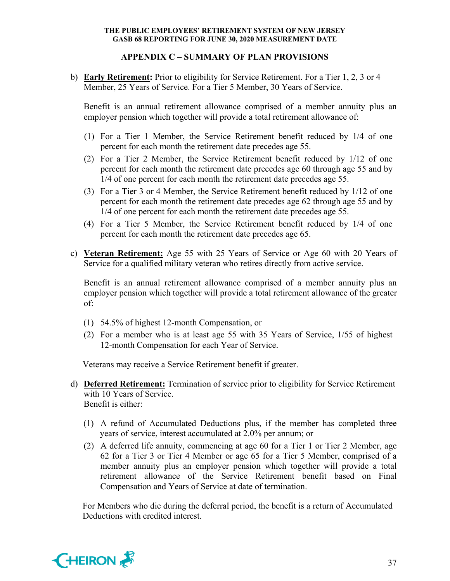## **APPENDIX C – SUMMARY OF PLAN PROVISIONS**

b) **Early Retirement:** Prior to eligibility for Service Retirement. For a Tier 1, 2, 3 or 4 Member, 25 Years of Service. For a Tier 5 Member, 30 Years of Service.

Benefit is an annual retirement allowance comprised of a member annuity plus an employer pension which together will provide a total retirement allowance of:

- (1) For a Tier 1 Member, the Service Retirement benefit reduced by 1/4 of one percent for each month the retirement date precedes age 55.
- (2) For a Tier 2 Member, the Service Retirement benefit reduced by 1/12 of one percent for each month the retirement date precedes age 60 through age 55 and by 1/4 of one percent for each month the retirement date precedes age 55.
- (3) For a Tier 3 or 4 Member, the Service Retirement benefit reduced by 1/12 of one percent for each month the retirement date precedes age 62 through age 55 and by 1/4 of one percent for each month the retirement date precedes age 55.
- (4) For a Tier 5 Member, the Service Retirement benefit reduced by 1/4 of one percent for each month the retirement date precedes age 65.
- c) **Veteran Retirement:** Age 55 with 25 Years of Service or Age 60 with 20 Years of Service for a qualified military veteran who retires directly from active service.

Benefit is an annual retirement allowance comprised of a member annuity plus an employer pension which together will provide a total retirement allowance of the greater of:

- (1) 54.5% of highest 12-month Compensation, or
- (2) For a member who is at least age 55 with 35 Years of Service, 1/55 of highest 12-month Compensation for each Year of Service.

Veterans may receive a Service Retirement benefit if greater.

- d) **Deferred Retirement:** Termination of service prior to eligibility for Service Retirement with 10 Years of Service. Benefit is either:
	- (1) A refund of Accumulated Deductions plus, if the member has completed three years of service, interest accumulated at 2.0% per annum; or
	- (2) A deferred life annuity, commencing at age 60 for a Tier 1 or Tier 2 Member, age 62 for a Tier 3 or Tier 4 Member or age 65 for a Tier 5 Member, comprised of a member annuity plus an employer pension which together will provide a total retirement allowance of the Service Retirement benefit based on Final Compensation and Years of Service at date of termination.

For Members who die during the deferral period, the benefit is a return of Accumulated Deductions with credited interest.

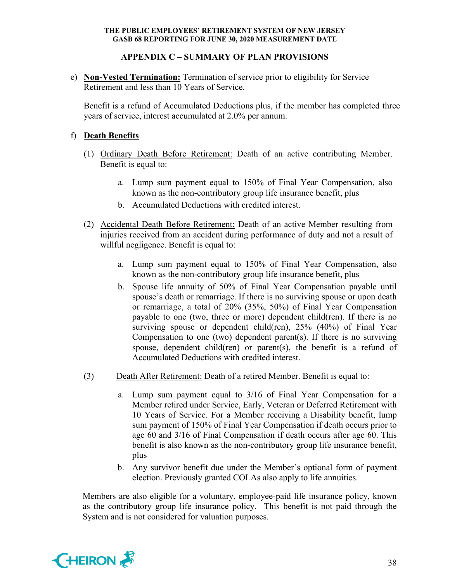## **APPENDIX C – SUMMARY OF PLAN PROVISIONS**

e) **Non-Vested Termination:** Termination of service prior to eligibility for Service Retirement and less than 10 Years of Service.

Benefit is a refund of Accumulated Deductions plus, if the member has completed three years of service, interest accumulated at 2.0% per annum.

## f) **Death Benefits**

- (1) Ordinary Death Before Retirement: Death of an active contributing Member. Benefit is equal to:
	- a. Lump sum payment equal to 150% of Final Year Compensation, also known as the non-contributory group life insurance benefit, plus
	- b. Accumulated Deductions with credited interest.
- (2) Accidental Death Before Retirement: Death of an active Member resulting from injuries received from an accident during performance of duty and not a result of willful negligence. Benefit is equal to:
	- a. Lump sum payment equal to 150% of Final Year Compensation, also known as the non-contributory group life insurance benefit, plus
	- b. Spouse life annuity of 50% of Final Year Compensation payable until spouse's death or remarriage. If there is no surviving spouse or upon death or remarriage, a total of 20% (35%, 50%) of Final Year Compensation payable to one (two, three or more) dependent child(ren). If there is no surviving spouse or dependent child(ren), 25% (40%) of Final Year Compensation to one (two) dependent parent(s). If there is no surviving spouse, dependent child(ren) or parent(s), the benefit is a refund of Accumulated Deductions with credited interest.
- (3) Death After Retirement: Death of a retired Member. Benefit is equal to:
	- a. Lump sum payment equal to 3/16 of Final Year Compensation for a Member retired under Service, Early, Veteran or Deferred Retirement with 10 Years of Service. For a Member receiving a Disability benefit, lump sum payment of 150% of Final Year Compensation if death occurs prior to age 60 and 3/16 of Final Compensation if death occurs after age 60. This benefit is also known as the non-contributory group life insurance benefit, plus
	- b. Any survivor benefit due under the Member's optional form of payment election. Previously granted COLAs also apply to life annuities.

Members are also eligible for a voluntary, employee-paid life insurance policy, known as the contributory group life insurance policy. This benefit is not paid through the System and is not considered for valuation purposes.

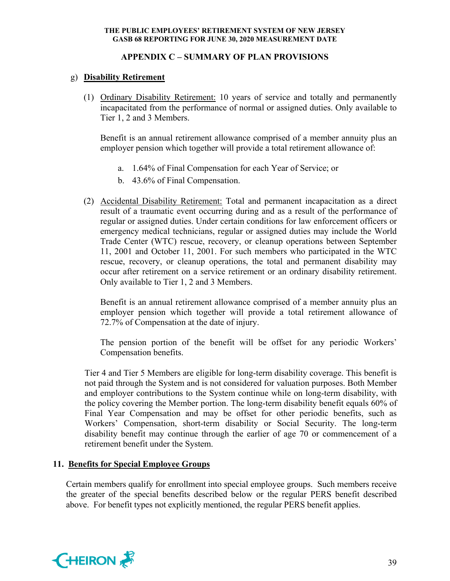## **APPENDIX C – SUMMARY OF PLAN PROVISIONS**

## g) **Disability Retirement**

(1) Ordinary Disability Retirement: 10 years of service and totally and permanently incapacitated from the performance of normal or assigned duties. Only available to Tier 1, 2 and 3 Members.

Benefit is an annual retirement allowance comprised of a member annuity plus an employer pension which together will provide a total retirement allowance of:

- a. 1.64% of Final Compensation for each Year of Service; or
- b. 43.6% of Final Compensation.
- (2) Accidental Disability Retirement: Total and permanent incapacitation as a direct result of a traumatic event occurring during and as a result of the performance of regular or assigned duties. Under certain conditions for law enforcement officers or emergency medical technicians, regular or assigned duties may include the World Trade Center (WTC) rescue, recovery, or cleanup operations between September 11, 2001 and October 11, 2001. For such members who participated in the WTC rescue, recovery, or cleanup operations, the total and permanent disability may occur after retirement on a service retirement or an ordinary disability retirement. Only available to Tier 1, 2 and 3 Members.

Benefit is an annual retirement allowance comprised of a member annuity plus an employer pension which together will provide a total retirement allowance of 72.7% of Compensation at the date of injury.

The pension portion of the benefit will be offset for any periodic Workers' Compensation benefits.

Tier 4 and Tier 5 Members are eligible for long-term disability coverage. This benefit is not paid through the System and is not considered for valuation purposes. Both Member and employer contributions to the System continue while on long-term disability, with the policy covering the Member portion. The long-term disability benefit equals 60% of Final Year Compensation and may be offset for other periodic benefits, such as Workers' Compensation, short-term disability or Social Security. The long-term disability benefit may continue through the earlier of age 70 or commencement of a retirement benefit under the System.

## **11. Benefits for Special Employee Groups**

Certain members qualify for enrollment into special employee groups. Such members receive the greater of the special benefits described below or the regular PERS benefit described above. For benefit types not explicitly mentioned, the regular PERS benefit applies.

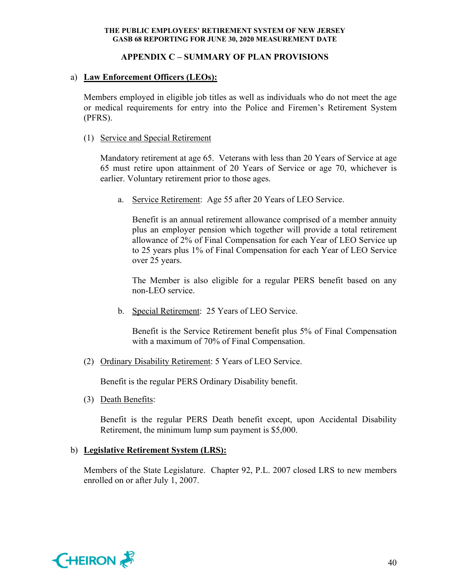## **APPENDIX C – SUMMARY OF PLAN PROVISIONS**

## a) **Law Enforcement Officers (LEOs):**

Members employed in eligible job titles as well as individuals who do not meet the age or medical requirements for entry into the Police and Firemen's Retirement System (PFRS).

## (1) Service and Special Retirement

Mandatory retirement at age 65. Veterans with less than 20 Years of Service at age 65 must retire upon attainment of 20 Years of Service or age 70, whichever is earlier. Voluntary retirement prior to those ages.

a. Service Retirement: Age 55 after 20 Years of LEO Service.

Benefit is an annual retirement allowance comprised of a member annuity plus an employer pension which together will provide a total retirement allowance of 2% of Final Compensation for each Year of LEO Service up to 25 years plus 1% of Final Compensation for each Year of LEO Service over 25 years.

The Member is also eligible for a regular PERS benefit based on any non-LEO service.

b. Special Retirement: 25 Years of LEO Service.

Benefit is the Service Retirement benefit plus 5% of Final Compensation with a maximum of 70% of Final Compensation.

(2) Ordinary Disability Retirement: 5 Years of LEO Service.

Benefit is the regular PERS Ordinary Disability benefit.

(3) Death Benefits:

Benefit is the regular PERS Death benefit except, upon Accidental Disability Retirement, the minimum lump sum payment is \$5,000.

## b) **Legislative Retirement System (LRS):**

Members of the State Legislature. Chapter 92, P.L. 2007 closed LRS to new members enrolled on or after July 1, 2007.

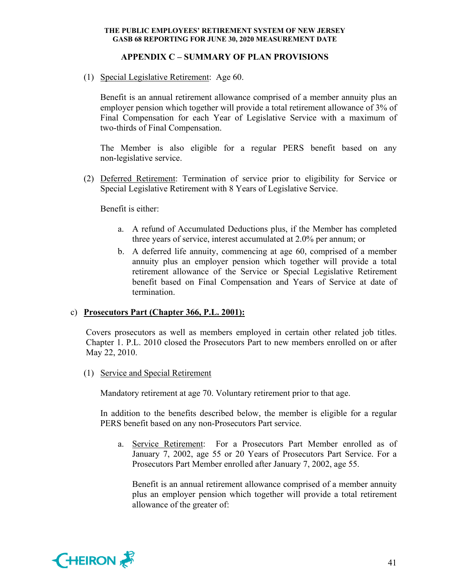## **APPENDIX C – SUMMARY OF PLAN PROVISIONS**

(1) Special Legislative Retirement: Age 60.

Benefit is an annual retirement allowance comprised of a member annuity plus an employer pension which together will provide a total retirement allowance of 3% of Final Compensation for each Year of Legislative Service with a maximum of two-thirds of Final Compensation.

The Member is also eligible for a regular PERS benefit based on any non-legislative service.

(2) Deferred Retirement: Termination of service prior to eligibility for Service or Special Legislative Retirement with 8 Years of Legislative Service.

Benefit is either:

- a. A refund of Accumulated Deductions plus, if the Member has completed three years of service, interest accumulated at 2.0% per annum; or
- b. A deferred life annuity, commencing at age 60, comprised of a member annuity plus an employer pension which together will provide a total retirement allowance of the Service or Special Legislative Retirement benefit based on Final Compensation and Years of Service at date of termination.

## c) **Prosecutors Part (Chapter 366, P.L. 2001):**

Covers prosecutors as well as members employed in certain other related job titles. Chapter 1. P.L. 2010 closed the Prosecutors Part to new members enrolled on or after May 22, 2010.

(1) Service and Special Retirement

Mandatory retirement at age 70. Voluntary retirement prior to that age.

In addition to the benefits described below, the member is eligible for a regular PERS benefit based on any non-Prosecutors Part service.

a. Service Retirement: For a Prosecutors Part Member enrolled as of January 7, 2002, age 55 or 20 Years of Prosecutors Part Service. For a Prosecutors Part Member enrolled after January 7, 2002, age 55.

Benefit is an annual retirement allowance comprised of a member annuity plus an employer pension which together will provide a total retirement allowance of the greater of:

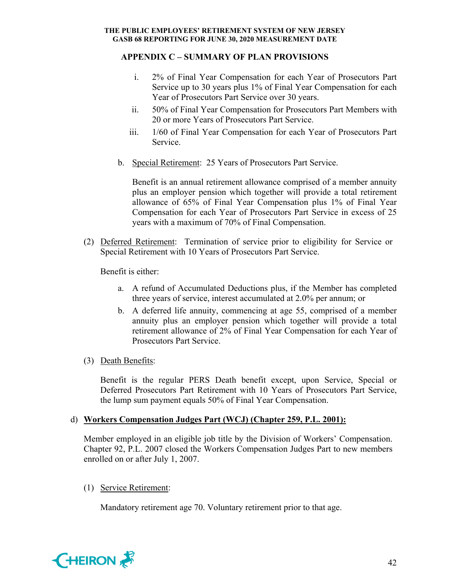## **APPENDIX C – SUMMARY OF PLAN PROVISIONS**

- i. 2% of Final Year Compensation for each Year of Prosecutors Part Service up to 30 years plus 1% of Final Year Compensation for each Year of Prosecutors Part Service over 30 years.
- ii. 50% of Final Year Compensation for Prosecutors Part Members with 20 or more Years of Prosecutors Part Service.
- iii. 1/60 of Final Year Compensation for each Year of Prosecutors Part Service.
- b. Special Retirement: 25 Years of Prosecutors Part Service.

Benefit is an annual retirement allowance comprised of a member annuity plus an employer pension which together will provide a total retirement allowance of 65% of Final Year Compensation plus 1% of Final Year Compensation for each Year of Prosecutors Part Service in excess of 25 years with a maximum of 70% of Final Compensation.

(2) Deferred Retirement: Termination of service prior to eligibility for Service or Special Retirement with 10 Years of Prosecutors Part Service.

Benefit is either:

- a. A refund of Accumulated Deductions plus, if the Member has completed three years of service, interest accumulated at 2.0% per annum; or
- b. A deferred life annuity, commencing at age 55, comprised of a member annuity plus an employer pension which together will provide a total retirement allowance of 2% of Final Year Compensation for each Year of Prosecutors Part Service.
- (3) Death Benefits:

Benefit is the regular PERS Death benefit except, upon Service, Special or Deferred Prosecutors Part Retirement with 10 Years of Prosecutors Part Service, the lump sum payment equals 50% of Final Year Compensation.

## d) **Workers Compensation Judges Part (WCJ) (Chapter 259, P.L. 2001):**

Member employed in an eligible job title by the Division of Workers' Compensation. Chapter 92, P.L. 2007 closed the Workers Compensation Judges Part to new members enrolled on or after July 1, 2007.

(1) Service Retirement:

Mandatory retirement age 70. Voluntary retirement prior to that age.

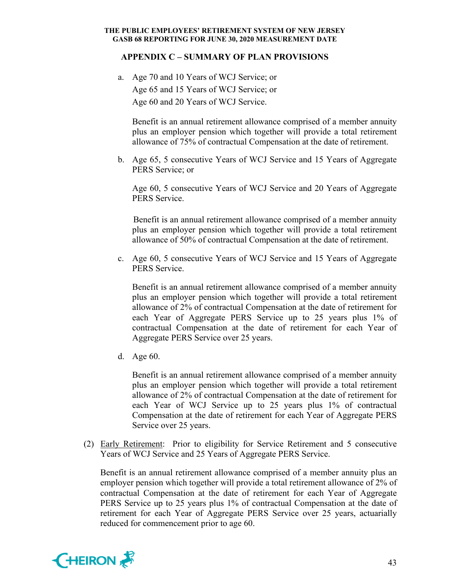## **APPENDIX C – SUMMARY OF PLAN PROVISIONS**

a. Age 70 and 10 Years of WCJ Service; or Age 65 and 15 Years of WCJ Service; or Age 60 and 20 Years of WCJ Service.

 Benefit is an annual retirement allowance comprised of a member annuity plus an employer pension which together will provide a total retirement allowance of 75% of contractual Compensation at the date of retirement.

b. Age 65, 5 consecutive Years of WCJ Service and 15 Years of Aggregate PERS Service; or

 Age 60, 5 consecutive Years of WCJ Service and 20 Years of Aggregate PERS Service.

 Benefit is an annual retirement allowance comprised of a member annuity plus an employer pension which together will provide a total retirement allowance of 50% of contractual Compensation at the date of retirement.

c. Age 60, 5 consecutive Years of WCJ Service and 15 Years of Aggregate PERS Service.

 Benefit is an annual retirement allowance comprised of a member annuity plus an employer pension which together will provide a total retirement allowance of 2% of contractual Compensation at the date of retirement for each Year of Aggregate PERS Service up to 25 years plus 1% of contractual Compensation at the date of retirement for each Year of Aggregate PERS Service over 25 years.

d. Age 60.

 Benefit is an annual retirement allowance comprised of a member annuity plus an employer pension which together will provide a total retirement allowance of 2% of contractual Compensation at the date of retirement for each Year of WCJ Service up to 25 years plus 1% of contractual Compensation at the date of retirement for each Year of Aggregate PERS Service over 25 years.

(2) Early Retirement: Prior to eligibility for Service Retirement and 5 consecutive Years of WCJ Service and 25 Years of Aggregate PERS Service.

Benefit is an annual retirement allowance comprised of a member annuity plus an employer pension which together will provide a total retirement allowance of 2% of contractual Compensation at the date of retirement for each Year of Aggregate PERS Service up to 25 years plus 1% of contractual Compensation at the date of retirement for each Year of Aggregate PERS Service over 25 years, actuarially reduced for commencement prior to age 60.

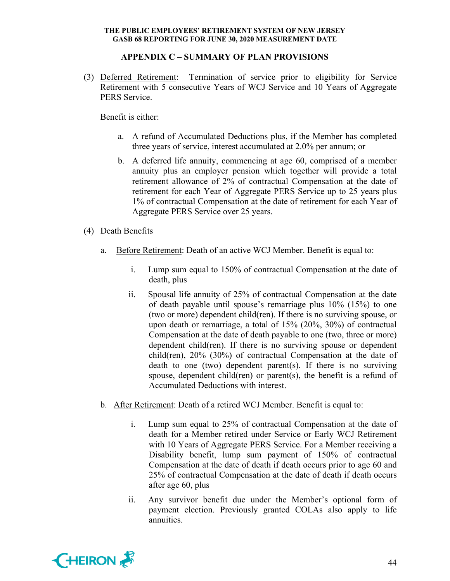## **APPENDIX C – SUMMARY OF PLAN PROVISIONS**

(3) Deferred Retirement: Termination of service prior to eligibility for Service Retirement with 5 consecutive Years of WCJ Service and 10 Years of Aggregate PERS Service.

Benefit is either:

- a. A refund of Accumulated Deductions plus, if the Member has completed three years of service, interest accumulated at 2.0% per annum; or
- b. A deferred life annuity, commencing at age 60, comprised of a member annuity plus an employer pension which together will provide a total retirement allowance of 2% of contractual Compensation at the date of retirement for each Year of Aggregate PERS Service up to 25 years plus 1% of contractual Compensation at the date of retirement for each Year of Aggregate PERS Service over 25 years.
- (4) Death Benefits
	- a. Before Retirement: Death of an active WCJ Member. Benefit is equal to:
		- i. Lump sum equal to 150% of contractual Compensation at the date of death, plus
		- ii. Spousal life annuity of 25% of contractual Compensation at the date of death payable until spouse's remarriage plus 10% (15%) to one (two or more) dependent child(ren). If there is no surviving spouse, or upon death or remarriage, a total of 15% (20%, 30%) of contractual Compensation at the date of death payable to one (two, three or more) dependent child(ren). If there is no surviving spouse or dependent child(ren), 20% (30%) of contractual Compensation at the date of death to one (two) dependent parent(s). If there is no surviving spouse, dependent child(ren) or parent(s), the benefit is a refund of Accumulated Deductions with interest.
	- b. After Retirement: Death of a retired WCJ Member. Benefit is equal to:
		- i. Lump sum equal to 25% of contractual Compensation at the date of death for a Member retired under Service or Early WCJ Retirement with 10 Years of Aggregate PERS Service. For a Member receiving a Disability benefit, lump sum payment of 150% of contractual Compensation at the date of death if death occurs prior to age 60 and 25% of contractual Compensation at the date of death if death occurs after age 60, plus
		- ii. Any survivor benefit due under the Member's optional form of payment election. Previously granted COLAs also apply to life annuities.

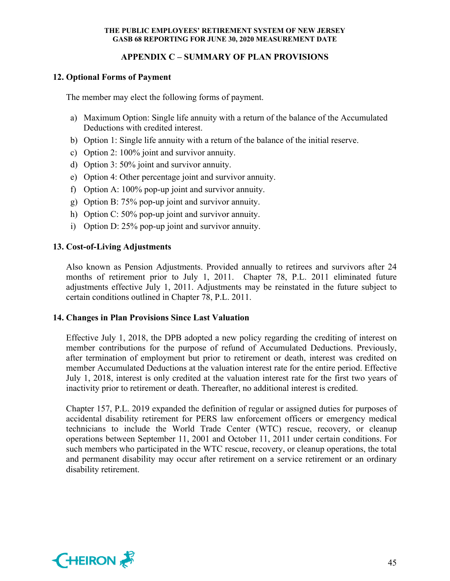## **APPENDIX C – SUMMARY OF PLAN PROVISIONS**

## **12. Optional Forms of Payment**

The member may elect the following forms of payment.

- a) Maximum Option: Single life annuity with a return of the balance of the Accumulated Deductions with credited interest.
- b) Option 1: Single life annuity with a return of the balance of the initial reserve.
- c) Option 2: 100% joint and survivor annuity.
- d) Option 3: 50% joint and survivor annuity.
- e) Option 4: Other percentage joint and survivor annuity.
- f) Option A: 100% pop-up joint and survivor annuity.
- g) Option B: 75% pop-up joint and survivor annuity.
- h) Option C: 50% pop-up joint and survivor annuity.
- i) Option D: 25% pop-up joint and survivor annuity.

## **13. Cost-of-Living Adjustments**

Also known as Pension Adjustments. Provided annually to retirees and survivors after 24 months of retirement prior to July 1, 2011. Chapter 78, P.L. 2011 eliminated future adjustments effective July 1, 2011. Adjustments may be reinstated in the future subject to certain conditions outlined in Chapter 78, P.L. 2011.

## **14. Changes in Plan Provisions Since Last Valuation**

Effective July 1, 2018, the DPB adopted a new policy regarding the crediting of interest on member contributions for the purpose of refund of Accumulated Deductions. Previously, after termination of employment but prior to retirement or death, interest was credited on member Accumulated Deductions at the valuation interest rate for the entire period. Effective July 1, 2018, interest is only credited at the valuation interest rate for the first two years of inactivity prior to retirement or death. Thereafter, no additional interest is credited.

Chapter 157, P.L. 2019 expanded the definition of regular or assigned duties for purposes of accidental disability retirement for PERS law enforcement officers or emergency medical technicians to include the World Trade Center (WTC) rescue, recovery, or cleanup operations between September 11, 2001 and October 11, 2011 under certain conditions. For such members who participated in the WTC rescue, recovery, or cleanup operations, the total and permanent disability may occur after retirement on a service retirement or an ordinary disability retirement.

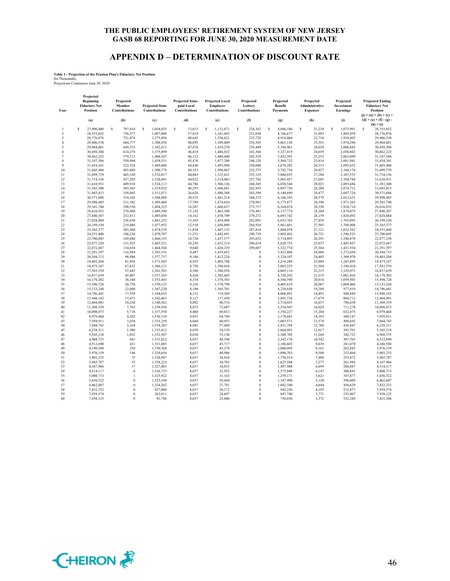## **APPENDIX D – DETERMINATION OF DISCOUNT RATE**

#### **Table 1 - Projection of the Pension Plan's Fiduciary Net Position**

(In Thousands) Projections Commence June 30, 2020

| Year                | Projected<br>Beginning<br><b>Fiduciary Net</b><br><b>Position</b> | Projected<br>Member<br><b>Contributions</b> | <b>Projected State</b><br><b>Contributions</b> | <b>Projected State-</b><br>paid Local<br><b>Contributions</b> | <b>Projected Local</b><br>Employer<br><b>Contributions</b> | Projected<br>Lottery<br><b>Contributions</b> | Projected<br>Benefit<br><b>Payments</b> | Projected<br>Administrative<br><b>Expenses</b> | Projected<br>Investment<br>Earnings | <b>Projected Ending</b><br><b>Fiduciary Net</b><br>Position<br>$(j) = (a) + (b) + (c) +$ |
|---------------------|-------------------------------------------------------------------|---------------------------------------------|------------------------------------------------|---------------------------------------------------------------|------------------------------------------------------------|----------------------------------------------|-----------------------------------------|------------------------------------------------|-------------------------------------|------------------------------------------------------------------------------------------|
|                     | (a)                                                               | (b)                                         | (c)                                            | (d)                                                           | (e)                                                        | (f)                                          | (g)                                     | (h)                                            | (i)                                 | $(d) + (e) + (f) - (g)$ .<br>$(h) + (i)$                                                 |
| 1                   | $\mathbf S$<br>27,900,480                                         | s<br>797,914                                | s<br>1.054.835                                 | $\mathbf S$<br>13,013                                         | $\mathbf S$<br>1.112.471                                   | Ś<br>228,362                                 | $\mathsf{s}$<br>4,606,180               | Ś<br>21,234                                    | Ś<br>1,875,991                      | Ś<br>28,355,652                                                                          |
| $\,2$               | 28,355,652                                                        | 758,577                                     | 1,097,008                                      | 37,819                                                        | 1,181,493                                                  | 231,038                                      | 4,766,677                               | 21,993                                         | 1,903,959                           | 28,776,876                                                                               |
| 3                   | 28,776,876                                                        | 721,074                                     | 1,275,456                                      | 48,645                                                        | 1,356,621                                                  | 233,729                                      | 4,918,064                               | 22,710                                         | 1,934,903                           | 29,406,530                                                                               |
| $\overline{4}$<br>5 | 29,406,530<br>29,964,081                                          | 684,777<br>649,333                          | 1,308,956<br>1,342,811                         | 48,095<br>47,476                                              | 1,389,409<br>1,419,270                                     | 236,565<br>239,449                           | 5,061,156<br>5,196,961                  | 23,391<br>24,038                               | 1,974,296<br>2,008,883              | 29,964,081<br>30,450,306                                                                 |
| 6                   | 30,450,306                                                        | 614,278                                     | 1,375,899                                      | 46,818                                                        | 1,446,032                                                  | 242,366                                      | 5,327,419                               | 24,659                                         | 2,038,602                           | 30,862,223                                                                               |
| 7                   | 30,862,223                                                        | 579,711                                     | 1,408,307                                      | 46,123                                                        | 1,460,440                                                  | 245,329                                      | 5,452,391                               | 25,255                                         | 2,063,099                           | 31,187,586                                                                               |
| 8                   | 31,187,586                                                        | 550,994                                     | 1,438,531                                      | 45,476                                                        | 1,477,200                                                  | 248,120                                      | 5,569,732                               | 25,816                                         | 2,081,981                           | 31,434,341                                                                               |
| 9                   | 31,434,341                                                        | 522,524                                     | 1,469,606                                      | 44,846                                                        | 1,493,096                                                  | 250,046                                      | 5,678,292                               | 26,333                                         | 2,095,652                           | 31,605,486                                                                               |
| 10                  | 31,605,486                                                        | 493,888                                     | 1,500,778                                      | 44,353                                                        | 1,508,067                                                  | 252,573                                      | 5,782,754                               | 26,827                                         | 2,104,176                           | 31,699,739                                                                               |
| 11                  | 31,699,739                                                        | 465,330                                     | 1,532,017                                      | 44,081                                                        | 1,521,631                                                  | 255,125                                      | 5,880,035                               | 27,284                                         | 2,107,553                           | 31,718,156                                                                               |
| 12                  | 31,718,156                                                        | 437,295                                     | 1,528,041                                      | 44,032                                                        | 1,514,063                                                  | 257,702                                      | 5,965,457                               | 27,683                                         | 2,104,784                           | 31,610,931                                                                               |
| 13                  | 31,610,931                                                        | 409,918                                     | 1,524,113                                      | 44,786                                                        | 1,506,126                                                  | 260,305                                      | 6,038,544                               | 28,021                                         | 2,093,686                           | 31,383,300                                                                               |
| 14                  | 31,383,300                                                        | 383,365                                     | 1,519,932                                      | 48,297                                                        | 1,496,881                                                  | 262,935                                      | 6,097,720                               | 28,289                                         | 2,074,712                           | 31,043,413                                                                               |
| 15                  | 31,043,413                                                        | 358,043                                     | 1,511,071                                      | 26,626                                                        | 1,488,388                                                  | 265,590                                      | 6,140,690                               | 28,477                                         | 2,047,724                           | 30,571,688                                                                               |
| 16                  | 30,571,688                                                        | 334,102                                     | 1,504,988                                      | 20,332                                                        | 1,481,214                                                  | 268,272                                      | 6,166,183                               | 28,579                                         | 2,012,651                           | 29,998,485                                                                               |
| 17                  | 29,998,485                                                        | 311,582                                     | 1,499,460                                      | 17,789                                                        | 1,474,654                                                  | 270,981                                      | 6,173,877                               | 28,596                                         | 1,971,263                           | 29,341,740                                                                               |
| 18                  | 29,341,740                                                        | 290,530                                     | 1,494,323                                      | 16,287                                                        | 1,468,627                                                  | 273,717                                      | 6,164,474                               | 28,530                                         | 1,924,714                           | 28,616,933                                                                               |
| 19                  | 28,616,933                                                        | 270,940                                     | 1,489,390                                      | 15,142                                                        | 1,463,500                                                  | 276,481                                      | 6,137,774                               | 28,384                                         | 1,874,079                           | 27,840,307                                                                               |
| 20                  | 27,840,307                                                        | 252,811                                     | 1,485,030                                      | 14,162                                                        | 1,458,709                                                  | 279,272                                      | 6,093,742                               | 28,159                                         | 1,820,492                           | 27,028,884                                                                               |
| 21                  | 27,028,884                                                        | 236,030                                     | 1,481,252                                      | 13,303                                                        | 1,454,498                                                  | 282,091                                      | 6,033,765                               | 27,859                                         | 1,765,095                           | 26,199,530                                                                               |
| 22<br>23            | 26,199,530<br>25,365,377                                          | 219,886<br>203,360                          | 1,477,952                                      | 12,538                                                        | 1,450,809                                                  | 284,938                                      | 5.961.681                               | 27,503<br>27,121                               | 1,708,908                           | 25,365,377<br>24,531,440                                                                 |
| 24                  | 24,531,440                                                        | 186,238                                     | 1,474,539<br>1,470,707                         | 11,854<br>11,251                                              | 1,447,132<br>1,442,691                                     | 287,814<br>290,718                           | 5,884,078<br>5,802,602                  | 26,721                                         | 1,652,562<br>1,596,323              | 23,700,045                                                                               |
| 25                  | 23,700,045                                                        | 169,044                                     | 1,466,533                                      | 10,720                                                        | 1,437,577                                                  | 293,652                                      | 5,714,493                               | 26,291                                         | 1,540,470                           | 22,877,258                                                                               |
| 26                  | 22,877,258                                                        | 151,925                                     | 1,465,521                                      | 10,250                                                        | 1,432,214                                                  | 296,614                                      | 5,620,755                               | 25,837                                         | 1,485,497                           | 22,072,687                                                                               |
| 27                  | 22,072,687                                                        | 134,654                                     | 1,464,584                                      | 9,840                                                         | 1,426,229                                                  | 299,607                                      | 5,522,774                               | 25,364                                         | 1,431,934                           | 21,291,397                                                                               |
| 28                  | 21,291,397                                                        | 116,984                                     | 1,583,191                                      | 9,487                                                         | 1,419,652                                                  | $\theta$                                     | 5,423,806                               | 24,886                                         | 1,372,694                           | 20,344,713                                                                               |
| 29                  | 20,344,713                                                        | 98,886                                      | 1,577,737                                      | 9,186                                                         | 1,412,224                                                  | $\theta$                                     | 5,324,107                               | 24,405                                         | 1,308,970                           | 19,403,204                                                                               |
| 30                  | 19,403,204                                                        | 81,956                                      | 1,571,585                                      | 8,935                                                         | 1,403,788                                                  | $\theta$                                     | 5,216,288                               | 23,889                                         | 1,245,895                           | 18,475,187                                                                               |
| 31                  | 18,475,187                                                        | 67,632                                      | 1,566,121                                      | 8,730                                                         | 1,396,018                                                  | $\theta$                                     | 5,093,255                               | 23,304                                         | 1,184,410                           | 17,581,539                                                                               |
| 32                  | 17,581,539                                                        | 55,443                                      | 1,561,393                                      | 8,566                                                         | 1,388,956                                                  | $\bf{0}$                                     | 4,865,114                               | 22,215                                         | 1,129,071                           | 16,837,639                                                                               |
| 33                  | 16,837,639                                                        | 45,007                                      | 1,557,185                                      | 8,436                                                         | 1,382,445                                                  | $\theta$                                     | 4,720,292                               | 21,535                                         | 1,081,416                           | 16,170,302                                                                               |
| 34                  | 16,170,302                                                        | 36,168                                      | 1,553,443                                      | 8,334                                                         | 1,376,383                                                  | $\theta$                                     | 4,566,590                               | 20,816                                         | 1,039,503                           | 15,596,728                                                                               |
| 35                  | 15,596,728                                                        | 28,758                                      | 1,550,123                                      | 8,256                                                         | 1,370,798                                                  | $\theta$                                     | 4,405,819                               | 20,067                                         | 1,004,466                           | 15,133,244                                                                               |
| 36                  | 15,133,244                                                        | 22,600                                      | 1,547,220                                      | 8,196                                                         | 1,365,701                                                  | $\theta$                                     | 4,238,650                               | 19,289                                         | 977,419                             | 14,796,441                                                                               |
| 37                  | 14,796,441                                                        | 17,559                                      | 1,544,655                                      | 8,151                                                         | 718,269                                                    | $\theta$                                     | 4,066,891                               | 18,491                                         | 948,489                             | 13,948,182                                                                               |
| 38                  | 13,948,182                                                        | 13,471                                      | 1,542,463                                      | 8,117                                                         | 117,430                                                    | $\theta$                                     | 3,891,716                               | 17,679                                         | 884,712                             | 12,604,981                                                                               |
| 39                  | 12,604,981                                                        | 10,230                                      | 1,540,562                                      | 8,092                                                         | 80,376                                                     | $\bf{0}$                                     | 3,714,055                               | 16,857                                         | 796,030                             | 11,309,359                                                                               |
| 40                  | 11,309,359                                                        | 7,703                                       | 1,538,938                                      | 8,073                                                         | 73,697                                                     | $\theta$                                     | 3,534,947                               | 16,029                                         | 711,278                             | 10,098,073                                                                               |
| 41                  | 10,098,073                                                        | 5,718                                       | 1,537,558                                      | 8,060                                                         | 69,013                                                     | $\theta$                                     | 3,356,227                               | 15,204                                         | 632,475                             | 8,979,468                                                                                |
| 42<br>43            | 8,979,468<br>7.959.911                                            | 4,202<br>3.034                              | 1,536,319<br>1.535.259                         | 8,051                                                         | 64,789                                                     | $\bf{0}$<br>$\theta$                         | 3,178,681<br>3,003,571                  | 14,385                                         | 560,147                             | 7,959,911                                                                                |
| 44                  | 7,044,743                                                         | 2,164                                       | 1,534,283                                      | 8,044<br>8,041                                                | 60,953<br>57,409                                           | $\Omega$                                     | 2,831,788                               | 13,578<br>12,788                               | 494,692<br>436,447                  | 7,044,743<br>6,238,511                                                                   |
| 45                  | 6,238,511                                                         | 1,506                                       | 1,533,412                                      | 8,039                                                         | 54,159                                                     | $\theta$                                     | 2,664,091                               | 12,017                                         | 385,701                             | 5,545,218                                                                                |
| 46                  | 5,545,218                                                         | 1,032                                       | 1,532,587                                      | 8,038                                                         | 51,130                                                     | $\theta$                                     | 2,500,705                               | 11,268                                         | 342,723                             | 4,968,755                                                                                |
| 47                  | 4,968,755                                                         | 681                                         | 1,531,822                                      | 8,037                                                         | 48,348                                                     | $\mathbf{0}$                                 | 2,342,176                               | 10,542                                         | 307,765                             | 4,512,690                                                                                |
| 48                  | 4,512,690                                                         | 431                                         | 1,531,085                                      | 8,037                                                         | 45,717                                                     | $\theta$                                     | 2,188,603                               | 9,839                                          | 281,070                             | 4,180,588                                                                                |
| 49                  | 4,180,588                                                         | 258                                         | 1,530,368                                      | 8,037                                                         | 43,278                                                     | $\boldsymbol{0}$                             | 2,040,095                               | 9,161                                          | 262,885                             | 3,976,159                                                                                |
| 50                  | 3,976,159                                                         | 146                                         | 1.529,656                                      | 8.037                                                         | 40.986                                                     | $\mathbf{0}$                                 | 1,896,703                               | 8,508                                          | 253,464                             | 3,903,235                                                                                |
| 51                  | 3,903,235                                                         | 75                                          | 1,528,947                                      | 8,037                                                         | 38,816                                                     | $\mathbf{0}$                                 | 1,758,514                               | 7,880                                          | 253,072                             | 3,965,787                                                                                |
| 52                  | 3,965,787                                                         | 35                                          | 1,528,225                                      | 8,037                                                         | 36,763                                                     | $\theta$                                     | 1,625,588                               | 7,277                                          | 261,984                             | 4,167,966                                                                                |
| 53                  | 4,167,966                                                         | 17                                          | 1,527,483                                      | 8,037                                                         | 34,815                                                     | $\mathbf{0}$                                 | 1,497,988                               | 6,699                                          | 280,487                             | 4,514,117                                                                                |
| 54                  | 4,514,117                                                         | 6                                           | 1,526,715                                      | 8,037                                                         | 32,952                                                     | $\mathbf{0}$                                 | 1,375,848                               | 6,147                                          | 308,881                             | 5,008,713                                                                                |
| 55                  | 5,008,713                                                         | $\mathbf{I}$                                | 1,525,922                                      | 8,037                                                         | 31,163                                                     | $\boldsymbol{0}$                             | 1,259,171                               | 5,621                                          | 347,477                             | 5,656,522                                                                                |
| 56                  | 5,656,522                                                         | $\theta$                                    | 1,525,104                                      | 8,037                                                         | 29,444                                                     | $\theta$                                     | 1,147,990                               | 5,120                                          | 396,609                             | 6,462,607                                                                                |
| 57                  | 6,462,607                                                         | $\Omega$                                    | 1,524,262                                      | 8,037                                                         | 27,781                                                     | $\boldsymbol{0}$                             | 1,042,340                               | 4,644                                          | 456,629                             | 7,432,332                                                                                |
| 58                  | 7.432.332                                                         | $\Omega$                                    | 927,000                                        | 8.037                                                         | 26.172                                                     | $\theta$                                     | 942.250                                 | 4.195                                          | 512,477                             | 7.959.574                                                                                |
| 59                  | 7,959,574                                                         | $\Omega$                                    | 262,011                                        | 8,037                                                         | 24,607                                                     | $\mathbf{0}$                                 | 847,740                                 | 3,771                                          | 535,407                             | 7,938,125                                                                                |
| 60                  | 7,938,125                                                         | $\Omega$                                    | 81,786                                         | 8,037                                                         | 23,080                                                     | $\Omega$                                     | 758,830                                 | 3,372                                          | 532,280                             | 7,821,106                                                                                |

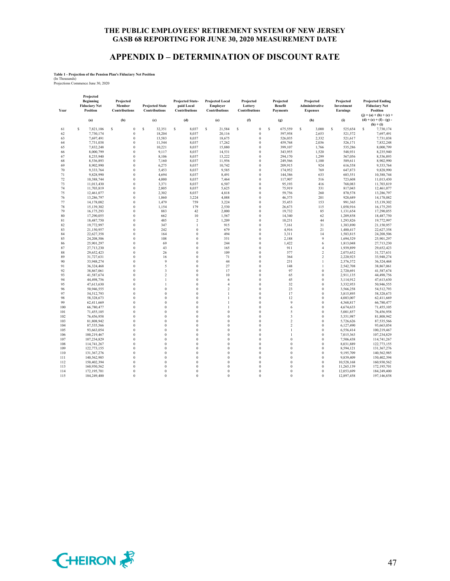## **APPENDIX D – DETERMINATION OF DISCOUNT RATE**

**Table 1 - Projection of the Pension Plan's Fiduciary Net Position**

(In Thousands) Projections Commence June 30, 2020

| Year | Projected<br>Beginning<br><b>Fiduciary Net</b><br><b>Position</b> | Projected<br>Member<br><b>Contributions</b> | <b>Projected State</b><br><b>Contributions</b> | <b>Projected State-</b><br>paid Local<br><b>Contributions</b> | <b>Projected Local</b><br>Employer<br><b>Contributions</b> | Projected<br>Lottery<br><b>Contributions</b> | Projected<br>Benefit<br><b>Payments</b>    | Projected<br>Administrative<br><b>Expenses</b> | Projected<br>Investment<br>Earnings | <b>Projected Ending</b><br><b>Fiduciary Net</b><br>Position |
|------|-------------------------------------------------------------------|---------------------------------------------|------------------------------------------------|---------------------------------------------------------------|------------------------------------------------------------|----------------------------------------------|--------------------------------------------|------------------------------------------------|-------------------------------------|-------------------------------------------------------------|
|      | (a)                                                               | (b)                                         | (c)                                            | (d)                                                           | (e)                                                        | (f)                                          | (g)                                        | (h)                                            | (i)                                 | $(i) = (a) + (b) + (c) +$<br>$(d) + (e) + (f) - (g)$        |
|      |                                                                   |                                             |                                                |                                                               |                                                            |                                              |                                            |                                                |                                     | $(h) + (i)$                                                 |
| 61   | s<br>7,821,106                                                    | s<br>$\theta$                               | \$<br>32,351                                   | s<br>8,037                                                    | \$<br>21,584                                               | \$<br>$\theta$                               | \$<br>675,559                              | s<br>3,000                                     | s<br>525,654                        | \$<br>7,730,174                                             |
| 62   | 7,730,174                                                         | $\theta$                                    | 18,204                                         | 8,037                                                         | 20,116                                                     | $\theta$                                     | 597,958                                    | 2,653                                          | 521,572                             | 7,697,491                                                   |
| 63   | 7,697,491                                                         | $\Omega$                                    | 13,583                                         | 8,037                                                         | 18,675                                                     | $\theta$                                     | 526,035                                    | 2,332                                          | 521,617                             | 7,731,038                                                   |
| 64   | 7,731,038                                                         | $\Omega$                                    | 11,544                                         | 8,037                                                         | 17,262                                                     | $\theta$                                     | 459,768                                    | 2,036                                          | 526,171                             | 7,832,248                                                   |
| 65   | 7,832,248                                                         | $\mathbf{0}$                                | 10,221                                         | 8,037                                                         | 15,880                                                     | $\mathbf{0}$                                 | 399,107                                    | 1,766                                          | 535,286                             | 8,000,799                                                   |
| 66   | 8,000,799                                                         | $\theta$                                    | 9,117                                          | 8,037                                                         | 14,531                                                     | $\theta$                                     | 343,955                                    | 1,520                                          | 548,931                             | 8,235,940                                                   |
| 67   | 8,235,940                                                         | $\Omega$                                    | 8,106                                          | 8,037                                                         | 13,222                                                     | $\theta$                                     | 294,170                                    | 1,299                                          | 567,056                             | 8,536,893                                                   |
| 68   | 8,536,893                                                         | $\theta$                                    | 7,160                                          | 8,037                                                         | 11,956                                                     | $\theta$                                     | 249,566                                    | 1,100                                          | 589,611                             | 8,902,990                                                   |
| 69   | 8,902,990                                                         | $\theta$                                    | 6,275                                          | 8,037                                                         | 10,742                                                     | $\theta$                                     | 209,915                                    | 924                                            | 616,558                             | 9,333,764                                                   |
| 70   | 9,333,764                                                         | $\theta$                                    | 5,453                                          | 8,037                                                         | 9,585                                                      | $\mathbf{0}$                                 | 174,952                                    | 769                                            | 647,873                             | 9,828,990                                                   |
| 71   | 9,828,990                                                         | $\theta$                                    | 4,694                                          | 8,037                                                         | 8,491                                                      | $\theta$                                     | 144,386                                    | 633                                            | 683,551                             | 10,388,744                                                  |
| 72   | 10,388,744                                                        | $\mathbf{0}$                                | 4,000                                          | 8,037                                                         | 7,464                                                      | $\mathbf{0}$                                 | 117,907                                    | 516                                            | 723,608                             | 11,013,430                                                  |
| 73   | 11,013,430                                                        | $\Omega$                                    | 3,371                                          | 8,037                                                         | 6,507                                                      | $\theta$                                     | 95,193                                     | 416                                            | 768,083                             | 11,703,819                                                  |
| 74   | 11,703,819                                                        | $\Omega$                                    | 2,805                                          | 8,037                                                         | 5,625                                                      | $\theta$                                     | 75,919                                     | 331                                            | 817,043                             | 12,461,077                                                  |
| 75   | 12,461,077                                                        | $\theta$                                    | 2,302                                          | 8,037                                                         | 4,818                                                      | $\mathbf{0}$                                 | 59,756                                     | 260                                            | 870,578                             | 13,286,797                                                  |
| 76   | 13,286,797                                                        | $\theta$                                    | 1,860                                          | 3,224                                                         | 4,088                                                      | $\theta$                                     | 46,375                                     | 201                                            | 928,689                             | 14,178,082                                                  |
| 77   | 14,178,082                                                        | $\theta$                                    | 1,479                                          | 759                                                           | 3,224                                                      | $\theta$                                     | 35,453                                     | 153                                            | 991,365                             | 15,139,302                                                  |
| 78   | 15,139,302                                                        | $\theta$                                    | 1,154                                          | 179                                                           | 2,530                                                      | $\theta$                                     | 26,673                                     | 115                                            | 1,058,916                           | 16,175,293                                                  |
| 79   | 16,175,293                                                        | $\mathbf{0}$                                | 883                                            | 42                                                            | 2,000                                                      | $\mathbf{0}$                                 | 19,732                                     | 85                                             | 1,131,654                           | 17,290,055                                                  |
| 80   | 17,290,055                                                        | $\theta$                                    | 662                                            | 10                                                            | 1,567                                                      | $\theta$                                     | 14,340                                     | 62                                             | 1,209,858                           | 18,487,750                                                  |
| 81   | 18,487,750                                                        | $\theta$                                    | 485                                            | 2                                                             | 1,209                                                      | $\theta$                                     | 10,231                                     | 44                                             | 1,293,826                           | 19,772,997                                                  |
| 82   | 19,772,997                                                        | $\theta$                                    | 347                                            | 1                                                             | 915                                                        | $\theta$                                     | 7,161                                      | 31                                             | 1.383.890                           | 21.150.957                                                  |
| 83   | 21,150,957                                                        | $\theta$                                    | 242                                            | $\theta$                                                      | 679                                                        | $\theta$                                     | 4,916                                      | 21                                             | 1,480,417                           | 22,627,358                                                  |
| 84   | 22,627,358                                                        | $\theta$                                    | 164                                            | $\theta$                                                      | 494                                                        | $\mathbf{0}$                                 | 3,311                                      | 14                                             | 1,583,815                           | 24,208,506                                                  |
| 85   | 24,208,506                                                        | $\theta$                                    | 108                                            | $\theta$                                                      | 351                                                        | $\theta$                                     | 2,188                                      | 9                                              | 1,694,529                           | 25,901,297                                                  |
| 86   | 25,901,297                                                        | $\theta$                                    | 69                                             | $\theta$                                                      | 244                                                        | $\theta$                                     | 1,422                                      | 6                                              | 1,813,048                           | 27,713,230                                                  |
| 87   | 27,713,230                                                        | $\Omega$                                    | 43                                             | $\theta$                                                      | 165                                                        | $\theta$                                     | 911                                        | $\overline{4}$                                 | 1,939,899                           | 29,652,423                                                  |
| 88   | 29,652,423                                                        | $\theta$                                    | 26                                             | $\theta$                                                      | 109                                                        | $\theta$                                     | 577                                        | $\,2$                                          | 2,075,652                           | 31,727,631                                                  |
| 89   | 31,727,631                                                        | $\mathbf{0}$                                | 16                                             | $\overline{0}$                                                | 71                                                         | $\overline{0}$                               | 364                                        | $\overline{c}$                                 | 2,220,923                           | 33,948,274                                                  |
| 90   | 33,948,274                                                        | $\theta$                                    | 9                                              | $\theta$                                                      | 44                                                         | $\theta$                                     | 231                                        | $\mathbf{1}$                                   | 2,376,372                           | 36,324,468                                                  |
| 91   | 36,324,468                                                        | $\Omega$                                    | 5                                              | $\theta$                                                      | 27                                                         | $\theta$                                     | 148                                        | $\mathbf{1}$                                   | 2,542,708                           | 38,867,061                                                  |
| 92   | 38,867,061                                                        | $\theta$                                    | 3                                              | $\theta$                                                      | 17                                                         | $\theta$                                     | 97                                         | $\theta$                                       | 2.720.691                           | 41,587,674                                                  |
| 93   | 41,587,674                                                        | $\Omega$                                    | $\overline{c}$                                 | $\theta$                                                      | 10                                                         | $\theta$                                     | 65                                         | $\theta$                                       | 2,911,135                           | 44,498,756                                                  |
| 94   | 44,498,756                                                        | $\theta$                                    | 1                                              | $\theta$                                                      | 6                                                          | $\theta$                                     | 45                                         | $\bf{0}$                                       | 3,114,912                           | 47,613,630                                                  |
| 95   | 47,613,630                                                        | $\theta$                                    | $\mathbf{I}$                                   | $\theta$                                                      | $\overline{4}$                                             | $\theta$                                     | 32                                         | $\theta$                                       | 3,332,953                           | 50,946,555                                                  |
| 96   | 50,946,555                                                        | $\mathbf{0}$                                | $\mathbf{0}$                                   | $\theta$                                                      | $\,2$                                                      | $\theta$                                     | 23                                         | $\bf{0}$                                       | 3,566,258                           | 54,512,793                                                  |
| 97   | 54,512,793                                                        | $\Omega$                                    | $\theta$                                       | $\Omega$                                                      | 1                                                          | $\Omega$                                     | 17                                         | $\theta$                                       | 3,815,895                           | 58,328,673                                                  |
| 98   | 58,328,673                                                        | $\Omega$<br>$\theta$                        | $\theta$<br>$\theta$                           | $\theta$<br>$\theta$                                          | 1                                                          | $\theta$<br>$\theta$                         | 12                                         | $\theta$                                       | 4,083,007                           | 62,411,669                                                  |
| 99   | 62,411,669                                                        |                                             |                                                |                                                               | 1                                                          |                                              | 9                                          | $\bf{0}$                                       | 4,368,817                           | 66,780,477                                                  |
| 100  | 66,780,477                                                        | $\theta$<br>$\theta$                        | $\theta$<br>$\theta$                           | $\theta$<br>$\theta$                                          | 1<br>$\theta$                                              | $\theta$<br>$\theta$                         | 6                                          | $\bf{0}$<br>$\theta$                           | 4,674,633                           | 71,455,105                                                  |
| 101  | 71,455,105                                                        |                                             |                                                |                                                               |                                                            |                                              | 5                                          |                                                | 5,001,857                           | 76,456,958                                                  |
| 102  | 76,456,958                                                        | $\theta$                                    | $\theta$                                       | $\theta$                                                      | $\theta$                                                   | $\theta$                                     | $\overline{\mathbf{3}}$                    | $\theta$                                       | 5,351,987                           | 81,808,942                                                  |
| 103  | 81,808,942                                                        | $\mathbf{0}$                                | $\mathbf{0}$<br>$\theta$                       | $\theta$                                                      | $\mathbf{0}$                                               | $\theta$                                     | $\overline{c}$<br>$\overline{\mathcal{L}}$ | $\bf{0}$<br>$\theta$                           | 5,726,626                           | 87,535,566                                                  |
| 104  | 87,535,566                                                        | $\Omega$                                    | $\theta$                                       | $\theta$                                                      | $\theta$                                                   | $\theta$                                     |                                            |                                                | 6,127,490                           | 93,663,054                                                  |
| 105  | 93,663,054                                                        | $\theta$                                    |                                                | $\theta$                                                      | $\theta$                                                   | $\theta$                                     | $\mathbf{I}$                               | $\theta$                                       | 6.556.414                           | 100,219,467                                                 |
| 106  | 100,219,467                                                       | $\mathbf{0}$                                | $\mathbf{0}$                                   | $\theta$                                                      | $\mathbf{0}$                                               | $\mathbf{0}$                                 | 1                                          | $\bf{0}$                                       | 7,015,363                           | 107,234,829                                                 |
| 107  | 107,234,829                                                       | $\Omega$                                    | $\theta$                                       | $\theta$                                                      | $\theta$                                                   | $\theta$                                     | $\theta$                                   | $\theta$                                       | 7,506,438                           | 114,741,267                                                 |
| 108  | 114,741,267                                                       | $\theta$                                    | $\theta$                                       | $\theta$                                                      | $\theta$                                                   | $\theta$                                     | $\theta$                                   | $\theta$                                       | 8,031,889                           | 122,773,155                                                 |
| 109  | 122,773,155                                                       | $\theta$                                    | $\theta$                                       | $\theta$                                                      | $\theta$                                                   | $\theta$                                     | $\theta$                                   | $\theta$                                       | 8,594,121                           | 131,367,276                                                 |
| 110  | 131,367,276                                                       | $\theta$                                    | $\theta$                                       | $\theta$                                                      | $\theta$                                                   | $\theta$                                     | $\theta$                                   | $\theta$                                       | 9,195,709                           | 140,562,985                                                 |
| 111  | 140,562,985                                                       | $\theta$                                    | $\theta$                                       | $\theta$                                                      | $\theta$                                                   | $\theta$                                     | $\theta$                                   | $\theta$                                       | 9,839,409                           | 150,402,394                                                 |
| 112  | 150,402,394                                                       | $\theta$                                    | $\theta$                                       | $\theta$                                                      | $\theta$                                                   | $\theta$                                     | $\theta$                                   | $\theta$                                       | 10,528,168                          | 160,930,562                                                 |
| 113  | 160,930,562                                                       | $\mathbf{0}$                                | $\overline{0}$                                 | $\theta$                                                      | $\overline{0}$                                             | $\overline{0}$                               | $\overline{0}$                             | $\bf{0}$                                       | 11,265,139                          | 172,195,701                                                 |
| 114  | 172,195,701                                                       | $\Omega$                                    | $\Omega$                                       | $\Omega$                                                      | $\Omega$                                                   | $\Omega$                                     | $\Omega$                                   | $\theta$                                       | 12,053,699                          | 184,249,400                                                 |
| 115  | 184,249,400                                                       | $\Omega$                                    | $\theta$                                       | $\theta$                                                      | $\Omega$                                                   | $\Omega$                                     | $\theta$                                   | $\theta$                                       | 12,897,458                          | 197,146,858                                                 |

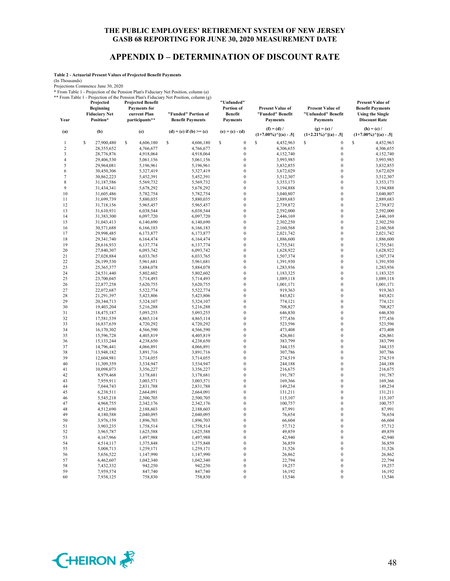## **APPENDIX D – DETERMINATION OF DISCOUNT RATE**

**"Unfunded"** 

**Table 2 - Actuarial Present Values of Projected Benefit Payments**

(In Thousands)

Projections Commence June 30, 2020<br>
\* From Table 1 - Projection of the Pension Plan's Fiduciary Net Position, column (a)<br>
\*\* From Table 1 - Projection of the Pension Plan's Fiduciary Net Position, column (g)<br>
\*\* From Table

| Year           | Projected<br><b>Beginning</b><br><b>Fiduciary Net</b><br>Position* | <b>Projected Benefit</b><br><b>Payments</b> for<br>current Plan<br>participants** | "Funded" Portion of<br><b>Benefit Payments</b> | "Unfunded"<br>Portion of<br>Benefit<br><b>Payments</b> | <b>Present Value of</b><br>"Funded" Benefit<br><b>Payments</b> | <b>Present Value of</b><br>"Unfunded" Benefit<br><b>Payments</b> | Present Value of<br><b>Benefit Payments</b><br><b>Using the Single</b><br><b>Discount Rate</b> |
|----------------|--------------------------------------------------------------------|-----------------------------------------------------------------------------------|------------------------------------------------|--------------------------------------------------------|----------------------------------------------------------------|------------------------------------------------------------------|------------------------------------------------------------------------------------------------|
| (a)            | (b)                                                                | (c)                                                                               | $(d) = (c)$ if $(b) \ge (c)$                   | $(e) = (c) - (d)$                                      | $(f) = (d)$<br>$(1+7.00\%)$ <sup>^</sup> [(a) - .5]            | $(g) = (e) /$<br>$(1+2.21\%)$ <sup>^</sup> [(a) - .5]            | $(h) = (c) /$<br>$(1+7.00\%)$ <sup>^</sup> [(a) - .5]                                          |
| 1              | S<br>27,900,480                                                    | S<br>4,606,180                                                                    | \$<br>4,606,180                                | \$<br>$\boldsymbol{0}$                                 | $\mathbf S$<br>4,452,963                                       | $\mathbf S$<br>$\mathbf{0}$                                      | $\mathbf S$<br>4,452,963                                                                       |
| $\overline{c}$ | 28,355,652                                                         | 4,766,677                                                                         | 4,766,677                                      | $\boldsymbol{0}$                                       | 4,306,655                                                      | $\boldsymbol{0}$                                                 | 4,306,655                                                                                      |
| 3              | 28,776,876                                                         | 4,918,064                                                                         | 4,918,064                                      | $\boldsymbol{0}$                                       | 4,152,740                                                      | $\boldsymbol{0}$                                                 | 4,152,740                                                                                      |
| 4              | 29,406,530                                                         | 5,061,156                                                                         | 5,061,156                                      | $\boldsymbol{0}$                                       | 3,993,985                                                      | $\boldsymbol{0}$                                                 | 3,993,985                                                                                      |
| 5              | 29,964,081                                                         | 5,196,961                                                                         | 5,196,961                                      | $\boldsymbol{0}$                                       | 3,832,855                                                      | $\boldsymbol{0}$                                                 | 3,832,855                                                                                      |
| 6              | 30,450,306                                                         | 5,327,419                                                                         | 5,327,419                                      | $\boldsymbol{0}$                                       | 3,672,029                                                      | $\boldsymbol{0}$                                                 | 3,672,029                                                                                      |
| 7              | 30,862,223                                                         | 5,452,391                                                                         | 5,452,391                                      | $\boldsymbol{0}$                                       | 3,512,307                                                      | $\mathbf{0}$                                                     | 3,512,307                                                                                      |
| 8              | 31,187,586                                                         | 5,569,732                                                                         | 5,569,732                                      | $\mathbf{0}$                                           | 3,353,173                                                      | $\mathbf{0}$                                                     | 3,353,173                                                                                      |
| 9              | 31,434,341                                                         | 5,678,292                                                                         | 5,678,292                                      | $\mathbf{0}$                                           | 3,194,888                                                      | $\mathbf{0}$                                                     | 3,194,888                                                                                      |
| 10             | 31,605,486                                                         | 5,782,754                                                                         | 5,782,754                                      | $\boldsymbol{0}$                                       | 3,040,807                                                      | $\boldsymbol{0}$                                                 | 3,040,807                                                                                      |
| 11             | 31,699,739                                                         | 5,880,035                                                                         | 5,880,035                                      | $\boldsymbol{0}$                                       | 2,889,683                                                      | $\boldsymbol{0}$                                                 | 2,889,683                                                                                      |
| 12             | 31,718,156                                                         | 5,965,457                                                                         | 5,965,457                                      | $\boldsymbol{0}$                                       | 2,739,872                                                      | $\boldsymbol{0}$                                                 | 2,739,872                                                                                      |
| 13             | 31,610,931                                                         | 6,038,544                                                                         | 6,038,544                                      | $\mathbf{0}$                                           | 2,592,000                                                      | $\mathbf{0}$                                                     | 2,592,000                                                                                      |
| 14             | 31,383,300                                                         | 6,097,720                                                                         | 6,097,720                                      | $\boldsymbol{0}$                                       | 2,446,169                                                      | $\mathbf{0}$                                                     | 2,446,169                                                                                      |
| 15             | 31,043,413                                                         | 6,140,690                                                                         | 6,140,690                                      | $\boldsymbol{0}$                                       | 2,302,250                                                      | $\boldsymbol{0}$                                                 | 2,302,250                                                                                      |
| 16             | 30,571,688                                                         | 6,166,183                                                                         | 6,166,183                                      | $\boldsymbol{0}$                                       | 2,160,568                                                      | $\boldsymbol{0}$                                                 | 2,160,568                                                                                      |
| 17             | 29,998,485                                                         | 6,173,877                                                                         | 6,173,877                                      | $\mathbf{0}$                                           | 2,021,742                                                      | $\mathbf{0}$                                                     | 2,021,742                                                                                      |
| 18             | 29,341,740                                                         | 6,164,474                                                                         | 6,164,474                                      | $\mathbf{0}$                                           | 1,886,600                                                      | $\mathbf{0}$                                                     | 1,886,600                                                                                      |
| 19             | 28,616,933                                                         | 6,137,774                                                                         | 6,137,774                                      | $\boldsymbol{0}$                                       | 1,755,541                                                      | $\mathbf{0}$                                                     | 1,755,541                                                                                      |
| 20             | 27,840,307                                                         | 6,093,742                                                                         | 6,093,742                                      | $\boldsymbol{0}$                                       | 1,628,922                                                      | $\boldsymbol{0}$                                                 | 1,628,922                                                                                      |
| 21             | 27,028,884                                                         | 6,033,765                                                                         | 6,033,765                                      | $\boldsymbol{0}$                                       | 1,507,374                                                      | $\boldsymbol{0}$                                                 | 1,507,374                                                                                      |
| 22             | 26,199,530                                                         | 5,961,681                                                                         | 5,961,681                                      | $\boldsymbol{0}$                                       | 1,391,930                                                      | $\boldsymbol{0}$                                                 | 1,391,930                                                                                      |
| 23             | 25,365,377                                                         | 5,884,078                                                                         | 5,884,078                                      | $\boldsymbol{0}$                                       | 1,283,936                                                      | $\mathbf{0}$                                                     | 1,283,936                                                                                      |
| 24             | 24,531,440                                                         | 5,802,602                                                                         | 5,802,602                                      | $\mathbf{0}$                                           | 1,183,325                                                      | $\mathbf{0}$                                                     | 1,183,325                                                                                      |
| 25             | 23,700,045                                                         | 5,714,493                                                                         | 5,714,493                                      | $\boldsymbol{0}$                                       | 1,089,118                                                      | $\boldsymbol{0}$                                                 | 1,089,118                                                                                      |
| 26             | 22,877,258                                                         | 5,620,755                                                                         | 5,620,755                                      | $\boldsymbol{0}$                                       | 1,001,171                                                      | $\mathbf{0}$                                                     | 1,001,171                                                                                      |
| 27             | 22,072,687                                                         | 5,522,774                                                                         | 5,522,774                                      | $\boldsymbol{0}$                                       | 919,363                                                        | $\boldsymbol{0}$                                                 | 919,363                                                                                        |
| 28             | 21,291,397                                                         | 5,423,806                                                                         | 5,423,806                                      | $\mathbf{0}$                                           | 843,821                                                        | $\mathbf{0}$                                                     | 843,821                                                                                        |
| 29             | 20,344,713                                                         | 5,324,107                                                                         | 5,324,107                                      | $\mathbf{0}$                                           | 774,121                                                        | $\mathbf{0}$                                                     | 774,121                                                                                        |
| 30             | 19,403,204                                                         | 5,216,288                                                                         | 5,216,288                                      | $\boldsymbol{0}$                                       | 708,827                                                        | $\boldsymbol{0}$                                                 | 708,827                                                                                        |
| 31             | 18,475,187                                                         | 5,093,255                                                                         | 5,093,255                                      | $\mathbf{0}$                                           | 646,830                                                        | $\mathbf{0}$                                                     | 646,830                                                                                        |
| 32             | 17,581,539                                                         | 4,865,114                                                                         | 4,865,114                                      | $\boldsymbol{0}$                                       | 577,436                                                        | $\boldsymbol{0}$                                                 | 577,436                                                                                        |
| 33             | 16,837,639                                                         | 4,720,292                                                                         | 4,720,292                                      | $\boldsymbol{0}$                                       | 523,596                                                        | $\boldsymbol{0}$                                                 | 523,596                                                                                        |
| 34             | 16,170,302                                                         | 4,566,590                                                                         | 4,566,590                                      | $\boldsymbol{0}$                                       | 473,408                                                        | $\mathbf{0}$                                                     | 473,408                                                                                        |
| 35             | 15,596,728                                                         | 4,405,819                                                                         | 4,405,819                                      | $\mathbf{0}$                                           | 426,861                                                        | $\mathbf{0}$                                                     | 426,861                                                                                        |
| 36             | 15,133,244                                                         | 4,238,650                                                                         | 4,238,650                                      | $\boldsymbol{0}$                                       | 383,799                                                        | $\mathbf{0}$                                                     | 383,799                                                                                        |
| 37             | 14,796,441                                                         | 4,066,891                                                                         | 4,066,891                                      | $\boldsymbol{0}$                                       | 344,155                                                        | $\boldsymbol{0}$                                                 | 344,155                                                                                        |
| 38             | 13,948,182                                                         | 3,891,716                                                                         | 3,891,716                                      | $\boldsymbol{0}$                                       | 307,786                                                        | $\boldsymbol{0}$                                                 | 307,786                                                                                        |
| 39<br>40       | 12,604,981<br>11,309,359                                           | 3,714,055                                                                         | 3,714,055                                      | $\mathbf{0}$<br>$\mathbf{0}$                           | 274,519                                                        | $\mathbf{0}$<br>$\mathbf{0}$                                     | 274,519                                                                                        |
|                |                                                                    | 3,534,947                                                                         | 3,534,947                                      | $\boldsymbol{0}$                                       | 244,188                                                        | $\boldsymbol{0}$                                                 | 244,188                                                                                        |
| 41<br>42       | 10,098,073<br>8,979,468                                            | 3,356,227<br>3,178,681                                                            | 3,356,227<br>3,178,681                         | $\boldsymbol{0}$                                       | 216,675<br>191,787                                             | $\boldsymbol{0}$                                                 | 216,675<br>191,787                                                                             |
| 43             | 7,959,911                                                          | 3,003,571                                                                         | 3,003,571                                      | $\boldsymbol{0}$                                       | 169,366                                                        | $\boldsymbol{0}$                                                 | 169,366                                                                                        |
| 44             | 7,044,743                                                          | 2,831,788                                                                         | 2,831,788                                      | $\boldsymbol{0}$                                       | 149,234                                                        | $\boldsymbol{0}$                                                 | 149,234                                                                                        |
| 45             | 6,238,511                                                          | 2,664,091                                                                         | 2,664,091                                      | $\mathbf{0}$                                           | 131,211                                                        | $\mathbf{0}$                                                     | 131,211                                                                                        |
| 46             | 5,545,218                                                          | 2,500,705                                                                         | 2,500,705                                      | $\boldsymbol{0}$                                       | 115,107                                                        | $\mathbf{0}$                                                     | 115,107                                                                                        |
| 47             | 4,968,755                                                          | 2,342,176                                                                         | 2,342,176                                      | $\boldsymbol{0}$                                       | 100,757                                                        | $\boldsymbol{0}$                                                 | 100,757                                                                                        |
| 48             | 4,512,690                                                          | 2,188,603                                                                         | 2,188,603                                      | $\boldsymbol{0}$                                       | 87,991                                                         | $\boldsymbol{0}$                                                 | 87,991                                                                                         |
| 49             | 4,180,588                                                          | 2,040,095                                                                         | 2,040,095                                      | $\boldsymbol{0}$                                       | 76,654                                                         | $\boldsymbol{0}$                                                 | 76,654                                                                                         |
| 50             | 3,976,159                                                          | 1,896,703                                                                         | 1,896,703                                      | $\boldsymbol{0}$                                       | 66,604                                                         | $\mathbf{0}$                                                     | 66,604                                                                                         |
| 51             | 3,903,235                                                          | 1,758,514                                                                         | 1,758,514                                      | $\mathbf{0}$                                           | 57,712                                                         | $\mathbf{0}$                                                     | 57,712                                                                                         |
| 52             | 3,965,787                                                          | 1,625,588                                                                         | 1,625,588                                      | $\boldsymbol{0}$                                       | 49,859                                                         | $\boldsymbol{0}$                                                 | 49,859                                                                                         |
| 53             | 4,167,966                                                          | 1,497,988                                                                         | 1,497,988                                      | $\boldsymbol{0}$                                       | 42,940                                                         | $\boldsymbol{0}$                                                 | 42,940                                                                                         |
| 54             | 4,514,117                                                          | 1,375,848                                                                         | 1,375,848                                      | $\boldsymbol{0}$                                       | 36,859                                                         | $\boldsymbol{0}$                                                 | 36,859                                                                                         |
| 55             | 5,008,713                                                          | 1,259,171                                                                         | 1,259,171                                      | $\mathbf{0}$                                           | 31,526                                                         | $\mathbf{0}$                                                     | 31,526                                                                                         |
| 56             | 5,656,522                                                          | 1,147,990                                                                         | 1,147,990                                      | $\mathbf{0}$                                           | 26,862                                                         | $\mathbf{0}$                                                     | 26,862                                                                                         |
| 57             | 6,462,607                                                          | 1,042,340                                                                         | 1,042,340                                      | $\boldsymbol{0}$                                       | 22,794                                                         | $\boldsymbol{0}$                                                 | 22,794                                                                                         |
| 58             | 7,432,332                                                          | 942,250                                                                           | 942,250                                        | $\mathbf{0}$                                           | 19,257                                                         | $\mathbf{0}$                                                     | 19,257                                                                                         |
| 59             | 7,959,574                                                          | 847,740                                                                           | 847,740                                        | $\boldsymbol{0}$                                       | 16,192                                                         | $\boldsymbol{0}$                                                 | 16,192                                                                                         |
| 60             | 7,938,125                                                          | 758,830                                                                           | 758,830                                        | $\Omega$                                               | 13,546                                                         | $\Omega$                                                         | 13,546                                                                                         |

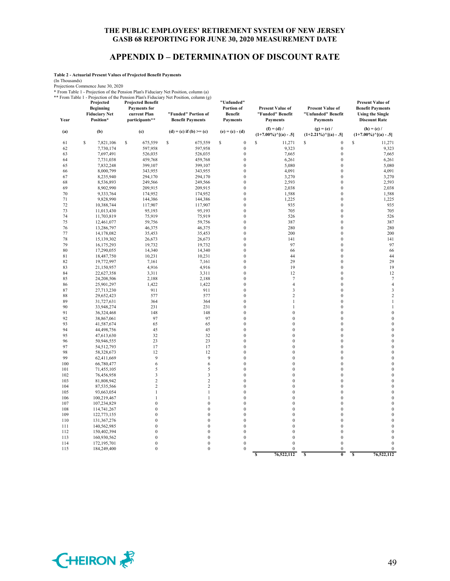## **APPENDIX D – DETERMINATION OF DISCOUNT RATE**

**Table 2 - Actuarial Present Values of Projected Benefit Payments**

(In Thousands)

| Year     | Projected<br><b>Beginning</b><br><b>Fiduciary Net</b><br>Position* | <b>Projected Benefit</b><br><b>Payments</b> for<br>current Plan<br>participants** | * From Table 1 - Projection of the Pension Plan's Fiduciary Net Position, column (a)<br>** From Table 1 - Projection of the Pension Plan's Fiduciary Net Position, column (g)<br>"Funded" Portion of<br><b>Benefit Payments</b> | "Unfunded"<br>Portion of<br><b>Benefit</b><br>Payments | Present Value of<br>"Funded" Benefit<br>Payments      | <b>Present Value of</b><br>"Unfunded" Benefit<br><b>Payments</b> | <b>Present Value of</b><br><b>Benefit Payments</b><br><b>Using the Single</b><br><b>Discount Rate</b> |
|----------|--------------------------------------------------------------------|-----------------------------------------------------------------------------------|---------------------------------------------------------------------------------------------------------------------------------------------------------------------------------------------------------------------------------|--------------------------------------------------------|-------------------------------------------------------|------------------------------------------------------------------|-------------------------------------------------------------------------------------------------------|
| (a)      | (b)                                                                | (c)                                                                               | $(d) = (c)$ if $(b) >= (c)$                                                                                                                                                                                                     | $(e) = (c) - (d)$                                      | $(f) = (d) /$<br>$(1+7.00\%)$ <sup>^</sup> [(a) - .5] | $(g) = (e) /$<br>$(1+2.21\%)$ <sup>^</sup> [(a) - .5]            | $(h) = (c) /$<br>$(1+7.00\%)$ <sup>^</sup> [(a) - .5]                                                 |
| 61       | \$<br>7,821,106                                                    | \$<br>675,559                                                                     | $\mathbb S$<br>675,559                                                                                                                                                                                                          | \$<br>$\boldsymbol{0}$                                 | $\mathbb S$<br>11,271                                 | \$<br>$\mathbf{0}$                                               | \$<br>11,271                                                                                          |
| 62       | 7,730,174                                                          | 597,958                                                                           | 597,958                                                                                                                                                                                                                         | $\boldsymbol{0}$                                       | 9,323                                                 | $\boldsymbol{0}$                                                 | 9,323                                                                                                 |
| 63       | 7,697,491                                                          | 526,035                                                                           | 526,035                                                                                                                                                                                                                         | $\boldsymbol{0}$                                       | 7,665                                                 | $\boldsymbol{0}$                                                 | 7,665                                                                                                 |
| 64       | 7,731,038                                                          | 459,768                                                                           | 459,768                                                                                                                                                                                                                         | $\boldsymbol{0}$                                       | 6,261                                                 | $\mathbf{0}$                                                     | 6,261                                                                                                 |
| 65       | 7,832,248                                                          | 399,107                                                                           | 399,107                                                                                                                                                                                                                         | $\boldsymbol{0}$                                       | 5,080                                                 | $\boldsymbol{0}$                                                 | 5,080                                                                                                 |
| 66       | 8,000,799                                                          | 343,955                                                                           | 343,955                                                                                                                                                                                                                         | $\overline{0}$                                         | 4,091                                                 | $\boldsymbol{0}$                                                 | 4,091                                                                                                 |
| 67       | 8,235,940                                                          | 294,170                                                                           | 294,170                                                                                                                                                                                                                         | $\boldsymbol{0}$                                       | 3,270                                                 | $\boldsymbol{0}$                                                 | 3,270                                                                                                 |
| 68       | 8,536,893                                                          | 249,566                                                                           | 249,566                                                                                                                                                                                                                         | $\boldsymbol{0}$                                       | 2,593                                                 | $\mathbf{0}$                                                     | 2,593                                                                                                 |
| 69       | 8,902,990                                                          | 209,915                                                                           | 209,915                                                                                                                                                                                                                         | $\boldsymbol{0}$                                       | 2,038                                                 | $\boldsymbol{0}$                                                 | 2,038                                                                                                 |
| 70       | 9,333,764                                                          | 174,952                                                                           | 174,952                                                                                                                                                                                                                         | $\overline{0}$                                         | 1,588                                                 | $\boldsymbol{0}$                                                 | 1,588                                                                                                 |
| 71       | 9,828,990                                                          | 144,386                                                                           | 144,386                                                                                                                                                                                                                         | $\overline{0}$                                         | 1,225                                                 | $\mathbf{0}$                                                     | 1,225                                                                                                 |
| 72       | 10,388,744                                                         | 117,907                                                                           | 117,907                                                                                                                                                                                                                         | $\overline{0}$                                         | 935                                                   | $\mathbf{0}$                                                     | 935                                                                                                   |
| 73       | 11,013,430                                                         | 95,193                                                                            | 95,193                                                                                                                                                                                                                          | $\overline{0}$                                         | 705                                                   | $\boldsymbol{0}$                                                 | 705                                                                                                   |
| 74       | 11,703,819                                                         | 75,919                                                                            | 75,919                                                                                                                                                                                                                          | $\overline{0}$                                         | 526                                                   | $\boldsymbol{0}$                                                 | 526                                                                                                   |
| 75       | 12,461,077                                                         | 59,756                                                                            | 59,756                                                                                                                                                                                                                          | $\boldsymbol{0}$                                       | 387                                                   | $\boldsymbol{0}$                                                 | 387                                                                                                   |
| 76       | 13,286,797                                                         | 46,375                                                                            | 46,375                                                                                                                                                                                                                          | $\overline{0}$                                         | 280                                                   | $\mathbf{0}$                                                     | 280                                                                                                   |
| 77       | 14,178,082                                                         | 35,453                                                                            | 35,453                                                                                                                                                                                                                          | $\boldsymbol{0}$                                       | 200                                                   | $\boldsymbol{0}$                                                 | 200                                                                                                   |
| 78       | 15,139,302                                                         | 26,673                                                                            | 26,673                                                                                                                                                                                                                          | $\overline{0}$                                         | 141                                                   | $\mathbf{0}$                                                     | 141                                                                                                   |
| 79       | 16,175,293                                                         | 19,732                                                                            | 19,732                                                                                                                                                                                                                          | $\overline{0}$                                         | 97                                                    | $\boldsymbol{0}$                                                 | 97                                                                                                    |
| 80       | 17,290,055                                                         | 14,340                                                                            | 14,340                                                                                                                                                                                                                          | $\boldsymbol{0}$                                       | 66                                                    | $\mathbf{0}$                                                     | 66                                                                                                    |
| 81       | 18,487,750                                                         | 10,231                                                                            | 10,231                                                                                                                                                                                                                          | $\boldsymbol{0}$                                       | 44                                                    | $\mathbf{0}$                                                     | 44                                                                                                    |
| 82       | 19,772,997                                                         | 7,161                                                                             | 7,161                                                                                                                                                                                                                           | $\boldsymbol{0}$                                       | 29                                                    | $\mathbf{0}$                                                     | 29                                                                                                    |
| 83       | 21,150,957                                                         | 4,916                                                                             | 4,916                                                                                                                                                                                                                           | $\boldsymbol{0}$                                       | 19                                                    | $\mathbf{0}$                                                     | 19                                                                                                    |
| 84       | 22,627,358                                                         | 3,311                                                                             | 3,311                                                                                                                                                                                                                           | $\boldsymbol{0}$                                       | 12                                                    | $\mathbf{0}$                                                     | 12                                                                                                    |
| 85       | 24,208,506                                                         | 2,188                                                                             | 2,188                                                                                                                                                                                                                           | $\overline{0}$                                         | $\tau$                                                | $\boldsymbol{0}$                                                 | $\tau$                                                                                                |
| 86       | 25,901,297                                                         | 1,422                                                                             | 1,422                                                                                                                                                                                                                           | $\overline{0}$                                         | $\overline{4}$                                        | $\mathbf{0}$                                                     | $\overline{4}$                                                                                        |
| 87       | 27,713,230                                                         | 911                                                                               | 911                                                                                                                                                                                                                             | $\boldsymbol{0}$                                       | $\overline{\mathbf{3}}$                               | $\mathbf{0}$                                                     | 3                                                                                                     |
| 88       | 29,652,423                                                         | 577                                                                               | 577                                                                                                                                                                                                                             | $\overline{0}$<br>$\boldsymbol{0}$                     | $\overline{2}$                                        | $\mathbf{0}$<br>$\boldsymbol{0}$                                 | $\,2$<br>$\mathbf{1}$                                                                                 |
| 89<br>90 | 31,727,631                                                         | 364<br>231                                                                        | 364<br>231                                                                                                                                                                                                                      | $\boldsymbol{0}$                                       | 1<br>$\mathbf{1}$                                     | $\mathbf{0}$                                                     | $\mathbf{1}$                                                                                          |
| 91       | 33,948,274<br>36,324,468                                           | 148                                                                               | 148                                                                                                                                                                                                                             | $\mathbf{0}$                                           | $\boldsymbol{0}$                                      | $\mathbf{0}$                                                     | $\boldsymbol{0}$                                                                                      |
| 92       | 38,867,061                                                         | 97                                                                                | 97                                                                                                                                                                                                                              | $\boldsymbol{0}$                                       | $\boldsymbol{0}$                                      | $\boldsymbol{0}$                                                 | $\boldsymbol{0}$                                                                                      |
| 93       | 41,587,674                                                         | 65                                                                                | 65                                                                                                                                                                                                                              | $\boldsymbol{0}$                                       | $\boldsymbol{0}$                                      | $\mathbf{0}$                                                     | $\boldsymbol{0}$                                                                                      |
| 94       | 44,498,756                                                         | 45                                                                                | 45                                                                                                                                                                                                                              | $\boldsymbol{0}$                                       | $\boldsymbol{0}$                                      | $\boldsymbol{0}$                                                 | $\boldsymbol{0}$                                                                                      |
| 95       | 47,613,630                                                         | 32                                                                                | 32                                                                                                                                                                                                                              | $\overline{0}$                                         | $\mathbf{0}$                                          | $\mathbf{0}$                                                     | $\boldsymbol{0}$                                                                                      |
| 96       | 50,946,555                                                         | 23                                                                                | 23                                                                                                                                                                                                                              | $\overline{0}$                                         | $\boldsymbol{0}$                                      | $\boldsymbol{0}$                                                 | $\boldsymbol{0}$                                                                                      |
| 97       | 54,512,793                                                         | 17                                                                                | 17                                                                                                                                                                                                                              | $\boldsymbol{0}$                                       | $\boldsymbol{0}$                                      | $\mathbf{0}$                                                     | $\boldsymbol{0}$                                                                                      |
| 98       | 58,328,673                                                         | 12                                                                                | 12                                                                                                                                                                                                                              | $\overline{0}$                                         | $\boldsymbol{0}$                                      | $\boldsymbol{0}$                                                 | $\boldsymbol{0}$                                                                                      |
| 99       | 62,411,669                                                         | 9                                                                                 | 9                                                                                                                                                                                                                               | $\overline{0}$                                         | $\mathbf{0}$                                          | $\mathbf{0}$                                                     | $\boldsymbol{0}$                                                                                      |
| 100      | 66,780,477                                                         | 6                                                                                 | 6                                                                                                                                                                                                                               | $\boldsymbol{0}$                                       | $\boldsymbol{0}$                                      | $\boldsymbol{0}$                                                 | $\boldsymbol{0}$                                                                                      |
| 101      | 71,455,105                                                         | 5                                                                                 | 5                                                                                                                                                                                                                               | $\overline{0}$                                         | $\mathbf{0}$                                          | $\mathbf{0}$                                                     | $\mathbf{0}$                                                                                          |
| 102      | 76,456,958                                                         | $\overline{\mathbf{3}}$                                                           | 3                                                                                                                                                                                                                               | $\boldsymbol{0}$                                       | $\mathbf{0}$                                          | $\mathbf{0}$                                                     | $\mathbf{0}$                                                                                          |
| 103      | 81,808,942                                                         | $\overline{2}$                                                                    | $\sqrt{2}$                                                                                                                                                                                                                      | $\overline{0}$                                         | $\mathbf{0}$                                          | $\mathbf{0}$                                                     | $\boldsymbol{0}$                                                                                      |
| 104      | 87,535,566                                                         | $\overline{2}$                                                                    | $\overline{c}$                                                                                                                                                                                                                  | $\boldsymbol{0}$                                       | $\boldsymbol{0}$                                      | $\boldsymbol{0}$                                                 | $\boldsymbol{0}$                                                                                      |
| 105      | 93,663,054                                                         | $\mathbf{1}$                                                                      | $\mathbf{1}$                                                                                                                                                                                                                    | $\boldsymbol{0}$                                       | $\mathbf{0}$                                          | $\mathbf{0}$                                                     | $\boldsymbol{0}$                                                                                      |
| 106      | 100,219,467                                                        | $\mathbf{1}$                                                                      | 1                                                                                                                                                                                                                               | $\mathbf{0}$                                           | $\mathbf{0}$                                          | $\mathbf{0}$                                                     | $\mathbf{0}$                                                                                          |
| 107      | 107,234,829                                                        | $\boldsymbol{0}$                                                                  | $\boldsymbol{0}$                                                                                                                                                                                                                | $\boldsymbol{0}$                                       | $\boldsymbol{0}$                                      | $\boldsymbol{0}$                                                 | $\boldsymbol{0}$                                                                                      |
| 108      | 114,741,267                                                        | $\mathbf{0}$                                                                      | $\boldsymbol{0}$                                                                                                                                                                                                                | $\overline{0}$                                         | $\mathbf{0}$                                          | $\mathbf{0}$                                                     | $\boldsymbol{0}$                                                                                      |
| 109      | 122,773,155                                                        | $\mathbf{0}$                                                                      | $\boldsymbol{0}$                                                                                                                                                                                                                | $\boldsymbol{0}$                                       | $\boldsymbol{0}$                                      | $\mathbf{0}$                                                     | $\boldsymbol{0}$                                                                                      |
| 110      | 131,367,276                                                        | $\mathbf{0}$                                                                      | $\boldsymbol{0}$                                                                                                                                                                                                                | $\boldsymbol{0}$                                       | $\mathbf{0}$                                          | $\mathbf{0}$                                                     | $\mathbf{0}$                                                                                          |
| 111      | 140,562,985                                                        | $\mathbf{0}$                                                                      | $\boldsymbol{0}$                                                                                                                                                                                                                | $\overline{0}$                                         | $\boldsymbol{0}$                                      | $\boldsymbol{0}$                                                 | $\boldsymbol{0}$                                                                                      |
| 112      | 150,402,394                                                        | $\mathbf{0}$                                                                      | $\boldsymbol{0}$                                                                                                                                                                                                                | $\boldsymbol{0}$                                       | $\bf{0}$                                              | $\mathbf{0}$                                                     | $\boldsymbol{0}$                                                                                      |
| 113      | 160,930,562                                                        | $\boldsymbol{0}$                                                                  | $\boldsymbol{0}$                                                                                                                                                                                                                | $\overline{0}$                                         | $\mathbf{0}$                                          | $\mathbf{0}$                                                     | $\boldsymbol{0}$                                                                                      |
| 114      | 172,195,701                                                        | $\boldsymbol{0}$                                                                  | $\boldsymbol{0}$                                                                                                                                                                                                                | $\boldsymbol{0}$                                       | $\mathbf{0}$                                          | $\mathbf{0}$                                                     | $\mathbf{0}$                                                                                          |
| 115      | 184,249,400                                                        | $\mathbf{0}$                                                                      | $\boldsymbol{0}$                                                                                                                                                                                                                | $\boldsymbol{0}$                                       | $\bf{0}$                                              | $\boldsymbol{0}$                                                 | $\boldsymbol{0}$                                                                                      |
|          |                                                                    |                                                                                   |                                                                                                                                                                                                                                 |                                                        | 76,522,112<br>S                                       | \$<br>$\pmb{0}$                                                  | 76,522,112<br>s                                                                                       |

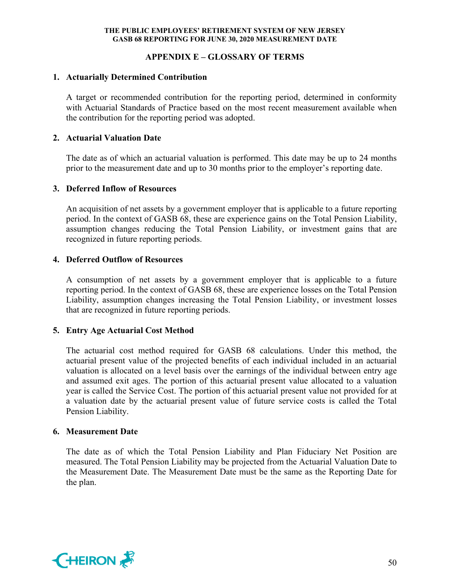## **APPENDIX E – GLOSSARY OF TERMS**

## **1. Actuarially Determined Contribution**

A target or recommended contribution for the reporting period, determined in conformity with Actuarial Standards of Practice based on the most recent measurement available when the contribution for the reporting period was adopted.

#### **2. Actuarial Valuation Date**

The date as of which an actuarial valuation is performed. This date may be up to 24 months prior to the measurement date and up to 30 months prior to the employer's reporting date.

#### **3. Deferred Inflow of Resources**

An acquisition of net assets by a government employer that is applicable to a future reporting period. In the context of GASB 68, these are experience gains on the Total Pension Liability, assumption changes reducing the Total Pension Liability, or investment gains that are recognized in future reporting periods.

## **4. Deferred Outflow of Resources**

A consumption of net assets by a government employer that is applicable to a future reporting period. In the context of GASB 68, these are experience losses on the Total Pension Liability, assumption changes increasing the Total Pension Liability, or investment losses that are recognized in future reporting periods.

## **5. Entry Age Actuarial Cost Method**

The actuarial cost method required for GASB 68 calculations. Under this method, the actuarial present value of the projected benefits of each individual included in an actuarial valuation is allocated on a level basis over the earnings of the individual between entry age and assumed exit ages. The portion of this actuarial present value allocated to a valuation year is called the Service Cost. The portion of this actuarial present value not provided for at a valuation date by the actuarial present value of future service costs is called the Total Pension Liability.

#### **6. Measurement Date**

The date as of which the Total Pension Liability and Plan Fiduciary Net Position are measured. The Total Pension Liability may be projected from the Actuarial Valuation Date to the Measurement Date. The Measurement Date must be the same as the Reporting Date for the plan.